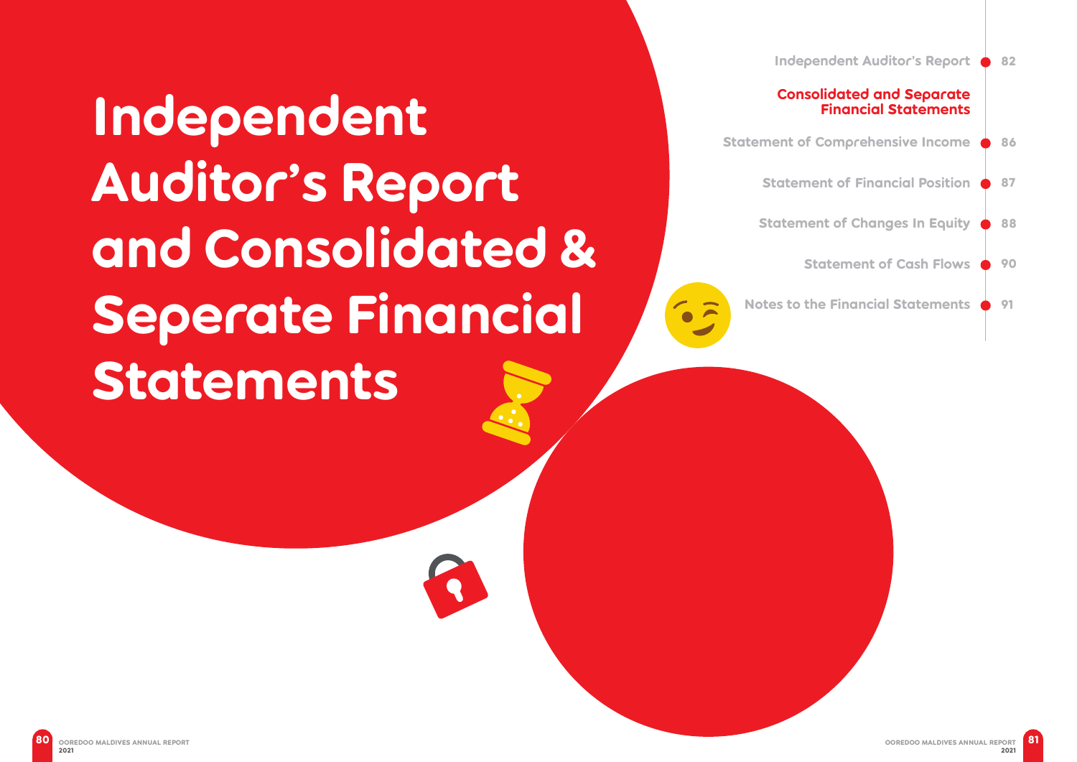

# Independent Auditor's Report and Consolidated & Seperate Financial Statements

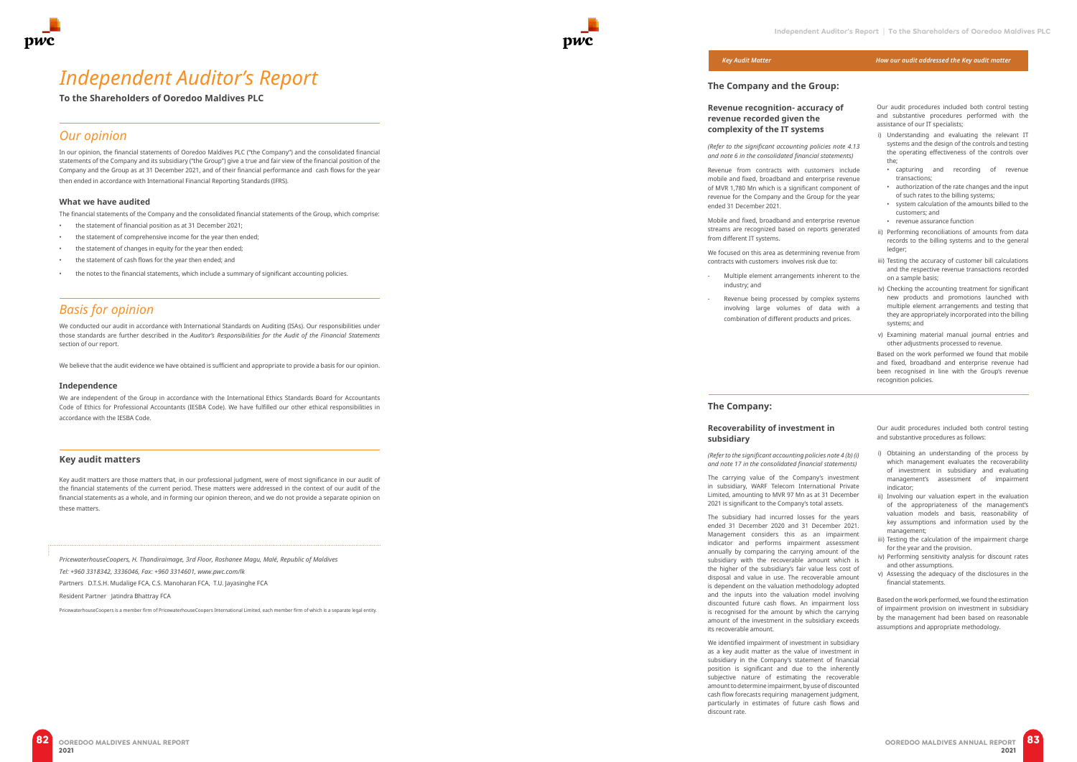

# *Our opinion*

In our opinion, the financial statements of Ooredoo Maldives PLC ("the Company") and the consolidated financial statements of the Company and its subsidiary ("the Group") give a true and fair view of the financial position of the Company and the Group as at 31 December 2021, and of their financial performance and cash flows for the year then ended in accordance with International Financial Reporting Standards (IFRS).

#### **What we have audited**

The financial statements of the Company and the consolidated financial statements of the Group, which comprise:

- the statement of financial position as at 31 December 2021;
- the statement of comprehensive income for the year then ended;
- the statement of changes in equity for the year then ended;
- the statement of cash flows for the year then ended; and
- the notes to the financial statements, which include a summary of significant accounting policies.

# *Basis for opinion*

We conducted our audit in accordance with International Standards on Auditing (ISAs). Our responsibilities under those standards are further described in the *Auditor's Responsibilities for the Audit of the Financial Statements*  section of our report.

We believe that the audit evidence we have obtained is sufficient and appropriate to provide a basis for our opinion.

#### **Independence**

We are independent of the Group in accordance with the International Ethics Standards Board for Accountants Code of Ethics for Professional Accountants (IESBA Code). We have fulfilled our other ethical responsibilities in accordance with the IESBA Code.

#### **Key audit matters**

Key audit matters are those matters that, in our professional judgment, were of most significance in our audit of the financial statements of the current period. These matters were addressed in the context of our audit of the financial statements as a whole, and in forming our opinion thereon, and we do not provide a separate opinion on these matters.

*PricewaterhouseCoopers, H. Thandiraimage, 3rd Floor, Roshanee Magu, Malé, Republic of Maldives Tel: +960 3318342, 3336046, Fax: +960 3314601, www.pwc.com/lk* Partners D.T.S.H. Mudalige FCA, C.S. Manoharan FCA, T.U. Jayasinghe FCA

Resident Partner Jatindra Bhattray FCA

PricewaterhouseCoopers is a member firm of PricewaterhouseCoopers International Limited, each member firm of which is a separate legal entity.



**To the Shareholders of Ooredoo Maldives PLC**

#### **The Company and the Group:**

**Revenue recognition- accuracy of revenue recorded given the complexity of the IT systems** 

*(Refer to the significant accounting policies note 4.13 and note 6 in the consolidated financial statements)*

Revenue from contracts with customers include mobile and fixed, broadband and enterprise revenue of MVR 1,780 Mn which is a significant component of revenue for the Company and the Group for the year ended 31 December 2021.

Mobile and fixed, broadband and enterprise revenue streams are recognized based on reports generated from different IT systems.

We focused on this area as determining revenue from contracts with customers involves risk due to:

- Multiple element arrangements inherent to the industry; and
- Revenue being processed by complex systems involving large volumes of data with a combination of different products and prices.

#### **The Company:**

#### **Recoverability of investment in subsidiary**

*(Refer to the significant accounting policies note 4 (b) (i) and note 17 in the consolidated financial statements)*

The carrying value of the Company's investment in subsidiary, WARF Telecom International Private Limited, amounting to MVR 97 Mn as at 31 December 2021 is significant to the Company's total assets.

The subsidiary had incurred losses for the years ended 31 December 2020 and 31 December 2021. Management considers this as an impairment indicator and performs impairment assessment annually by comparing the carrying amount of the subsidiary with the recoverable amount which is the higher of the subsidiary's fair value less cost of disposal and value in use. The recoverable amount is dependent on the valuation methodology adopted and the inputs into the valuation model involving discounted future cash flows. An impairment loss is recognised for the amount by which the carrying amount of the investment in the subsidiary exceeds its recoverable amount.

We identified impairment of investment in subsidiary as a key audit matter as the value of investment in subsidiary in the Company's statement of financial position is significant and due to the inherently subjective nature of estimating the recoverable amount to determine impairment, by use of discounted cash flow forecasts requiring management judgment, particularly in estimates of future cash flows and discount rate.

Our audit procedures included both control testing and substantive procedures performed with the assistance of our IT specialists;

- i) Understanding and evaluating the relevant IT systems and the design of the controls and testing the operating effectiveness of the controls over the;
- capturing and recording of revenue transactions;
- authorization of the rate changes and the input of such rates to the billing systems;
- system calculation of the amounts billed to the customers; and
- revenue assurance function
- ii) Performing reconciliations of amounts from data records to the billing systems and to the general ledger;
- iii) Testing the accuracy of customer bill calculations and the respective revenue transactions recorded on a sample basis;
- iv) Checking the accounting treatment for significant new products and promotions launched with multiple element arrangements and testing that they are appropriately incorporated into the billing systems; and
- v) Examining material manual journal entries and other adjustments processed to revenue.

Based on the work performed we found that mobile and fixed, broadband and enterprise revenue had been recognised in line with the Group's revenue recognition policies.

Our audit procedures included both control testing and substantive procedures as follows:

- i) Obtaining an understanding of the process by which management evaluates the recoverability of investment in subsidiary and evaluating management's assessment of impairment indicator;
- ii) Involving our valuation expert in the evaluation of the appropriateness of the management's valuation models and basis, reasonability of key assumptions and information used by the management;
- iii) Testing the calculation of the impairment charge for the year and the provision.
- iv) Performing sensitivity analysis for discount rates and other assumptions.
- v) Assessing the adequacy of the disclosures in the financial statements.

Based on the work performed, we found the estimation of impairment provision on investment in subsidiary by the management had been based on reasonable assumptions and appropriate methodology.

#### *Key Audit Matter How our audit addressed the Key audit matter*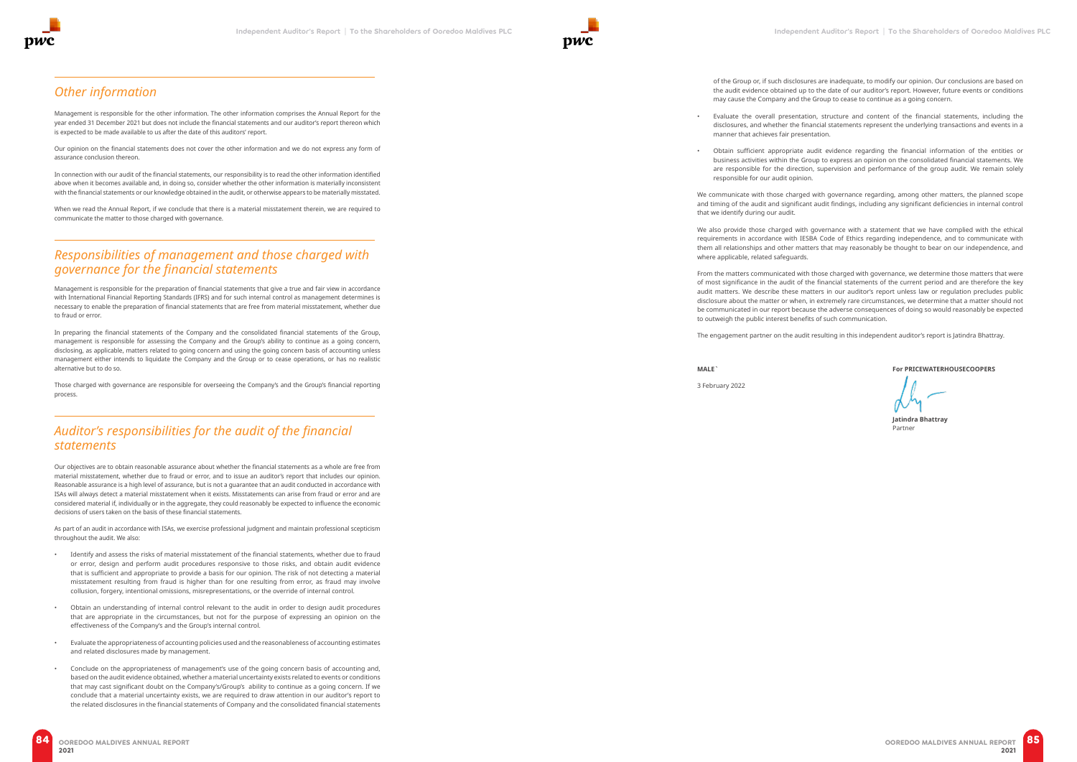

# *Other information*

Management is responsible for the other information. The other information comprises the Annual Report for the year ended 31 December 2021 but does not include the financial statements and our auditor's report thereon which is expected to be made available to us after the date of this auditors' report.

Our opinion on the financial statements does not cover the other information and we do not express any form of assurance conclusion thereon.

In connection with our audit of the financial statements, our responsibility is to read the other information identified above when it becomes available and, in doing so, consider whether the other information is materially inconsistent with the financial statements or our knowledge obtained in the audit, or otherwise appears to be materially misstated.

When we read the Annual Report, if we conclude that there is a material misstatement therein, we are required to communicate the matter to those charged with governance.

# *Responsibilities of management and those charged with governance for the financial statements*

Management is responsible for the preparation of financial statements that give a true and fair view in accordance with International Financial Reporting Standards (IFRS) and for such internal control as management determines is necessary to enable the preparation of financial statements that are free from material misstatement, whether due to fraud or error.

In preparing the financial statements of the Company and the consolidated financial statements of the Group, management is responsible for assessing the Company and the Group's ability to continue as a going concern, disclosing, as applicable, matters related to going concern and using the going concern basis of accounting unless management either intends to liquidate the Company and the Group or to cease operations, or has no realistic alternative but to do so.

Those charged with governance are responsible for overseeing the Company's and the Group's financial reporting process.

# *Auditor's responsibilities for the audit of the financial statements*

Our objectives are to obtain reasonable assurance about whether the financial statements as a whole are free from material misstatement, whether due to fraud or error, and to issue an auditor's report that includes our opinion. Reasonable assurance is a high level of assurance, but is not a guarantee that an audit conducted in accordance with ISAs will always detect a material misstatement when it exists. Misstatements can arise from fraud or error and are considered material if, individually or in the aggregate, they could reasonably be expected to influence the economic decisions of users taken on the basis of these financial statements.

As part of an audit in accordance with ISAs, we exercise professional judgment and maintain professional scepticism throughout the audit. We also:

- Identify and assess the risks of material misstatement of the financial statements, whether due to fraud or error, design and perform audit procedures responsive to those risks, and obtain audit evidence that is sufficient and appropriate to provide a basis for our opinion. The risk of not detecting a material misstatement resulting from fraud is higher than for one resulting from error, as fraud may involve collusion, forgery, intentional omissions, misrepresentations, or the override of internal control.
- Obtain an understanding of internal control relevant to the audit in order to design audit procedures that are appropriate in the circumstances, but not for the purpose of expressing an opinion on the effectiveness of the Company's and the Group's internal control.
- Evaluate the appropriateness of accounting policies used and the reasonableness of accounting estimates and related disclosures made by management.
- Conclude on the appropriateness of management's use of the going concern basis of accounting and, based on the audit evidence obtained, whether a material uncertainty exists related to events or conditions that may cast significant doubt on the Company's/Group's ability to continue as a going concern. If we conclude that a material uncertainty exists, we are required to draw attention in our auditor's report to the related disclosures in the financial statements of Company and the consolidated financial statements





of the Group or, if such disclosures are inadequate, to modify our opinion. Our conclusions are based on the audit evidence obtained up to the date of our auditor's report. However, future events or conditions may cause the Company and the Group to cease to continue as a going concern.

• Evaluate the overall presentation, structure and content of the financial statements, including the disclosures, and whether the financial statements represent the underlying transactions and events in a

- manner that achieves fair presentation.
- responsible for our audit opinion.

• Obtain sufficient appropriate audit evidence regarding the financial information of the entities or business activities within the Group to express an opinion on the consolidated financial statements. We are responsible for the direction, supervision and performance of the group audit. We remain solely

We communicate with those charged with governance regarding, among other matters, the planned scope and timing of the audit and significant audit findings, including any significant deficiencies in internal control

that we identify during our audit.

We also provide those charged with governance with a statement that we have complied with the ethical requirements in accordance with IESBA Code of Ethics regarding independence, and to communicate with them all relationships and other matters that may reasonably be thought to bear on our independence, and where applicable, related safeguards.

From the matters communicated with those charged with governance, we determine those matters that were of most significance in the audit of the financial statements of the current period and are therefore the key audit matters. We describe these matters in our auditor's report unless law or regulation precludes public disclosure about the matter or when, in extremely rare circumstances, we determine that a matter should not be communicated in our report because the adverse consequences of doing so would reasonably be expected to outweigh the public interest benefits of such communication.

The engagement partner on the audit resulting in this independent auditor's report is Jatindra Bhattray.

**MALE` For PRICEWATERHOUSECOOPERS**

3 February 2022

**Jatindra Bhattray** Partner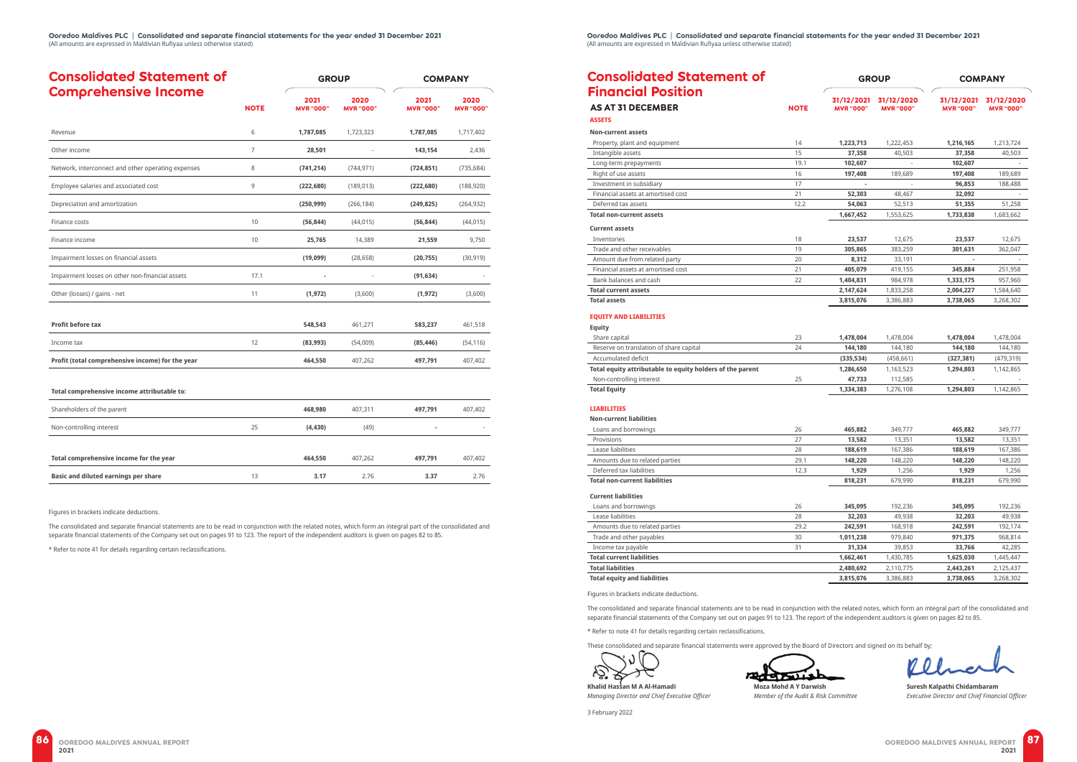Managing Director and Chief Executive Officer Member of the Audit & Risk Committee **Executive Director and Chief Financial Officer** 

| <b>Consolidated Statement of</b>                   |                | <b>GROUP</b>             |                          | <b>COMPANY</b>           |                          |
|----------------------------------------------------|----------------|--------------------------|--------------------------|--------------------------|--------------------------|
| <b>Comprehensive Income</b>                        | <b>NOTE</b>    | 2021<br><b>MVR "000"</b> | 2020<br><b>MVR "000"</b> | 2021<br><b>MVR "000"</b> | 2020<br><b>MVR "000"</b> |
| Revenue                                            | 6              | 1,787,085                | 1,723,323                | 1,787,085                | 1,717,402                |
| Other income                                       | $\overline{7}$ | 28,501                   |                          | 143,154                  | 2,436                    |
| Network, interconnect and other operating expenses | 8              | (741, 214)               | (744, 971)               | (724, 851)               | (735, 684)               |
| Employee salaries and associated cost              | 9              | (222, 680)               | (189, 013)               | (222, 680)               | (188, 920)               |
| Depreciation and amortization                      |                | (250, 999)               | (266, 184)               | (249, 825)               | (264, 932)               |
| Finance costs                                      | 10             | (56, 844)                | (44, 015)                | (56, 844)                | (44, 015)                |
| Finance income                                     | 10             | 25,765                   | 14,389                   | 21,559                   | 9,750                    |
| Impairment losses on financial assets              |                | (19,099)                 | (28, 658)                | (20, 755)                | (30, 919)                |
| Impairment losses on other non-financial assets    | 17.1           |                          |                          | (91, 634)                |                          |
| Other (losses) / gains - net                       | 11             | (1, 972)                 | (3,600)                  | (1, 972)                 | (3,600)                  |
| <b>Profit before tax</b>                           |                | 548,543                  | 461,271                  | 583,237                  | 461,518                  |
| Income tax                                         | 12             | (83,993)                 | (54,009)                 | (85, 446)                | (54, 116)                |
| Profit (total comprehensive income) for the year   |                | 464,550                  | 407,262                  | 497,791                  | 407,402                  |
| Total comprehensive income attributable to:        |                |                          |                          |                          |                          |
| Shareholders of the parent                         |                | 468,980                  | 407,311                  | 497,791                  | 407,402                  |
| Non-controlling interest                           | 25             | (4, 430)                 | (49)                     |                          |                          |
| Total comprehensive income for the year            |                | 464,550                  | 407,262                  | 497,791                  | 407,402                  |
| <b>Basic and diluted earnings per share</b>        | 13             | 3.17                     | 2.76                     | 3.37                     | 2.76                     |

Figures in brackets indicate deductions.

The consolidated and separate financial statements are to be read in conjunction with the related notes, which form an integral part of the consolidated and separate financial statements of the Company set out on pages 91 to 123. The report of the independent auditors is given on pages 82 to 85.

\* Refer to note 41 for details regarding certain reclassifications.

# **Non-current assets Current assets EQUITY AND LIABILITIES Equity LIABILITIES Non-current liabilities**

| <b>Consolidated Statement of</b>                                |             |                                | <b>GROUP</b>                   | <b>COMPANY</b>                 |                                |  |
|-----------------------------------------------------------------|-------------|--------------------------------|--------------------------------|--------------------------------|--------------------------------|--|
| <b>Financial Position</b><br><b>AS AT 31 DECEMBER</b>           | <b>NOTE</b> | 31/12/2021<br><b>MVR "000"</b> | 31/12/2020<br><b>MVR "000"</b> | 31/12/2021<br><b>MVR "000"</b> | 31/12/2020<br><b>MVR "000"</b> |  |
| <b>ASSETS</b>                                                   |             |                                |                                |                                |                                |  |
| <b>Non-current assets</b>                                       |             |                                |                                |                                |                                |  |
| Property, plant and equipment                                   | 14          | 1,223,713                      | 1,222,453                      | 1,216,165                      | 1,213,724                      |  |
| Intangible assets                                               | 15          | 37,358                         | 40,503                         | 37,358                         | 40,503                         |  |
| Long-term prepayments                                           | 19.1        | 102,607                        |                                | 102,607                        |                                |  |
| Right of use assets                                             | 16          | 197,408                        | 189,689                        | 197,408                        | 189,689                        |  |
| Investment in subsidiary                                        | 17          |                                |                                | 96,853                         | 188,488                        |  |
| Financial assets at amortised cost                              | 21          | 52,303                         | 48,467                         | 32,092                         |                                |  |
| Deferred tax assets                                             | 12.2        | 54,063                         | 52,513                         | 51,355                         | 51,258                         |  |
| <b>Total non-current assets</b>                                 |             | 1,667,452                      | 1,553,625                      | 1,733,838                      | 1,683,662                      |  |
| <b>Current assets</b>                                           |             |                                |                                |                                |                                |  |
| Inventories                                                     | 18          | 23,537                         | 12,675                         | 23,537                         | 12,675                         |  |
| Trade and other receivables                                     | 19          | 305,865                        | 383,259                        | 301,631                        | 362,047                        |  |
| Amount due from related party                                   | 20          | 8,312                          | 33,191                         |                                |                                |  |
| Financial assets at amortised cost                              | 21          | 405,079                        | 419,155                        | 345,884                        | 251,958                        |  |
| Bank balances and cash                                          | 22          | 1,404,831                      | 984,978                        | 1,333,175                      | 957,960                        |  |
| <b>Total current assets</b><br><b>Total assets</b>              |             | 2,147,624<br>3,815,076         | 1,833,258<br>3,386,883         | 2,004,227<br>3,738,065         | 1,584,640<br>3,268,302         |  |
| <b>EQUITY AND LIABILITIES</b><br><b>Equity</b><br>Share capital | 23          | 1,478,004                      | 1,478,004                      | 1,478,004                      | 1,478,004                      |  |
| Reserve on translation of share capital                         | 24          | 144,180                        | 144,180                        | 144,180                        | 144,180                        |  |
| Accumulated deficit                                             |             | (335, 534)                     | (458, 661)                     | (327, 381)                     | (479, 319)                     |  |
| Total equity attributable to equity holders of the parent       |             | 1,286,650                      | 1,163,523                      | 1,294,803                      | 1,142,865                      |  |
| Non-controlling interest                                        | 25          | 47,733                         | 112,585                        |                                |                                |  |
| <b>Total Equity</b>                                             |             | 1,334,383                      | 1,276,108                      | 1,294,803                      | 1,142,865                      |  |
| <b>LIABILITIES</b>                                              |             |                                |                                |                                |                                |  |
| <b>Non-current liabilities</b>                                  |             |                                |                                |                                |                                |  |
| Loans and borrowings                                            | 26          | 465,882                        | 349,777                        | 465,882                        | 349,777                        |  |
| Provisions                                                      | 27          | 13,582                         | 13,351                         | 13,582                         | 13,351                         |  |
| Lease liabilities                                               | 28          | 188,619                        | 167,386                        | 188,619                        | 167,386                        |  |
| Amounts due to related parties                                  | 29.1        | 148,220                        | 148,220                        | 148,220                        | 148,220                        |  |
| Deferred tax liabilities                                        | 12.3        | 1,929                          | 1,256                          | 1,929                          | 1,256                          |  |
| <b>Total non-current liabilities</b>                            |             | 818,231                        | 679,990                        | 818,231                        | 679,990                        |  |
| <b>Current liabilities</b>                                      |             |                                |                                |                                |                                |  |
| Loans and borrowings                                            | 26          | 345,095                        | 192,236                        | 345,095                        | 192,236                        |  |
| Lease liabilities                                               | 28          | 32,203                         | 49,938                         | 32,203                         | 49,938                         |  |
| Amounts due to related parties                                  | 29.2        | 242,591                        | 168,918                        | 242,591                        | 192,174                        |  |
| Trade and other payables                                        | 30          | 1,011,238                      | 979,840                        | 971,375                        | 968,814                        |  |
| Income tax payable                                              | 31          | 31,334                         | 39,853                         | 33,766                         | 42,285                         |  |
| <b>Total current liabilities</b><br><b>Total liabilities</b>    |             | 1,662,461<br>2,480,692         | 1,430,785<br>2,110,775         | 1,625,030                      | 1,445,447                      |  |
| <b>Total equity and liabilities</b>                             |             |                                |                                | 2,443,261                      | 2,125,437                      |  |
|                                                                 |             | 3,815,076                      | 3,386,883                      | 3,738,065                      | 3,268,302                      |  |

Figures in brackets indicate deductions.

The consolidated and separate financial statements are to be read in conjunction with the related notes, which form an integral part of the consolidated and separate financial statements of the Company set out on pages 91 to 123. The report of the independent auditors is given on pages 82 to 85.

\* Refer to note 41 for details regarding certain reclassifications.

These consolidated and separate financial statements were approved by the Board of Directors and signed on its behalf by;





**Khalid Hassan M A Al-Hamadi Moza Mohd A Y Darwish Suresh Kalpathi Chidambaram**

3 February 2022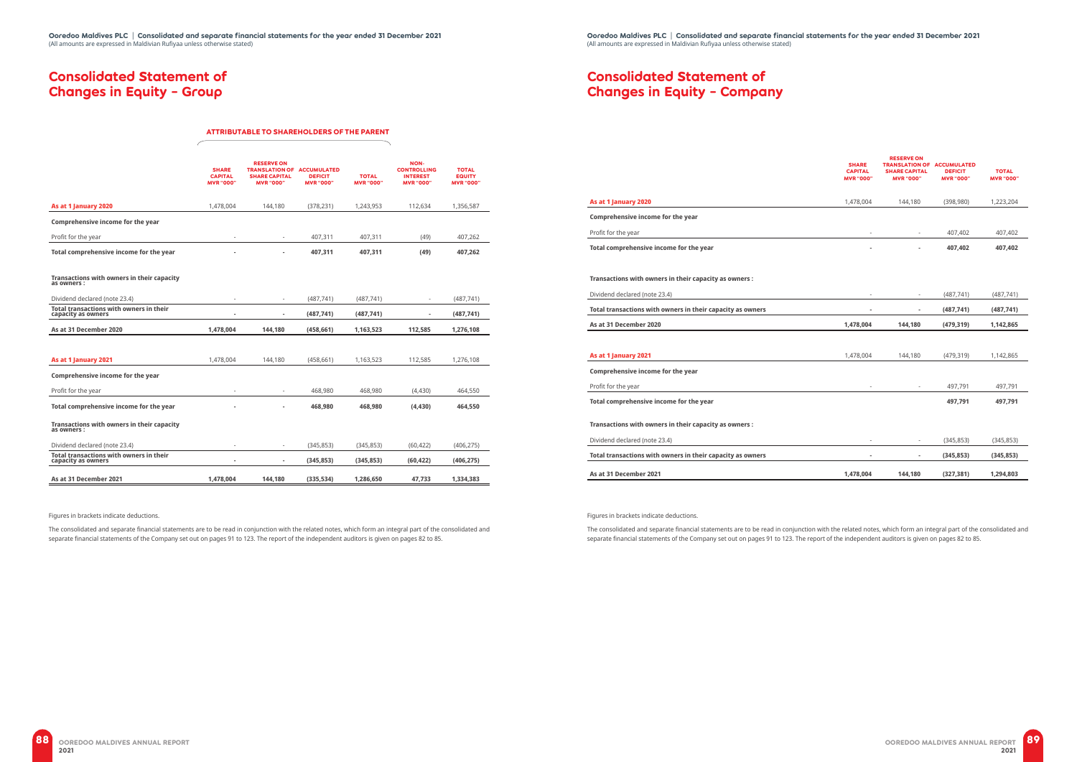ATTRIBUTABLE TO SHAREHOLDERS OF THE PARENT

|                                                               | <b>SHARE</b><br><b>CAPITAL</b><br><b>MVR "000"</b> | <b>RESERVE ON</b><br>TRANSLATION OF ACCUMULATED<br><b>SHARE CAPITAL</b><br><b>MVR "000"</b> | <b>DEFICIT</b><br><b>MVR "000"</b> | <b>TOTAL</b><br><b>MVR "000"</b> | NON-<br><b>CONTROLLING</b><br><b>INTEREST</b><br><b>MVR "000"</b> | <b>TOTAL</b><br><b>EQUITY</b><br><b>MVR "000"</b> |
|---------------------------------------------------------------|----------------------------------------------------|---------------------------------------------------------------------------------------------|------------------------------------|----------------------------------|-------------------------------------------------------------------|---------------------------------------------------|
| As at 1 January 2020                                          | 1,478,004                                          | 144.180                                                                                     | (378, 231)                         | 1,243,953                        | 112,634                                                           | 1,356,587                                         |
| Comprehensive income for the year                             |                                                    |                                                                                             |                                    |                                  |                                                                   |                                                   |
| Profit for the year                                           |                                                    | $\sim$                                                                                      | 407,311                            | 407,311                          | (49)                                                              | 407,262                                           |
| Total comprehensive income for the year                       |                                                    |                                                                                             | 407,311                            | 407,311                          | (49)                                                              | 407,262                                           |
| Transactions with owners in their capacity<br>as owners:      |                                                    |                                                                                             |                                    |                                  |                                                                   |                                                   |
| Dividend declared (note 23.4)                                 |                                                    | $\sim$                                                                                      | (487, 741)                         | (487, 741)                       | $\sim$                                                            | (487, 741)                                        |
| Total transactions with owners in their<br>capacity as owners |                                                    | $\overline{\phantom{a}}$                                                                    | (487, 741)                         | (487, 741)                       |                                                                   | (487, 741)                                        |
| As at 31 December 2020                                        | 1,478,004                                          | 144,180                                                                                     | (458, 661)                         | 1,163,523                        | 112,585                                                           | 1,276,108                                         |
|                                                               |                                                    |                                                                                             |                                    |                                  |                                                                   |                                                   |
| As at 1 January 2021                                          | 1,478,004                                          | 144,180                                                                                     | (458, 661)                         | 1,163,523                        | 112,585                                                           | 1,276,108                                         |
| Comprehensive income for the year                             |                                                    |                                                                                             |                                    |                                  |                                                                   |                                                   |
| Profit for the year                                           |                                                    |                                                                                             | 468,980                            | 468,980                          | (4,430)                                                           | 464,550                                           |
| Total comprehensive income for the year                       |                                                    |                                                                                             | 468,980                            | 468,980                          | (4, 430)                                                          | 464,550                                           |
| Transactions with owners in their capacity<br>as owners :     |                                                    |                                                                                             |                                    |                                  |                                                                   |                                                   |
| Dividend declared (note 23.4)                                 |                                                    | $\sim$                                                                                      | (345, 853)                         | (345, 853)                       | (60, 422)                                                         | (406, 275)                                        |
| Total transactions with owners in their<br>capacity as owners |                                                    | $\overline{\phantom{a}}$                                                                    | (345, 853)                         | (345, 853)                       | (60, 422)                                                         | (406, 275)                                        |
| As at 31 December 2021                                        | 1.478.004                                          | 144,180                                                                                     | (335, 534)                         | 1.286.650                        | 47.733                                                            | 1.334.383                                         |

# Consolidated Statement of Changes in Equity - Group

Figures in brackets indicate deductions.

The consolidated and separate financial statements are to be read in conjunction with the related notes, which form an integral part of the consolidated and separate financial statements of the Company set out on pages 91 to 123. The report of the independent auditors is given on pages 82 to 85.

|                                                            | <b>SHARE</b><br><b>CAPITAL</b><br><b>MVR "000"</b> | <b>RESERVE ON</b><br><b>TRANSLATION OF ACCUMULATED</b><br><b>SHARE CAPITAL</b><br><b>MVR "000"</b> | <b>DEFICIT</b><br><b>MVR "000"</b> | <b>TOTAL</b><br><b>MVR "000"</b> |
|------------------------------------------------------------|----------------------------------------------------|----------------------------------------------------------------------------------------------------|------------------------------------|----------------------------------|
| As at 1 January 2020                                       | 1,478,004                                          | 144.180                                                                                            | (398, 980)                         | 1,223,204                        |
| Comprehensive income for the year                          |                                                    |                                                                                                    |                                    |                                  |
| Profit for the year                                        |                                                    |                                                                                                    | 407,402                            | 407,402                          |
| Total comprehensive income for the year                    |                                                    |                                                                                                    | 407,402                            | 407,402                          |
| Transactions with owners in their capacity as owners:      |                                                    |                                                                                                    |                                    |                                  |
| Dividend declared (note 23.4)                              |                                                    |                                                                                                    | (487, 741)                         | (487, 741)                       |
| Total transactions with owners in their capacity as owners |                                                    |                                                                                                    | (487, 741)                         | (487, 741)                       |
| As at 31 December 2020                                     | 1,478,004                                          | 144,180                                                                                            | (479, 319)                         | 1,142,865                        |
|                                                            |                                                    |                                                                                                    |                                    |                                  |
| As at 1 January 2021                                       | 1,478,004                                          | 144,180                                                                                            | (479, 319)                         | 1,142,865                        |
| Comprehensive income for the year                          |                                                    |                                                                                                    |                                    |                                  |
| Profit for the year                                        |                                                    |                                                                                                    | 497,791                            | 497,791                          |
| Total comprehensive income for the year                    |                                                    |                                                                                                    | 497,791                            | 497,791                          |
| Transactions with owners in their capacity as owners :     |                                                    |                                                                                                    |                                    |                                  |
| Dividend declared (note 23.4)                              |                                                    |                                                                                                    | (345, 853)                         | (345, 853)                       |
| Total transactions with owners in their capacity as owners |                                                    |                                                                                                    | (345, 853)                         | (345, 853)                       |
| As at 31 December 2021                                     | 1,478,004                                          | 144,180                                                                                            | (327, 381)                         | 1,294,803                        |



|                     | Transactions with owners in their capacity as owners :     |
|---------------------|------------------------------------------------------------|
|                     | Dividend declared (note 23.4)                              |
|                     | Total transactions with owners in their capacity as owners |
|                     | As at 31 December 2020                                     |
|                     |                                                            |
|                     | As at 1 January 2021                                       |
|                     | Comprehensive income for the year                          |
| Profit for the year |                                                            |
|                     | Total comprehensive income for the year                    |
|                     | Transactions with owners in their capacity as owners :     |
|                     | Dividend declared (note 23.4)                              |
|                     | Total transactions with owners in their capacity as owners |

# Consolidated Statement of Changes in Equity - Company

Figures in brackets indicate deductions.

The consolidated and separate financial statements are to be read in conjunction with the related notes, which form an integral part of the consolidated and separate financial statements of the Company set out on pages 91 to 123. The report of the independent auditors is given on pages 82 to 85.

#### Ooredoo Maldives PLC | Consolidated and separate financial statements for the year ended 31 December 2021 (All amounts are expressed in Maldivian Rufiyaa unless otherwise stated)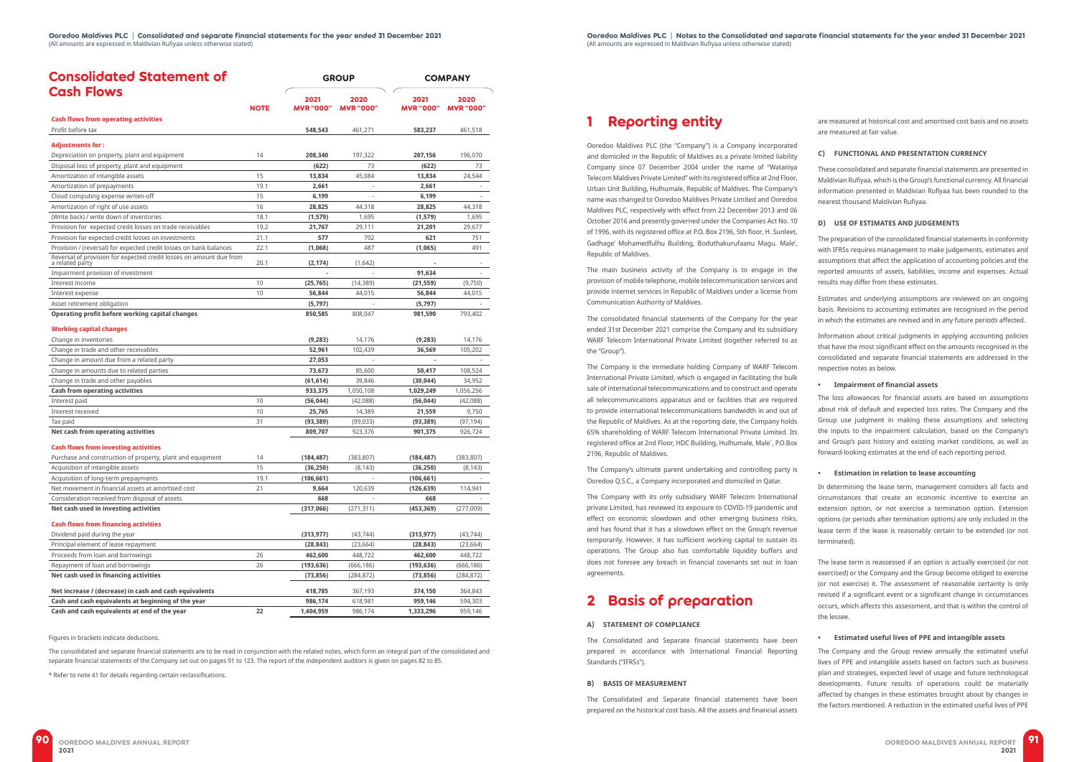| <b>Consolidated Statement of</b>                                                       |             |                          | <b>GROUP</b>             | <b>COMPANY</b>           |                          |
|----------------------------------------------------------------------------------------|-------------|--------------------------|--------------------------|--------------------------|--------------------------|
| <b>Cash Flows</b>                                                                      | <b>NOTE</b> | 2021<br><b>MVR "000"</b> | 2020<br><b>MVR "000"</b> | 2021<br><b>MVR "000"</b> | 2020<br><b>MVR "000"</b> |
| <b>Cash flows from operating activities</b>                                            |             |                          |                          |                          |                          |
| Profit before tax                                                                      |             | 548,543                  | 461,271                  | 583,237                  | 461,518                  |
| <b>Adjustments for:</b>                                                                |             |                          |                          |                          |                          |
| Depreciation on property, plant and equipment                                          | 14          | 208,340                  | 197,322                  | 207,156                  | 196,070                  |
| Disposal loss of property, plant and equipment                                         |             | (622)                    | 73                       | (622)                    | 73                       |
| Amortization of intangible assets                                                      | 15          | 13.834                   | 45,084                   | 13,834                   | 24,544                   |
| Amortization of prepayments                                                            | 19.1        | 2,661                    |                          | 2,661                    |                          |
| Cloud computing expense writen-off                                                     | 15          | 6,199                    |                          | 6,199                    |                          |
| Amortization of right of use assets                                                    | 16          | 28,825                   | 44,318                   | 28,825                   | 44,318                   |
| (Write back) / write down of inventories                                               | 18.1        | (1,579)                  | 1,695                    | (1,579)                  | 1,695                    |
| Provision for expected credit losses on trade receivables                              | 19.2        | 21,767                   | 29,111                   | 21,201                   | 29,677                   |
| Provision for expected credit losses on investments                                    | 21.1        | 577                      | 702                      | 621                      | 751                      |
| Provision / (reversal) for expected credit losses on bank balances                     | 22.1        | (1,068)                  | 487                      | (1,065)                  | 491                      |
| Reversal of provision for expected credit losses on amount due from<br>a related party | 20.1        | (2, 174)                 | (1,642)                  |                          |                          |
| Impairment provision of investment                                                     |             |                          |                          | 91,634                   |                          |
| Interest income                                                                        | 10          | (25, 765)                | (14, 389)                | (21, 559)                | (9,750)                  |
| Interest expense                                                                       | 10          | 56,844                   | 44,015                   | 56,844                   | 44,015                   |
| Asset retirement obligation                                                            |             | (5,797)                  |                          | (5, 797)                 |                          |
| Operating profit before working capital changes                                        |             | 850,585                  | 808.047                  | 981,590                  | 793,402                  |
| <b>Working capital changes</b>                                                         |             |                          |                          |                          |                          |
| Change in inventories                                                                  |             | (9, 283)                 | 14,176                   | (9, 283)                 | 14,176                   |
| Change in trade and other receivables                                                  |             | 52,961                   | 102,439                  | 36,569                   | 105,202                  |
| Change in amount due from a related party                                              |             | 27,053                   |                          | $\overline{\phantom{a}}$ | $\sim$                   |
| Change in amounts due to related parties                                               |             | 73,673                   | 85,600                   | 50,417                   | 108,524                  |
| Change in trade and other payables                                                     |             | (61, 614)                | 39,846                   | (30, 044)                | 34,952                   |
| <b>Cash from operating activities</b>                                                  |             | 933,375                  | 1,050,108                | 1,029,249                | 1,056,256                |
| Interest paid                                                                          | 10          | (56, 044)                | (42,088)                 | (56, 044)                | (42,088)                 |
| Interest received                                                                      | 10          | 25,765                   | 14,389                   | 21,559                   | 9,750                    |
| Tax paid                                                                               | 31          | (93, 389)                | (99, 033)                | (93, 389)                | (97, 194)                |
| Net cash from operating activities                                                     |             | 809,707                  | 923,376                  | 901,375                  | 926,724                  |
| <b>Cash flows from investing activities</b>                                            |             |                          |                          |                          |                          |
| Purchase and construction of property, plant and equipment                             | 14          | (184, 487)               | (383, 807)               | (184, 487)               | (383, 807)               |
| Acquisition of intangible assets                                                       | 15          | (36, 250)                | (8, 143)                 | (36, 250)                | (8, 143)                 |
| Acquisition of long-term prepayments                                                   | 19.1        | (106, 661)               |                          | (106, 661)               |                          |
| Net movement in financial assets at amortised cost                                     | 21          | 9,664                    | 120,639                  | (126, 639)               | 114,941                  |
| Consideration received from disposal of assets                                         |             | 668                      |                          | 668                      |                          |
| Net cash used in investing activities                                                  |             | (317,066)                | (271, 311)               | (453,369)                | (277,009)                |
| <b>Cash flows from financing activities</b>                                            |             |                          |                          |                          |                          |
| Dividend paid during the year                                                          |             | (313, 977)               | (43, 744)                | (313, 977)               | (43,744)                 |
| Principal element of lease repayment                                                   |             | (28, 843)                | (23, 664)                | (28, 843)                | (23, 664)                |
| Proceeds from loan and borrowings                                                      | 26          | 462,600                  | 448,722                  | 462,600                  | 448,722                  |
| Repayment of loan and borrowings                                                       | 26          | (193,636)                | (666, 186)               | (193,636)                | (666, 186)               |
| Net cash used in financing activities                                                  |             | (73, 856)                | (284,872)                | (73, 856)                | (284, 872)               |
| Net increase / (decrease) in cash and cash equivalents                                 |             | 418,785                  | 367,193                  | 374,150                  | 364,843                  |
| Cash and cash equivalents at beginning of the year                                     |             | 986,174                  | 618,981                  | 959,146                  | 594,303                  |
|                                                                                        |             |                          |                          |                          |                          |

Figures in brackets indicate deductions.

The consolidated and separate financial statements are to be read in conjunction with the related notes, which form an integral part of the consolidated and separate financial statements of the Company set out on pages 91 to 123. The report of the independent auditors is given on pages 82 to 85.

\* Refer to note 41 for details regarding certain reclassifications.

# 1 Reporting entity

Ooredoo Maldives PLC (the "Company") is a Company incorporated and domiciled in the Republic of Maldives as a private limited liability Company since 07 December 2004 under the name of "Wataniya Telecom Maldives Private Limited" with its registered office at 2nd Floor, Urban Unit Building, Hulhumale, Republic of Maldives. The Company's name was changed to Ooredoo Maldives Private Limited and Ooredoo Maldives PLC, respectively with effect from 22 December 2013 and 06 October 2016 and presently governed under the Companies Act No. 10 of 1996, with its registered office at P.O. Box 2196, 5th floor, H. Sunleet, Gadhage' Mohamedfulhu Building, Boduthakurufaanu Magu. Male', Republic of Maldives.

The main business activity of the Company is to engage in the provision of mobile telephone, mobile telecommunication services and provide internet services in Republic of Maldives under a license from Communication Authority of Maldives.

The consolidated financial statements of the Company for the year ended 31st December 2021 comprise the Company and its subsidiary WARF Telecom International Private Limited (together referred to as the "Group").

The Company is the immediate holding Company of WARF Telecom International Private Limited, which is engaged in facilitating the bulk sale of international telecommunications and to construct and operate all telecommunications apparatus and or facilities that are required to provide international telecommunications bandwidth in and out of the Republic of Maldives. As at the reporting date, the Company holds 65% shareholding of WARF Telecom International Private Limited. Its registered office at 2nd Floor, HDC Building, Hulhumale, Male`, P.O.Box 2196, Republic of Maldives.

The Company's ultimate parent undertaking and controlling party is Ooredoo Q.S.C., a Company incorporated and domiciled in Qatar.

The Company with its only subsidiary WARF Telecom International private Limited, has reviewed its exposure to COVID-19 pandemic and effect on economic slowdown and other emerging business risks, and has found that it has a slowdown effect on the Group's revenue temporarily. However, it has sufficient working capital to sustain its operations. The Group also has comfortable liquidity buffers and does not foresee any breach in financial covenants set out in loan agreements.

# 2 Basis of preparation

#### **A) STATEMENT OF COMPLIANCE**

The Consolidated and Separate financial statements have been prepared in accordance with International Financial Reporting Standards ("IFRSs").

#### **B) BASIS OF MEASUREMENT**

The Consolidated and Separate financial statements have been prepared on the historical cost basis. All the assets and financial assets are measured at historical cost and amortised cost basis and no assets are measured at fair value.

#### **C) FUNCTIONAL AND PRESENTATION CURRENCY**

These consolidated and separate financial statements are presented in Maldivian Rufiyaa, which is the Group's functional currency. All financial information presented in Maldivian Rufiyaa has been rounded to the nearest thousand Maldivian Rufiyaa.

#### **D) USE OF ESTIMATES AND JUDGEMENTS**

The preparation of the consolidated financial statements in conformity with IFRSs requires management to make judgements, estimates and assumptions that affect the application of accounting policies and the reported amounts of assets, liabilities, income and expenses. Actual results may differ from these estimates.

Estimates and underlying assumptions are reviewed on an ongoing basis. Revisions to accounting estimates are recognised in the period in which the estimates are revised and in any future periods affected.

Information about critical judgments in applying accounting policies that have the most significant effect on the amounts recognised in the consolidated and separate financial statements are addressed in the respective notes as below.

#### **• Impairment of financial assets**

The loss allowances for financial assets are based on assumptions about risk of default and expected loss rates. The Company and the Group use judgment in making these assumptions and selecting the inputs to the impairment calculation, based on the Company's and Group's past history and existing market conditions, as well as forward-looking estimates at the end of each reporting period.

#### **• Estimation in relation to lease accounting**

In determining the lease term, management considers all facts and circumstances that create an economic incentive to exercise an extension option, or not exercise a termination option. Extension options (or periods after termination options) are only included in the lease term if the lease is reasonably certain to be extended (or not terminated).

The lease term is reassessed if an option is actually exercised (or not exercised) or the Company and the Group become obliged to exercise (or not exercise) it. The assessment of reasonable certainty is only revised if a significant event or a significant change in circumstances occurs, which affects this assessment, and that is within the control of the lessee.

#### **• Estimated useful lives of PPE and intangible assets**

The Company and the Group review annually the estimated useful lives of PPE and intangible assets based on factors such as business plan and strategies, expected level of usage and future technological developments. Future results of operations could be materially affected by changes in these estimates brought about by changes in the factors mentioned. A reduction in the estimated useful lives of PPE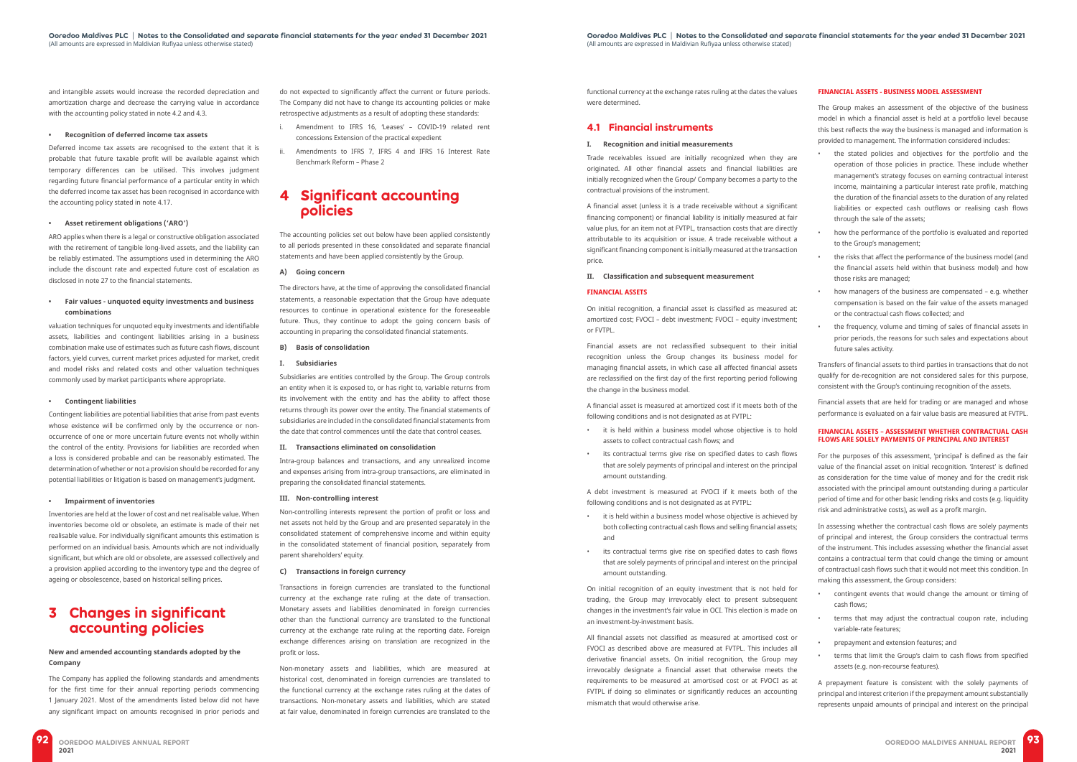and intangible assets would increase the recorded depreciation and amortization charge and decrease the carrying value in accordance with the accounting policy stated in note 4.2 and 4.3.

#### **• Recognition of deferred income tax assets**

Deferred income tax assets are recognised to the extent that it is probable that future taxable profit will be available against which temporary differences can be utilised. This involves judgment regarding future financial performance of a particular entity in which the deferred income tax asset has been recognised in accordance with the accounting policy stated in note 4.17.

#### **• Asset retirement obligations ('ARO')**

ARO applies when there is a legal or constructive obligation associated with the retirement of tangible long-lived assets, and the liability can be reliably estimated. The assumptions used in determining the ARO include the discount rate and expected future cost of escalation as disclosed in note 27 to the financial statements.

#### **• Fair values - unquoted equity investments and business combinations**

valuation techniques for unquoted equity investments and identifiable assets, liabilities and contingent liabilities arising in a business combination make use of estimates such as future cash flows, discount factors, yield curves, current market prices adjusted for market, credit and model risks and related costs and other valuation techniques commonly used by market participants where appropriate.

#### **• Contingent liabilities**

Contingent liabilities are potential liabilities that arise from past events whose existence will be confirmed only by the occurrence or nonoccurrence of one or more uncertain future events not wholly within the control of the entity. Provisions for liabilities are recorded when a loss is considered probable and can be reasonably estimated. The determination of whether or not a provision should be recorded for any potential liabilities or litigation is based on management's judgment.

#### **• Impairment of inventories**

Inventories are held at the lower of cost and net realisable value. When inventories become old or obsolete, an estimate is made of their net realisable value. For individually significant amounts this estimation is performed on an individual basis. Amounts which are not individually significant, but which are old or obsolete, are assessed collectively and a provision applied according to the inventory type and the degree of ageing or obsolescence, based on historical selling prices.

# 3 Changes in significant accounting policies

#### **New and amended accounting standards adopted by the Company**

Non-monetary assets and liabilities, which are measured at historical cost, denominated in foreign currencies are translated to the functional currency at the exchange rates ruling at the dates of transactions. Non-monetary assets and liabilities, which are stated at fair value, denominated in foreign currencies are translated to the

The Company has applied the following standards and amendments for the first time for their annual reporting periods commencing 1 January 2021. Most of the amendments listed below did not have any significant impact on amounts recognised in prior periods and

do not expected to significantly affect the current or future periods. The Company did not have to change its accounting policies or make retrospective adjustments as a result of adopting these standards:

- i. Amendment to IFRS 16, 'Leases' COVID-19 related rent concessions Extension of the practical expedient
- Amendments to IFRS 7, IFRS 4 and IFRS 16 Interest Rate Benchmark Reform – Phase 2

# 4 Significant accounting policies

The accounting policies set out below have been applied consistently to all periods presented in these consolidated and separate financial statements and have been applied consistently by the Group.

#### **A) Going concern**

The directors have, at the time of approving the consolidated financial statements, a reasonable expectation that the Group have adequate resources to continue in operational existence for the foreseeable future. Thus, they continue to adopt the going concern basis of accounting in preparing the consolidated financial statements.

#### **B) Basis of consolidation**

#### **I. Subsidiaries**

Subsidiaries are entities controlled by the Group. The Group controls an entity when it is exposed to, or has right to, variable returns from its involvement with the entity and has the ability to affect those returns through its power over the entity. The financial statements of subsidiaries are included in the consolidated financial statements from the date that control commences until the date that control ceases.

#### **II. Transactions eliminated on consolidation**

Intra-group balances and transactions, and any unrealized income and expenses arising from intra-group transactions, are eliminated in preparing the consolidated financial statements.

#### **III. Non-controlling interest**

Non-controlling interests represent the portion of profit or loss and net assets not held by the Group and are presented separately in the consolidated statement of comprehensive income and within equity in the consolidated statement of financial position, separately from parent shareholders' equity.

#### **C) Transactions in foreign currency**

Transactions in foreign currencies are translated to the functional currency at the exchange rate ruling at the date of transaction. Monetary assets and liabilities denominated in foreign currencies other than the functional currency are translated to the functional currency at the exchange rate ruling at the reporting date. Foreign exchange differences arising on translation are recognized in the profit or loss.

functional currency at the exchange rates ruling at the dates the values were determined.

## 4.1 Financial instruments

#### **I. Recognition and initial measurements**

Trade receivables issued are initially recognized when they are originated. All other financial assets and financial liabilities are initially recognized when the Group/ Company becomes a party to the contractual provisions of the instrument.

A financial asset (unless it is a trade receivable without a significant financing component) or financial liability is initially measured at fair value plus, for an item not at FVTPL, transaction costs that are directly attributable to its acquisition or issue. A trade receivable without a significant financing component is initially measured at the transaction price.

#### **II. Classification and subsequent measurement**

#### **FINANCIAL ASSETS**

On initial recognition, a financial asset is classified as measured at: amortized cost; FVOCI – debt investment; FVOCI – equity investment; or FVTPL.

Financial assets are not reclassified subsequent to their initial recognition unless the Group changes its business model for managing financial assets, in which case all affected financial assets are reclassified on the first day of the first reporting period following the change in the business model.

A financial asset is measured at amortized cost if it meets both of the following conditions and is not designated as at FVTPL:

- it is held within a business model whose objective is to hold assets to collect contractual cash flows; and
- its contractual terms give rise on specified dates to cash flows that are solely payments of principal and interest on the principal amount outstanding.

A debt investment is measured at FVOCI if it meets both of the following conditions and is not designated as at FVTPL:

- it is held within a business model whose objective is achieved by both collecting contractual cash flows and selling financial assets; and
- its contractual terms give rise on specified dates to cash flows that are solely payments of principal and interest on the principal amount outstanding.

On initial recognition of an equity investment that is not held for trading, the Group may irrevocably elect to present subsequent changes in the investment's fair value in OCI. This election is made on an investment-by-investment basis.

All financial assets not classified as measured at amortised cost or FVOCI as described above are measured at FVTPL. This includes all derivative financial assets. On initial recognition, the Group may irrevocably designate a financial asset that otherwise meets the requirements to be measured at amortised cost or at FVOCI as at FVTPL if doing so eliminates or significantly reduces an accounting mismatch that would otherwise arise.

#### **FINANCIAL ASSETS - BUSINESS MODEL ASSESSMENT**

The Group makes an assessment of the objective of the business model in which a financial asset is held at a portfolio level because this best reflects the way the business is managed and information is provided to management. The information considered includes:

- the stated policies and objectives for the portfolio and the operation of those policies in practice. These include whether management's strategy focuses on earning contractual interest income, maintaining a particular interest rate profile, matching the duration of the financial assets to the duration of any related liabilities or expected cash outflows or realising cash flows through the sale of the assets;
- how the performance of the portfolio is evaluated and reported to the Group's management;
- the risks that affect the performance of the business model (and the financial assets held within that business model) and how those risks are managed;
- how managers of the business are compensated e.g. whether compensation is based on the fair value of the assets managed or the contractual cash flows collected; and
- the frequency, volume and timing of sales of financial assets in prior periods, the reasons for such sales and expectations about future sales activity.

Transfers of financial assets to third parties in transactions that do not qualify for de-recognition are not considered sales for this purpose, consistent with the Group's continuing recognition of the assets.

Financial assets that are held for trading or are managed and whose performance is evaluated on a fair value basis are measured at FVTPL.

#### **FINANCIAL ASSETS – ASSESSMENT WHETHER CONTRACTUAL CASH FLOWS ARE SOLELY PAYMENTS OF PRINCIPAL AND INTEREST**

For the purposes of this assessment, 'principal' is defined as the fair value of the financial asset on initial recognition. 'Interest' is defined as consideration for the time value of money and for the credit risk associated with the principal amount outstanding during a particular period of time and for other basic lending risks and costs (e.g. liquidity risk and administrative costs), as well as a profit margin.

In assessing whether the contractual cash flows are solely payments of principal and interest, the Group considers the contractual terms of the instrument. This includes assessing whether the financial asset contains a contractual term that could change the timing or amount of contractual cash flows such that it would not meet this condition. In making this assessment, the Group considers:

- contingent events that would change the amount or timing of cash flows;
- terms that may adjust the contractual coupon rate, including variable-rate features;
- prepayment and extension features; and
- terms that limit the Group's claim to cash flows from specified assets (e.g. non-recourse features).

A prepayment feature is consistent with the solely payments of principal and interest criterion if the prepayment amount substantially represents unpaid amounts of principal and interest on the principal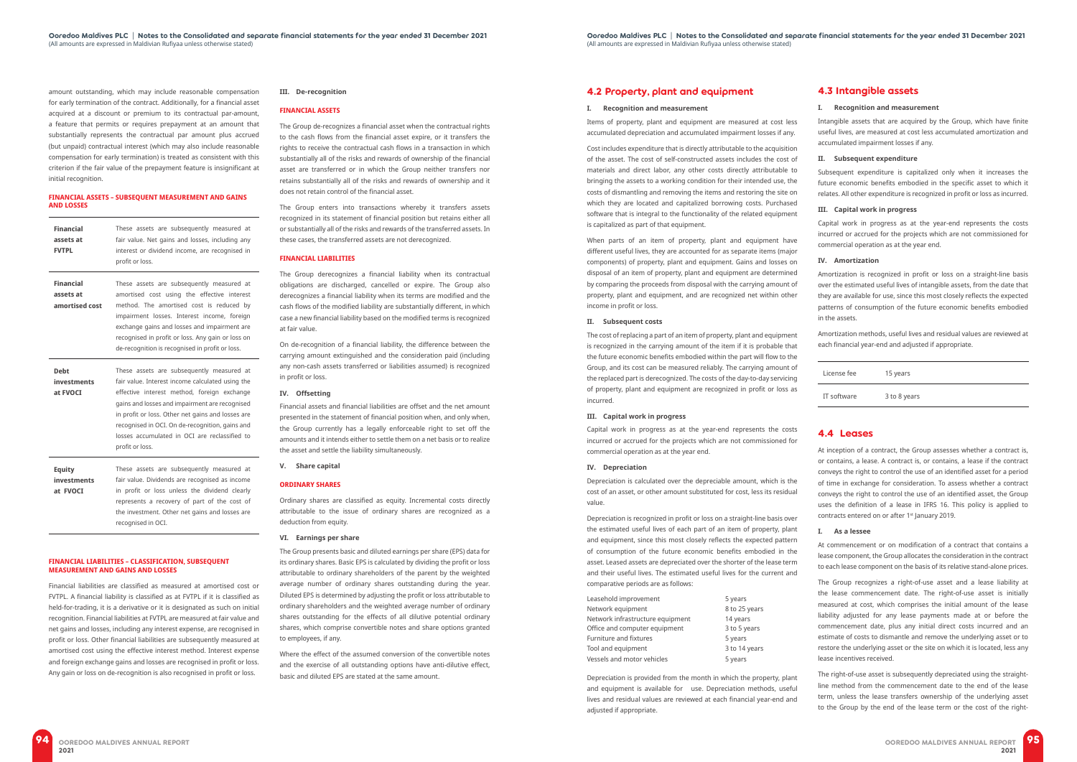amount outstanding, which may include reasonable compensation for early termination of the contract. Additionally, for a financial asset acquired at a discount or premium to its contractual par-amount, a feature that permits or requires prepayment at an amount that substantially represents the contractual par amount plus accrued (but unpaid) contractual interest (which may also include reasonable compensation for early termination) is treated as consistent with this criterion if the fair value of the prepayment feature is insignificant at initial recognition.

#### **FINANCIAL ASSETS – SUBSEQUENT MEASUREMENT AND GAINS AND LOSSES**

| <b>Financial</b><br>assets at<br><b>FVTPL</b>   | These assets are subsequently measured at<br>fair value. Net gains and losses, including any<br>interest or dividend income, are recognised in<br>profit or loss.                                                                                                                                                                                                          |
|-------------------------------------------------|----------------------------------------------------------------------------------------------------------------------------------------------------------------------------------------------------------------------------------------------------------------------------------------------------------------------------------------------------------------------------|
| <b>Financial</b><br>assets at<br>amortised cost | These assets are subsequently measured at<br>amortised cost using the effective interest<br>method. The amortised cost is reduced by<br>impairment losses. Interest income, foreign<br>exchange gains and losses and impairment are<br>recognised in profit or loss. Any gain or loss on<br>de-recognition is recognised in profit or loss.                                |
| <b>Debt</b><br>investments<br>at FVOCI          | These assets are subsequently measured at<br>fair value. Interest income calculated using the<br>effective interest method, foreign exchange<br>gains and losses and impairment are recognised<br>in profit or loss. Other net gains and losses are<br>recognised in OCI. On de-recognition, gains and<br>losses accumulated in OCI are reclassified to<br>profit or loss. |
| <b>Equity</b><br>investments<br>at <b>FVOCI</b> | These assets are subsequently measured at<br>fair value. Dividends are recognised as income<br>in profit or loss unless the dividend clearly<br>represents a recovery of part of the cost of<br>the investment. Other net gains and losses are<br>recognised in OCI.                                                                                                       |

#### **FINANCIAL LIABILITIES – CLASSIFICATION, SUBSEQUENT MEASUREMENT AND GAINS AND LOSSES**

Financial liabilities are classified as measured at amortised cost or FVTPL. A financial liability is classified as at FVTPL if it is classified as held-for-trading, it is a derivative or it is designated as such on initial recognition. Financial liabilities at FVTPL are measured at fair value and net gains and losses, including any interest expense, are recognised in profit or loss. Other financial liabilities are subsequently measured at amortised cost using the effective interest method. Interest expense and foreign exchange gains and losses are recognised in profit or loss. Any gain or loss on de-recognition is also recognised in profit or loss.

#### **III. De-recognition**

#### **FINANCIAL ASSETS**

The Group de-recognizes a financial asset when the contractual rights to the cash flows from the financial asset expire, or it transfers the rights to receive the contractual cash flows in a transaction in which substantially all of the risks and rewards of ownership of the financial asset are transferred or in which the Group neither transfers nor retains substantially all of the risks and rewards of ownership and it does not retain control of the financial asset.

The Group enters into transactions whereby it transfers assets recognized in its statement of financial position but retains either all or substantially all of the risks and rewards of the transferred assets. In these cases, the transferred assets are not derecognized.

#### **FINANCIAL LIABILITIES**

The Group derecognizes a financial liability when its contractual obligations are discharged, cancelled or expire. The Group also derecognizes a financial liability when its terms are modified and the cash flows of the modified liability are substantially different, in which case a new financial liability based on the modified terms is recognized at fair value.

On de-recognition of a financial liability, the difference between the carrying amount extinguished and the consideration paid (including any non-cash assets transferred or liabilities assumed) is recognized in profit or loss.

#### **IV. Offsetting**

Financial assets and financial liabilities are offset and the net amount presented in the statement of financial position when, and only when, the Group currently has a legally enforceable right to set off the amounts and it intends either to settle them on a net basis or to realize the asset and settle the liability simultaneously.

#### **V. Share capital**

#### **ORDINARY SHARES**

Ordinary shares are classified as equity. Incremental costs directly attributable to the issue of ordinary shares are recognized as a deduction from equity.

#### **VI. Earnings per share**

At inception of a contract, the Group assesses whether a contract is, or contains, a lease. A contract is, or contains, a lease if the contract conveys the right to control the use of an identified asset for a period of time in exchange for consideration. To assess whether a contract conveys the right to control the use of an identified asset, the Group uses the definition of a lease in IFRS 16. This policy is applied to contracts entered on or after 1<sup>st</sup> January 2019.

The Group presents basic and diluted earnings per share (EPS) data for its ordinary shares. Basic EPS is calculated by dividing the profit or loss attributable to ordinary shareholders of the parent by the weighted average number of ordinary shares outstanding during the year. Diluted EPS is determined by adjusting the profit or loss attributable to ordinary shareholders and the weighted average number of ordinary shares outstanding for the effects of all dilutive potential ordinary shares, which comprise convertible notes and share options granted to employees, if any.

Where the effect of the assumed conversion of the convertible notes and the exercise of all outstanding options have anti-dilutive effect, basic and diluted EPS are stated at the same amount.

#### 4.2 Property, plant and equipment

#### **I. Recognition and measurement**

Items of property, plant and equipment are measured at cost less accumulated depreciation and accumulated impairment losses if any.

Cost includes expenditure that is directly attributable to the acquisition of the asset. The cost of self-constructed assets includes the cost of materials and direct labor, any other costs directly attributable to bringing the assets to a working condition for their intended use, the costs of dismantling and removing the items and restoring the site on which they are located and capitalized borrowing costs. Purchased software that is integral to the functionality of the related equipment is capitalized as part of that equipment.

When parts of an item of property, plant and equipment have different useful lives, they are accounted for as separate items (major components) of property, plant and equipment. Gains and losses on disposal of an item of property, plant and equipment are determined by comparing the proceeds from disposal with the carrying amount of property, plant and equipment, and are recognized net within other income in profit or loss.

#### **II. Subsequent costs**

The cost of replacing a part of an item of property, plant and equipment is recognized in the carrying amount of the item if it is probable that the future economic benefits embodied within the part will flow to the Group, and its cost can be measured reliably. The carrying amount of the replaced part is derecognized. The costs of the day-to-day servicing of property, plant and equipment are recognized in profit or loss as incurred.

#### **III. Capital work in progress**

Capital work in progress as at the year-end represents the costs incurred or accrued for the projects which are not commissioned for commercial operation as at the year end.

#### **IV. Depreciation**

Depreciation is calculated over the depreciable amount, which is the cost of an asset, or other amount substituted for cost, less its residual value.

Depreciation is recognized in profit or loss on a straight-line basis over the estimated useful lives of each part of an item of property, plant and equipment, since this most closely reflects the expected pattern of consumption of the future economic benefits embodied in the asset. Leased assets are depreciated over the shorter of the lease term and their useful lives. The estimated useful lives for the current and comparative periods are as follows:

| Leasehold improvement            | 5 years       |
|----------------------------------|---------------|
| Network equipment                | 8 to 25 years |
| Network infrastructure equipment | 14 years      |
| Office and computer equipment    | 3 to 5 years  |
| <b>Furniture and fixtures</b>    | 5 years       |
| Tool and equipment               | 3 to 14 years |
| Vessels and motor vehicles       | 5 years       |

Depreciation is provided from the month in which the property, plant and equipment is available for use. Depreciation methods, useful lives and residual values are reviewed at each financial year-end and adjusted if appropriate.

## 4.3 Intangible assets

#### **I. Recognition and measurement**

Intangible assets that are acquired by the Group, which have finite useful lives, are measured at cost less accumulated amortization and accumulated impairment losses if any.

#### **II. Subsequent expenditure**

Subsequent expenditure is capitalized only when it increases the future economic benefits embodied in the specific asset to which it relates. All other expenditure is recognized in profit or loss as incurred.

#### **III. Capital work in progress**

Capital work in progress as at the year-end represents the costs incurred or accrued for the projects which are not commissioned for commercial operation as at the year end.

#### **IV. Amortization**

Amortization is recognized in profit or loss on a straight-line basis over the estimated useful lives of intangible assets, from the date that they are available for use, since this most closely reflects the expected patterns of consumption of the future economic benefits embodied in the assets.

Amortization methods, useful lives and residual values are reviewed at each financial year-end and adjusted if appropriate.

| License fee | 15 years     |
|-------------|--------------|
| IT software | 3 to 8 years |

## 4.4 Leases

#### **I. As a lessee**

At commencement or on modification of a contract that contains a lease component, the Group allocates the consideration in the contract to each lease component on the basis of its relative stand-alone prices.

The Group recognizes a right-of-use asset and a lease liability at the lease commencement date. The right-of-use asset is initially measured at cost, which comprises the initial amount of the lease liability adjusted for any lease payments made at or before the commencement date, plus any initial direct costs incurred and an estimate of costs to dismantle and remove the underlying asset or to restore the underlying asset or the site on which it is located, less any lease incentives received.

The right-of-use asset is subsequently depreciated using the straightline method from the commencement date to the end of the lease term, unless the lease transfers ownership of the underlying asset to the Group by the end of the lease term or the cost of the right-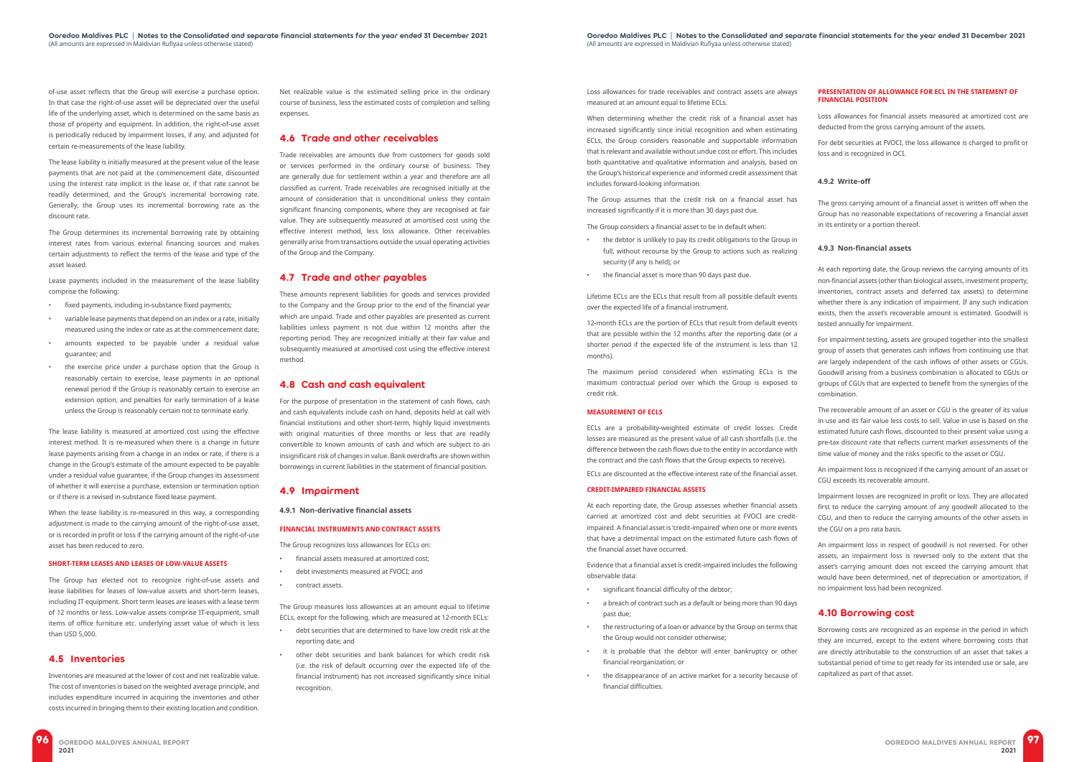

of-use asset reflects that the Group will exercise a purchase option. In that case the right-of-use asset will be depreciated over the useful life of the underlying asset, which is determined on the same basis as those of property and equipment. In addition, the right-of-use asset is periodically reduced by impairment losses, if any, and adjusted for certain re-measurements of the lease liability.

The lease liability is initially measured at the present value of the lease payments that are not paid at the commencement date, discounted using the interest rate implicit in the lease or, if that rate cannot be readily determined, and the Group's incremental borrowing rate. Generally, the Group uses its incremental borrowing rate as the discount rate.

The Group determines its incremental borrowing rate by obtaining interest rates from various external financing sources and makes certain adjustments to reflect the terms of the lease and type of the asset leased.

Lease payments included in the measurement of the lease liability comprise the following:

- fixed payments, including in-substance fixed payments;
- variable lease payments that depend on an index or a rate, initially measured using the index or rate as at the commencement date;
- amounts expected to be payable under a residual value guarantee; and
- the exercise price under a purchase option that the Group is reasonably certain to exercise, lease payments in an optional renewal period if the Group is reasonably certain to exercise an extension option, and penalties for early termination of a lease unless the Group is reasonably certain not to terminate early.

The lease liability is measured at amortized cost using the effective interest method. It is re-measured when there is a change in future lease payments arising from a change in an index or rate, if there is a change in the Group's estimate of the amount expected to be payable under a residual value guarantee, if the Group changes its assessment of whether it will exercise a purchase, extension or termination option or if there is a revised in-substance fixed lease payment.

When the lease liability is re-measured in this way, a corresponding adjustment is made to the carrying amount of the right-of-use asset, or is recorded in profit or loss if the carrying amount of the right-of-use asset has been reduced to zero.

#### **SHORT-TERM LEASES AND LEASES OF LOW-VALUE ASSETS**

- debt securities that are determined to have low credit risk at the reporting date; and
- other debt securities and bank balances for which credit risk (i.e. the risk of default occurring over the expected life of the financial instrument) has not increased significantly since initial recognition

The Group has elected not to recognize right-of-use assets and lease liabilities for leases of low-value assets and short-term leases, including IT equipment. Short term leases are leases with a lease term of 12 months or less. Low-value assets comprise IT-equipment, small items of office furniture etc. underlying asset value of which is less than USD 5,000.

## 4.5 Inventories

Inventories are measured at the lower of cost and net realizable value. The cost of inventories is based on the weighted average principle, and includes expenditure incurred in acquiring the inventories and other costs incurred in bringing them to their existing location and condition.

Net realizable value is the estimated selling price in the ordinary course of business, less the estimated costs of completion and selling expenses.

#### 4.6 Trade and other receivables

Trade receivables are amounts due from customers for goods sold or services performed in the ordinary course of business. They are generally due for settlement within a year and therefore are all classified as current. Trade receivables are recognised initially at the amount of consideration that is unconditional unless they contain significant financing components, where they are recognised at fair value. They are subsequently measured at amortised cost using the effective interest method, less loss allowance. Other receivables generally arise from transactions outside the usual operating activities of the Group and the Company.

## 4.7 Trade and other payables

These amounts represent liabilities for goods and services provided to the Company and the Group prior to the end of the financial year which are unpaid. Trade and other payables are presented as current liabilities unless payment is not due within 12 months after the reporting period. They are recognized initially at their fair value and subsequently measured at amortised cost using the effective interest method.

- significant financial difficulty of the debtor;
- a breach of contract such as a default or being more than 90 days past due;
- the restructuring of a loan or advance by the Group on terms that the Group would not consider otherwise;
- it is probable that the debtor will enter bankruptcy or other financial reorganization; or
- the disappearance of an active market for a security because of financial difficulties.

## 4.8 Cash and cash equivalent

For the purpose of presentation in the statement of cash flows, cash and cash equivalents include cash on hand, deposits held at call with financial institutions and other short-term, highly liquid investments with original maturities of three months or less that are readily convertible to known amounts of cash and which are subject to an insignificant risk of changes in value. Bank overdrafts are shown within borrowings in current liabilities in the statement of financial position.

#### 4.9 Impairment

**4.9.1 Non-derivative financial assets**

#### **FINANCIAL INSTRUMENTS AND CONTRACT ASSETS**

The Group recognizes loss allowances for ECLs on:

- financial assets measured at amortized cost;
- debt investments measured at FVOCI; and
- contract assets.

The Group measures loss allowances at an amount equal to lifetime ECLs, except for the following, which are measured at 12-month ECLs:

Loss allowances for trade receivables and contract assets are always measured at an amount equal to lifetime ECLs.

When determining whether the credit risk of a financial asset has increased significantly since initial recognition and when estimating ECLs, the Group considers reasonable and supportable information that is relevant and available without undue cost or effort. This includes both quantitative and qualitative information and analysis, based on the Group's historical experience and informed credit assessment that includes forward-looking information.

The Group assumes that the credit risk on a financial asset has increased significantly if it is more than 30 days past due.

The Group considers a financial asset to be in default when:

- the debtor is unlikely to pay its credit obligations to the Group in full, without recourse by the Group to actions such as realizing security (if any is held); or
- the financial asset is more than 90 days past due.

Lifetime ECLs are the ECLs that result from all possible default events over the expected life of a financial instrument.

12-month ECLs are the portion of ECLs that result from default events that are possible within the 12 months after the reporting date (or a shorter period if the expected life of the instrument is less than 12 months).

The maximum period considered when estimating ECLs is the maximum contractual period over which the Group is exposed to credit risk.

#### **MEASUREMENT OF ECLS**

ECLs are a probability-weighted estimate of credit losses. Credit losses are measured as the present value of all cash shortfalls (i.e. the difference between the cash flows due to the entity in accordance with the contract and the cash flows that the Group expects to receive).

ECLs are discounted at the effective interest rate of the financial asset.

#### **CREDIT-IMPAIRED FINANCIAL ASSETS**

At each reporting date, the Group assesses whether financial assets carried at amortized cost and debt securities at FVOCI are creditimpaired. A financial asset is 'credit-impaired' when one or more events that have a detrimental impact on the estimated future cash flows of the financial asset have occurred.

Evidence that a financial asset is credit-impaired includes the following observable data:

#### **PRESENTATION OF ALLOWANCE FOR ECL IN THE STATEMENT OF FINANCIAL POSITION**

Loss allowances for financial assets measured at amortized cost are deducted from the gross carrying amount of the assets.

For debt securities at FVOCI, the loss allowance is charged to profit or loss and is recognized in OCI.

#### **4.9.2 Write-off**

The gross carrying amount of a financial asset is written off when the Group has no reasonable expectations of recovering a financial asset in its entirety or a portion thereof.

#### **4.9.3 Non-financial assets**

At each reporting date, the Group reviews the carrying amounts of its non-financial assets (other than biological assets, investment property, inventories, contract assets and deferred tax assets) to determine whether there is any indication of impairment. If any such indication exists, then the asset's recoverable amount is estimated. Goodwill is tested annually for impairment.

For impairment testing, assets are grouped together into the smallest group of assets that generates cash inflows from continuing use that are largely independent of the cash inflows of other assets or CGUs. Goodwill arising from a business combination is allocated to CGUs or groups of CGUs that are expected to benefit from the synergies of the combination.

The recoverable amount of an asset or CGU is the greater of its value in use and its fair value less costs to sell. Value in use is based on the estimated future cash flows, discounted to their present value using a pre-tax discount rate that reflects current market assessments of the time value of money and the risks specific to the asset or CGU.

An impairment loss is recognized if the carrying amount of an asset or CGU exceeds its recoverable amount.

Impairment losses are recognized in profit or loss. They are allocated first to reduce the carrying amount of any goodwill allocated to the CGU, and then to reduce the carrying amounts of the other assets in the CGU on a pro rata basis.

An impairment loss in respect of goodwill is not reversed. For other assets, an impairment loss is reversed only to the extent that the asset's carrying amount does not exceed the carrying amount that would have been determined, net of depreciation or amortization, if no impairment loss had been recognized.

#### 4.10 Borrowing cost

Borrowing costs are recognized as an expense in the period in which they are incurred, except to the extent where borrowing costs that are directly attributable to the construction of an asset that takes a substantial period of time to get ready for its intended use or sale, are capitalized as part of that asset.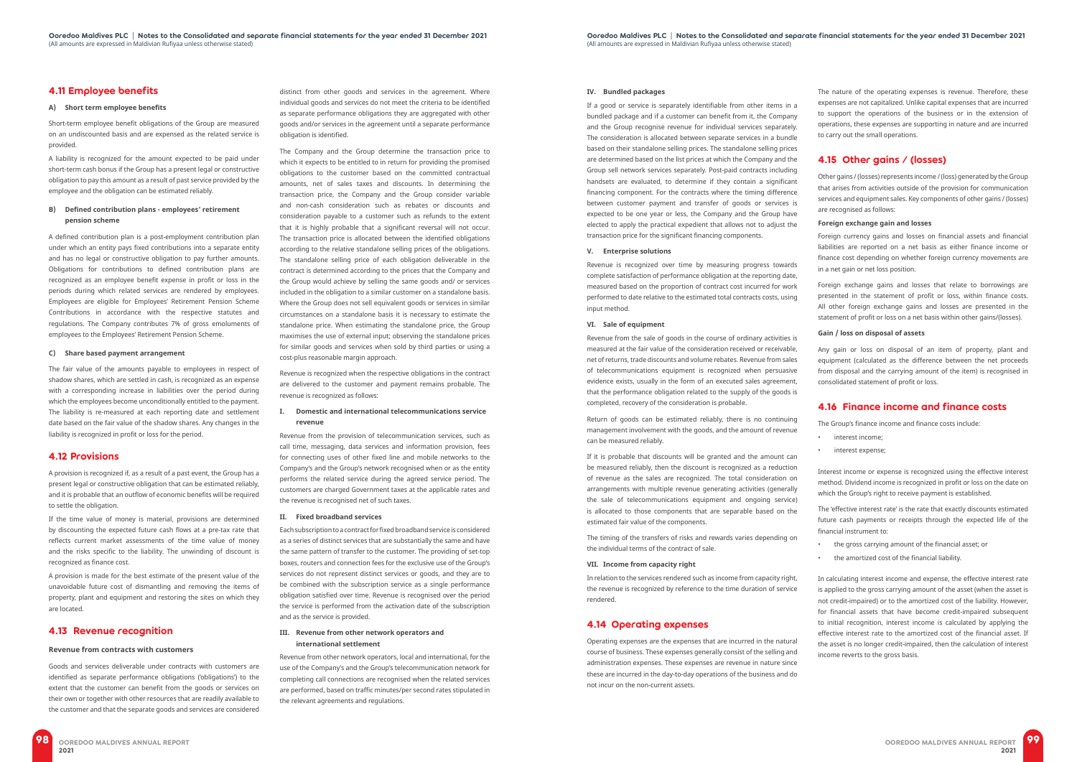

## 4.11 Employee benefits

#### **A) Short term employee benefits**

Short-term employee benefit obligations of the Group are measured on an undiscounted basis and are expensed as the related service is provided.

A liability is recognized for the amount expected to be paid under short-term cash bonus if the Group has a present legal or constructive obligation to pay this amount as a result of past service provided by the employee and the obligation can be estimated reliably.

#### **B) Defined contribution plans - employees' retirement pension scheme**

A defined contribution plan is a post-employment contribution plan under which an entity pays fixed contributions into a separate entity and has no legal or constructive obligation to pay further amounts. Obligations for contributions to defined contribution plans are recognized as an employee benefit expense in profit or loss in the periods during which related services are rendered by employees. Employees are eligible for Employees' Retirement Pension Scheme Contributions in accordance with the respective statutes and regulations. The Company contributes 7% of gross emoluments of employees to the Employees' Retirement Pension Scheme.

#### **C) Share based payment arrangement**

The fair value of the amounts payable to employees in respect of shadow shares, which are settled in cash, is recognized as an expense with a corresponding increase in liabilities over the period during which the employees become unconditionally entitled to the payment. The liability is re-measured at each reporting date and settlement date based on the fair value of the shadow shares. Any changes in the liability is recognized in profit or loss for the period.

#### 4.12 Provisions

A provision is recognized if, as a result of a past event, the Group has a present legal or constructive obligation that can be estimated reliably, and it is probable that an outflow of economic benefits will be required to settle the obligation.

If the time value of money is material, provisions are determined by discounting the expected future cash flows at a pre-tax rate that reflects current market assessments of the time value of money and the risks specific to the liability. The unwinding of discount is recognized as finance cost.

A provision is made for the best estimate of the present value of the unavoidable future cost of dismantling and removing the items of property, plant and equipment and restoring the sites on which they are located.

## 4.13 Revenue recognition

#### **Revenue from contracts with customers**

Goods and services deliverable under contracts with customers are identified as separate performance obligations ('obligations') to the extent that the customer can benefit from the goods or services on their own or together with other resources that are readily available to the customer and that the separate goods and services are considered

distinct from other goods and services in the agreement. Where individual goods and services do not meet the criteria to be identified as separate performance obligations they are aggregated with other goods and/or services in the agreement until a separate performance obligation is identified.

The Company and the Group determine the transaction price to which it expects to be entitled to in return for providing the promised obligations to the customer based on the committed contractual amounts, net of sales taxes and discounts. In determining the transaction price, the Company and the Group consider variable and non-cash consideration such as rebates or discounts and consideration payable to a customer such as refunds to the extent that it is highly probable that a significant reversal will not occur. The transaction price is allocated between the identified obligations according to the relative standalone selling prices of the obligations. The standalone selling price of each obligation deliverable in the contract is determined according to the prices that the Company and the Group would achieve by selling the same goods and/ or services included in the obligation to a similar customer on a standalone basis. Where the Group does not sell equivalent goods or services in similar circumstances on a standalone basis it is necessary to estimate the standalone price. When estimating the standalone price, the Group maximises the use of external input; observing the standalone prices for similar goods and services when sold by third parties or using a cost-plus reasonable margin approach.

Revenue is recognized when the respective obligations in the contract are delivered to the customer and payment remains probable. The revenue is recognized as follows:

#### **I. Domestic and international telecommunications service revenue**

Revenue from the provision of telecommunication services, such as call time, messaging, data services and information provision, fees for connecting uses of other fixed line and mobile networks to the Company's and the Group's network recognised when or as the entity performs the related service during the agreed service period. The customers are charged Government taxes at the applicable rates and the revenue is recognised net of such taxes.

#### **II. Fixed broadband services**

Each subscription to a contract for fixed broadband service is considered as a series of distinct services that are substantially the same and have the same pattern of transfer to the customer. The providing of set-top boxes, routers and connection fees for the exclusive use of the Group's services do not represent distinct services or goods, and they are to be combined with the subscription service as a single performance obligation satisfied over time. Revenue is recognised over the period the service is performed from the activation date of the subscription and as the service is provided.

#### **III. Revenue from other network operators and international settlement**

Revenue from other network operators, local and international, for the use of the Company's and the Group's telecommunication network for completing call connections are recognised when the related services are performed, based on traffic minutes/per second rates stipulated in the relevant agreements and regulations.

#### **IV. Bundled packages**

If a good or service is separately identifiable from other items in a bundled package and if a customer can benefit from it, the Company and the Group recognise revenue for individual services separately. The consideration is allocated between separate services in a bundle based on their standalone selling prices. The standalone selling prices are determined based on the list prices at which the Company and the Group sell network services separately. Post-paid contracts including handsets are evaluated, to determine if they contain a significant financing component. For the contracts where the timing difference between customer payment and transfer of goods or services is expected to be one year or less, the Company and the Group have elected to apply the practical expedient that allows not to adjust the transaction price for the significant financing components.

#### **V. Enterprise solutions**

Revenue is recognized over time by measuring progress towards complete satisfaction of performance obligation at the reporting date, measured based on the proportion of contract cost incurred for work performed to date relative to the estimated total contracts costs, using input method.

#### **VI. Sale of equipment**

Revenue from the sale of goods in the course of ordinary activities is measured at the fair value of the consideration received or receivable, net of returns, trade discounts and volume rebates. Revenue from sales of telecommunications equipment is recognized when persuasive evidence exists, usually in the form of an executed sales agreement, that the performance obligation related to the supply of the goods is completed, recovery of the consideration is probable.

Return of goods can be estimated reliably, there is no continuing management involvement with the goods, and the amount of revenue can be measured reliably.

If it is probable that discounts will be granted and the amount can be measured reliably, then the discount is recognized as a reduction of revenue as the sales are recognized. The total consideration on arrangements with multiple revenue generating activities (generally the sale of telecommunications equipment and ongoing service) is allocated to those components that are separable based on the estimated fair value of the components.

The timing of the transfers of risks and rewards varies depending on the individual terms of the contract of sale.

#### **VII. Income from capacity right**

In relation to the services rendered such as income from capacity right, the revenue is recognized by reference to the time duration of service rendered.

## 4.14 Operating expenses

Operating expenses are the expenses that are incurred in the natural course of business. These expenses generally consist of the selling and administration expenses. These expenses are revenue in nature since these are incurred in the day-to-day operations of the business and do not incur on the non-current assets.

The nature of the operating expenses is revenue. Therefore, these expenses are not capitalized. Unlike capital expenses that are incurred to support the operations of the business or in the extension of operations, these expenses are supporting in nature and are incurred to carry out the small operations.

## 4.15 Other gains / (losses)

Other gains / (losses) represents income / (loss) generated by the Group that arises from activities outside of the provision for communication services and equipment sales. Key components of other gains / (losses) are recognised as follows:

#### **Foreign exchange gain and losses**

Foreign currency gains and losses on financial assets and financial liabilities are reported on a net basis as either finance income or finance cost depending on whether foreign currency movements are in a net gain or net loss position.

Foreign exchange gains and losses that relate to borrowings are presented in the statement of profit or loss, within finance costs. All other foreign exchange gains and losses are presented in the statement of profit or loss on a net basis within other gains/(losses).

#### **Gain / loss on disposal of assets**

Any gain or loss on disposal of an item of property, plant and equipment (calculated as the difference between the net proceeds from disposal and the carrying amount of the item) is recognised in consolidated statement of profit or loss.

## 4.16 Finance income and finance costs

The Group's finance income and finance costs include:

- interest income;
- interest expense;

Interest income or expense is recognized using the effective interest method. Dividend income is recognized in profit or loss on the date on which the Group's right to receive payment is established.

The 'effective interest rate' is the rate that exactly discounts estimated future cash payments or receipts through the expected life of the financial instrument to:

- the gross carrying amount of the financial asset; or
- the amortized cost of the financial liability.

In calculating interest income and expense, the effective interest rate is applied to the gross carrying amount of the asset (when the asset is not credit-impaired) or to the amortized cost of the liability. However, for financial assets that have become credit-impaired subsequent to initial recognition, interest income is calculated by applying the effective interest rate to the amortized cost of the financial asset. If the asset is no longer credit-impaired, then the calculation of interest income reverts to the gross basis.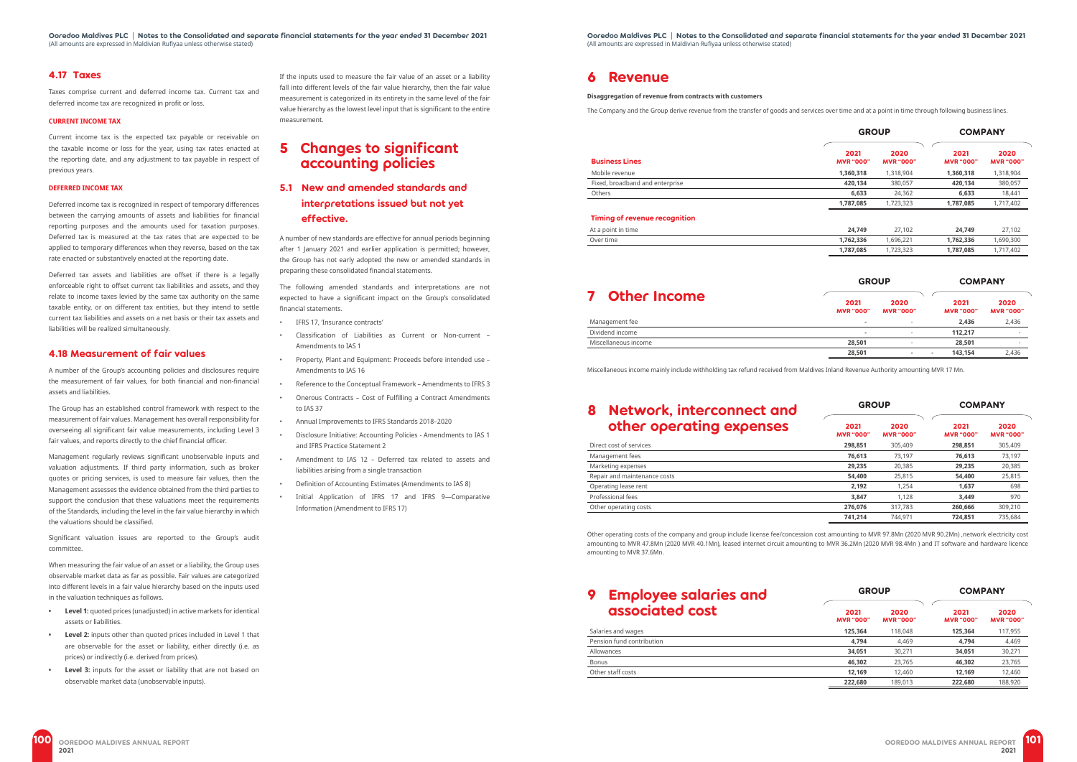## 4.17 Taxes

Taxes comprise current and deferred income tax. Current tax and deferred income tax are recognized in profit or loss.

#### **CURRENT INCOME TAX**

Current income tax is the expected tax payable or receivable on the taxable income or loss for the year, using tax rates enacted at the reporting date, and any adjustment to tax payable in respect of previous years.

#### **DEFERRED INCOME TAX**

Deferred tax assets and liabilities are offset if there is a legally enforceable right to offset current tax liabilities and assets, and they relate to income taxes levied by the same tax authority on the same taxable entity, or on different tax entities, but they intend to settle current tax liabilities and assets on a net basis or their tax assets and liabilities will be realized simultaneously.

Deferred income tax is recognized in respect of temporary differences between the carrying amounts of assets and liabilities for financial reporting purposes and the amounts used for taxation purposes. Deferred tax is measured at the tax rates that are expected to be applied to temporary differences when they reverse, based on the tax rate enacted or substantively enacted at the reporting date.

## 4.18 Measurement of fair values

A number of the Group's accounting policies and disclosures require the measurement of fair values, for both financial and non-financial assets and liabilities.

The Group has an established control framework with respect to the measurement of fair values. Management has overall responsibility for overseeing all significant fair value measurements, including Level 3 fair values, and reports directly to the chief financial officer.

Management regularly reviews significant unobservable inputs and valuation adjustments. If third party information, such as broker quotes or pricing services, is used to measure fair values, then the Management assesses the evidence obtained from the third parties to support the conclusion that these valuations meet the requirements of the Standards, including the level in the fair value hierarchy in which the valuations should be classified.

Significant valuation issues are reported to the Group's audit committee.

When measuring the fair value of an asset or a liability, the Group uses observable market data as far as possible. Fair values are categorized into different levels in a fair value hierarchy based on the inputs used in the valuation techniques as follows.

- **• Level 1:** quoted prices (unadjusted) in active markets for identical assets or liabilities.
- **• Level 2:** inputs other than quoted prices included in Level 1 that are observable for the asset or liability, either directly (i.e. as prices) or indirectly (i.e. derived from prices).
- **• Level 3:** inputs for the asset or liability that are not based on observable market data (unobservable inputs).

If the inputs used to measure the fair value of an asset or a liability fall into different levels of the fair value hierarchy, then the fair value measurement is categorized in its entirety in the same level of the fair value hierarchy as the lowest level input that is significant to the entire measurement.

# 5 Changes to significant accounting policies

# 5.1 New and amended standards and interpretations issued but not yet effective.

A number of new standards are effective for annual periods beginning after 1 January 2021 and earlier application is permitted; however, the Group has not early adopted the new or amended standards in preparing these consolidated financial statements.

The following amended standards and interpretations are not expected to have a significant impact on the Group's consolidated financial statements.

- IFRS 17, 'Insurance contracts'
- Classification of Liabilities as Current or Non-current Amendments to IAS 1
- Property, Plant and Equipment: Proceeds before intended use Amendments to IAS 16
- Reference to the Conceptual Framework Amendments to IFRS 3
- Onerous Contracts Cost of Fulfilling a Contract Amendments to IAS 37
- Annual Improvements to IFRS Standards 2018–2020
- Disclosure Initiative: Accounting Policies Amendments to IAS 1 and IEDS Practice Statement 2
- Amendment to IAS 12 Deferred tax related to assets and liabilities arising from a single transaction
- Definition of Accounting Estimates (Amendments to IAS 8)
- Initial Application of IFRS 17 and IFRS 9-Comparative Information (Amendment to IFRS 17)

|                      | <b>GROUP</b>             |                          | <b>COMPANY</b>                      |                          |
|----------------------|--------------------------|--------------------------|-------------------------------------|--------------------------|
| <b>Other Income</b>  | 2021<br><b>MVR "000"</b> | 2020<br><b>MVR "000"</b> | 2021<br><b>MVR "000"</b>            | 2020<br><b>MVR "000"</b> |
| Management fee       | $\overline{\phantom{a}}$ | $\sim$                   | 2,436                               | 2,436                    |
| Dividend income      | $\overline{\phantom{a}}$ |                          | 112,217                             |                          |
| Miscellaneous income | 28,501                   |                          | 28.501                              |                          |
|                      | 28,501                   |                          | 143,154<br>$\overline{\phantom{a}}$ | 2,436                    |

| <b>GROUP</b>             |                          | <b>COMPANY</b>           |                          |
|--------------------------|--------------------------|--------------------------|--------------------------|
| 2021<br><b>MVR "000"</b> | 2020<br><b>MVR "000"</b> | 2021<br><b>MVR "000"</b> | 2020<br><b>MVR "000"</b> |
| 125,364                  | 118.048                  | 125,364                  | 117,955                  |
| 4.794                    | 4.469                    | 4.794                    | 4.469                    |
| 34,051                   | 30.271                   | 34,051                   | 30,271                   |
| 46.302                   | 23,765                   | 46.302                   | 23,765                   |
| 12,169                   | 12,460                   | 12,169                   | 12,460                   |
| 222.680                  | 189,013                  | 222.680                  | 188,920                  |

| Salaries and wages        | 125.364 | 118.048 | 125.364 | 117.955 |
|---------------------------|---------|---------|---------|---------|
| Pension fund contribution | 4.794   | 4.469   | 4.794   | 4.469   |
| Allowances                | 34.051  | 30.271  | 34.051  | 30.271  |
| <b>Bonus</b>              | 46.302  | 23.765  | 46.302  | 23,765  |
| Other staff costs         | 12.169  | 12,460  | 12.169  | 12.460  |
|                           |         |         |         |         |

# 6 Revenue

# 9 Employee salaries and associated cost

| <b>Network, interconnect and</b><br>8 |                          | <b>GROUP</b>             |                          | <b>COMPANY</b>           |  |  |
|---------------------------------------|--------------------------|--------------------------|--------------------------|--------------------------|--|--|
| other operating expenses              | 2021<br><b>MVR "000"</b> | 2020<br><b>MVR "000"</b> | 2021<br><b>MVR "000"</b> | 2020<br><b>MVR "000"</b> |  |  |
| Direct cost of services               | 298.851                  | 305,409                  | 298.851                  | 305,409                  |  |  |
| Management fees                       | 76,613                   | 73,197                   | 76,613                   | 73,197                   |  |  |
| Marketing expenses                    | 29.235                   | 20.385                   | 29,235                   | 20,385                   |  |  |
| Repair and maintenance costs          | 54.400                   | 25.815                   | 54.400                   | 25,815                   |  |  |
| Operating lease rent                  | 2.192                    | 1.254                    | 1.637                    | 698                      |  |  |
| Professional fees                     | 3,847                    | 1.128                    | 3,449                    | 970                      |  |  |
| Other operating costs                 | 276.076                  | 317.783                  | 260.666                  | 309,210                  |  |  |
|                                       | 741.214                  | 744.971                  | 724.851                  | 735.684                  |  |  |

#### **Disaggregation of revenue from contracts with customers**

The Company and the Group derive revenue from the transfer of goods and services over time and at a point in time through following business lines.

Miscellaneous income mainly include withholding tax refund received from Maldives Inland Revenue Authority amounting MVR 17 Mn.

|                                 |                          | <b>GROUP</b>             |                          | <b>COMPANY</b>           |  |
|---------------------------------|--------------------------|--------------------------|--------------------------|--------------------------|--|
| <b>Business Lines</b>           | 2021<br><b>MVR "000"</b> | 2020<br><b>MVR "000"</b> | 2021<br><b>MVR "000"</b> | 2020<br><b>MVR "000"</b> |  |
| Mobile revenue                  | 1,360,318                | 1,318,904                | 1,360,318                | 1,318,904                |  |
| Fixed, broadband and enterprise | 420,134                  | 380,057                  | 420,134                  | 380,057                  |  |
| Others                          | 6,633                    | 24,362                   | 6.633                    | 18.441                   |  |
|                                 | 1,787,085                | 1,723,323                | 1,787,085                | 1,717,402                |  |
| Timing of revenue recognition   |                          |                          |                          |                          |  |
| At a point in time              | 24,749                   | 27,102                   | 24,749                   | 27,102                   |  |
| Over time                       | 1,762,336                | 1,696,221                | 1,762,336                | 1,690,300                |  |
|                                 | 1,787,085                | 1,723,323                | 1,787,085                | 1,717,402                |  |

Other operating costs of the company and group include license fee/concession cost amounting to MVR 97.8Mn (2020 MVR 90.2Mn) ,network electricity cost amounting to MVR 47.8Mn (2020 MVR 40.1Mn), leased internet circuit amounting to MVR 36.2Mn (2020 MVR 98.4Mn ) and IT software and hardware licence amounting to MVR 37.6Mn.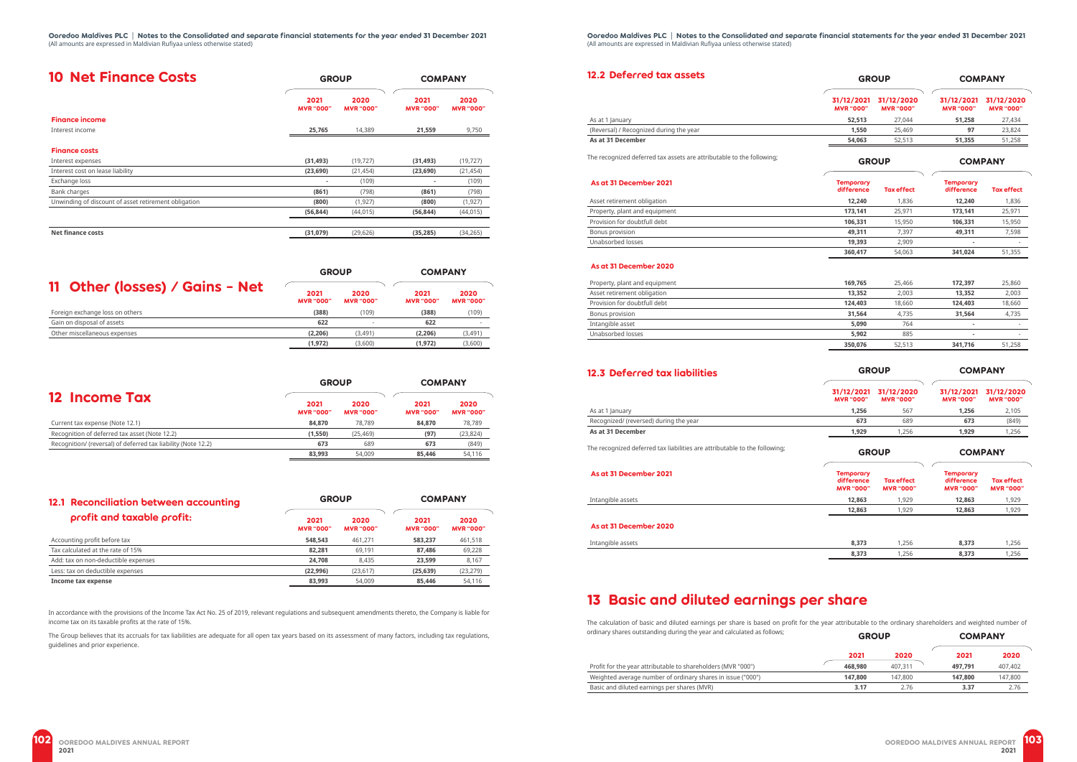Ooredoo Maldives PLC | Notes to the Consolidated and separate financial statements for the year ended 31 December 2021 (All amounts are expressed in Maldivian Rufiyaa unless otherwise stated)

|                                 |                          | <b>GROUP</b>                                         |         | <b>COMPANY</b>           |
|---------------------------------|--------------------------|------------------------------------------------------|---------|--------------------------|
| 11 Other (losses) / Gains - Net | 2021<br><b>MVR "000"</b> | 2020<br>2021<br><b>MVR "000"</b><br><b>MVR "000"</b> |         | 2020<br><b>MVR "000"</b> |
| Foreign exchange loss on others | (388)                    | (109)                                                | (388)   | (109)                    |
| Gain on disposal of assets      | 622                      |                                                      | 622     |                          |
| Other miscellaneous expenses    | (2, 206)                 | (3,491)                                              | (2,206) | (3,491)                  |
|                                 | (1,972)                  | (3,600)                                              | (1,972) | (3,600)                  |

The Group believes that its accruals for tax liabilities are adequate for all open tax years based on its assessment of many factors, including tax regulations, guidelines and prior experience.

|                                                               | <b>GROUP</b>             |                          | <b>COMPANY</b>           |                          |  |
|---------------------------------------------------------------|--------------------------|--------------------------|--------------------------|--------------------------|--|
| <b>12 Income Tax</b>                                          | 2021<br><b>MVR "000"</b> | 2020<br><b>MVR "000"</b> | 2021<br><b>MVR "000"</b> | 2020<br><b>MVR "000"</b> |  |
| Current tax expense (Note 12.1)                               | 84.870                   | 78.789                   | 84.870                   | 78,789                   |  |
| Recognition of deferred tax asset (Note 12.2)                 | (1,550)                  | (25, 469)                | (97)                     | (23, 824)                |  |
| Recognition/ (reversal) of deferred tax liability (Note 12.2) | 673                      | 689                      | 673                      | (849)                    |  |
|                                                               | 83.993                   | 54.009                   | 85.446                   | 54.116                   |  |

| <b>10 Net Finance Costs</b>                          | <b>GROUP</b>             |                          | <b>COMPANY</b>           |                          |
|------------------------------------------------------|--------------------------|--------------------------|--------------------------|--------------------------|
|                                                      | 2021<br><b>MVR "000"</b> | 2020<br><b>MVR "000"</b> | 2021<br><b>MVR "000"</b> | 2020<br><b>MVR "000"</b> |
| <b>Finance income</b>                                |                          |                          |                          |                          |
| Interest income                                      | 25,765                   | 14,389                   | 21,559                   | 9,750                    |
| <b>Finance costs</b>                                 |                          |                          |                          |                          |
| Interest expenses                                    | (31, 493)                | (19, 727)                | (31, 493)                | (19, 727)                |
| Interest cost on lease liability                     | (23, 690)                | (21, 454)                | (23,690)                 | (21, 454)                |
| Exchange loss                                        | $\blacksquare$           | (109)                    | ٠                        | (109)                    |
| <b>Bank charges</b>                                  | (861)                    | (798)                    | (861)                    | (798)                    |
| Unwinding of discount of asset retirement obligation | (800)                    | (1, 927)                 | (800)                    | (1, 927)                 |
|                                                      | (56, 844)                | (44, 015)                | (56, 844)                | (44, 015)                |
| <b>Net finance costs</b>                             | (31,079)                 | (29, 626)                | (35, 285)                | (34, 265)                |

| 12.1 Reconciliation between accounting | <b>GROUP</b>             |                          | <b>COMPANY</b>           |                          |  |
|----------------------------------------|--------------------------|--------------------------|--------------------------|--------------------------|--|
| profit and taxable profit:             | 2021<br><b>MVR "000"</b> | 2020<br><b>MVR "000"</b> | 2021<br><b>MVR "000"</b> | 2020<br><b>MVR "000"</b> |  |
| Accounting profit before tax           | 548.543                  | 461.271                  | 583.237                  | 461,518                  |  |
| Tax calculated at the rate of 15%      | 82.281                   | 69.191                   | 87.486                   | 69,228                   |  |
| Add: tax on non-deductible expenses    | 24.708                   | 8.435                    | 23.599                   | 8,167                    |  |
| Less: tax on deductible expenses       | (22,996)                 | (23, 617)                | (25, 639)                | (23, 279)                |  |
| <b>Income tax expense</b>              | 83.993                   | 54,009                   | 85.446                   | 54,116                   |  |

In accordance with the provisions of the Income Tax Act No. 25 of 2019, relevant regulations and subsequent amendments thereto, the Company is liable for income tax on its taxable profits at the rate of 15%.

> Profit for the year attributable to shareholders (MVR "000") Weighted average number of ordinary shares in issue ("000") Basic and diluted earnings per shares (MVR) **3.17** 2.76 **3.37** 2.76

| Property, plant and equipment | 173.141 | 25.971 | 173.141 | 25.971 |
|-------------------------------|---------|--------|---------|--------|
| Provision for doubtfull debt  | 106.331 | 15.950 | 106.331 | 15,950 |
| Bonus provision               | 49.311  | 7.397  | 49.311  | 7,598  |
| Unabsorbed losses             | 19.393  | 2.909  |         |        |
|                               |         |        |         |        |

 **360,417** 54,063 **341,024** 51,355

|                                | <b>GROUP</b>                   | <b>COMPANY</b>                 |                                |
|--------------------------------|--------------------------------|--------------------------------|--------------------------------|
| 31/12/2021<br><b>MVR "000"</b> | 31/12/2020<br><b>MVR "000"</b> | 31/12/2021<br><b>MVR "000"</b> | 31/12/2020<br><b>MVR "000"</b> |
| 52,513                         | 27,044                         | 51,258                         | 27,434                         |
| 1.550                          | 25.469                         | 97                             | 23.824                         |
| 54.063                         | 52.513                         | 51.355                         | 51.258                         |
| <b>GROUP</b>                   |                                |                                | <b>COMPANY</b>                 |
| <b>Temporary</b><br>difference | <b>Tax effect</b>              | <b>Temporary</b><br>difference | <b>Tax effect</b>              |
| 12.240                         | 1.836                          | 12.240                         | 1,836                          |
| 173,141                        | 25.971                         | 173,141                        | 25.971                         |
| 106.331                        | 15.950                         | 106.331                        | 15.950                         |

# 13 Basic and diluted earnings pe

 **8,373** 1,256 **8,373** 1,256

| snor |  |
|------|--|
|      |  |

| As at 31 December 2021 | <b>Temporary</b><br>difference<br><b>MVR "000"</b> | <b>Tax effect</b><br><b>MVR "000"</b> | <b>Temporary</b><br>difference<br><b>MVR "000"</b> | <b>Tax effect</b><br><b>MVR "000"</b> |  |
|------------------------|----------------------------------------------------|---------------------------------------|----------------------------------------------------|---------------------------------------|--|
| Intangible assets      | 12.863                                             | 1.929                                 | 12.863                                             | 1,929                                 |  |
|                        | 12.863                                             | 1.929                                 | 12.863                                             | 1.929                                 |  |
| As at 31 December 2020 |                                                    |                                       |                                                    |                                       |  |
| Intangible assets      | 8.373                                              | 1.256                                 | 8.373                                              | 1.256                                 |  |

|                                                                       | <b>MVR "000"</b>               | <b>MVR "000"</b>  | <b>MVR "000"</b>               | <b>MVR "000"</b>  |
|-----------------------------------------------------------------------|--------------------------------|-------------------|--------------------------------|-------------------|
| As at 1 January                                                       | 52.513                         | 27,044            | 51,258                         | 27,434            |
| (Reversal) / Recognized during the year                               | 1.550                          | 25,469            | 97                             | 23,824            |
| As at 31 December                                                     | 54,063                         | 52,513            | 51.355                         | 51,258            |
| The recognized deferred tax assets are attributable to the following; | <b>GROUP</b>                   |                   |                                | <b>COMPANY</b>    |
| As at 31 December 2021                                                | <b>Temporary</b><br>difference | <b>Tax effect</b> | <b>Temporary</b><br>difference | <b>Tax effect</b> |
| Asset retirement obligation                                           | 12.240                         | 1.836             | 12.240                         | 1.836             |
| Dranarhi plant and conjument                                          | 472444                         | 25074             | 472444                         | <b>DE 071</b>     |

#### GROUP COMPANY

#### 31/12/2021 31/12/2020 MVR "000" MVR "000" 31/12/2021 31/12/2020 MVR "000" MVR "000"

|                                        | _____ |     | ________ | _______ |
|----------------------------------------|-------|-----|----------|---------|
| As at 1 January                        | 1.256 | 567 | .256     | 2.105   |
| Recognized/ (reversed) during the year |       | 689 | 673      | (849)   |
| As at 31 December                      | 1.929 | 256 | 1.929    | .256    |
|                                        |       |     |          |         |

#### GROUP COMPANY

#### As at 31 December 2020

| Property, plant and equipment | 169.765 | 25,466 | 172.397                  | 25,860 |
|-------------------------------|---------|--------|--------------------------|--------|
| Asset retirement obligation   | 13.352  | 2.003  | 13.352                   | 2,003  |
| Provision for doubtfull debt  | 124.403 | 18.660 | 124.403                  | 18,660 |
| Bonus provision               | 31.564  | 4.735  | 31.564                   | 4,735  |
| Intangible asset              | 5.090   | 764    | $\overline{\phantom{a}}$ | $\sim$ |
| Unabsorbed losses             | 5.902   | 885    | $\overline{\phantom{a}}$ | $\sim$ |
|                               | 350.076 | 52,513 | 341.716                  | 51,258 |

## 12.2 Deferred tax assets

## 12.3 Deferred tax liabilities

The recognized deferred tax liabilities are attributable to the following;

## As at 31 December 2021

|      |                    | <b>COMPANY</b> |         |
|------|--------------------|----------------|---------|
| 2021 | 2020               | 2021           | 2020    |
|      | 407.311            | 497.791        | 407.402 |
|      | 147,800            | 147.800        | 147,800 |
| 3.17 | 2.76               | 3.37           | 2.76    |
|      | 468.980<br>147.800 | <b>GROUP</b>   |         |



The calculation of basic and diluted earnings per share is based on profit for the year attributable to the ordinary shareholders and weighted number of ordinary shares outstanding during the year and calculated as follows;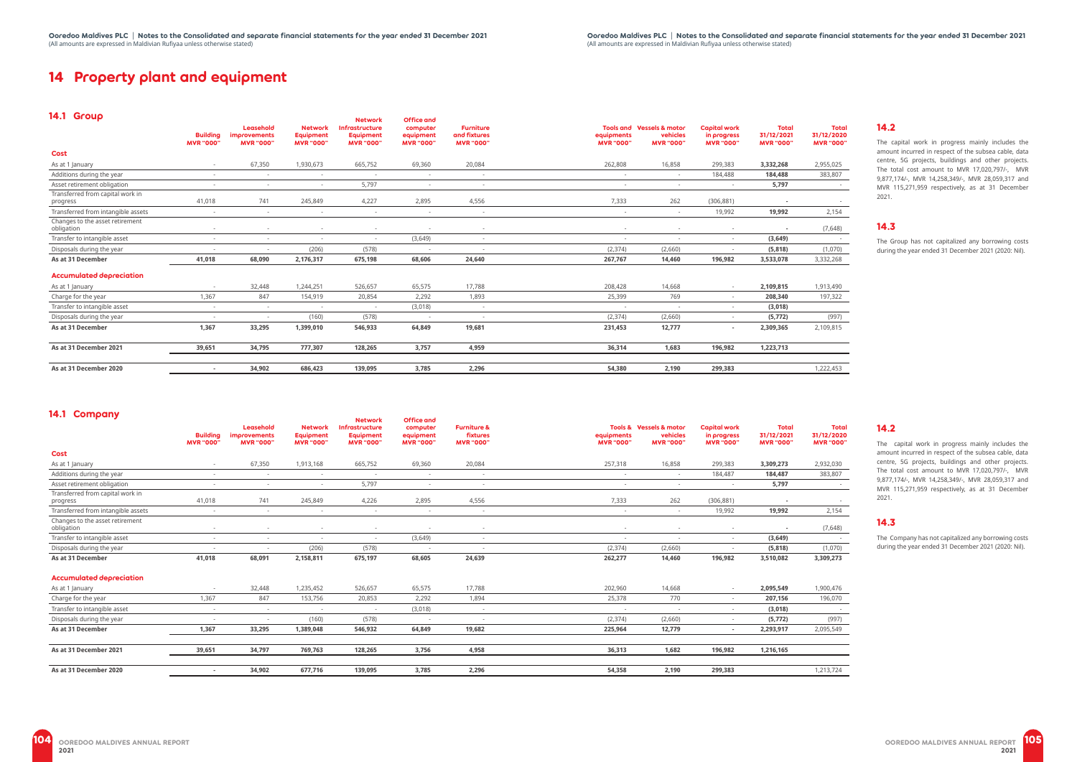#### Total 31/12/2020 MVR "000"

| 2,955,025 |  |
|-----------|--|
| 383,807   |  |
|           |  |
|           |  |
| 2,154     |  |
| (7,648)   |  |
|           |  |
| (1,070)   |  |
| 3,332,268 |  |
|           |  |
| 1,913,490 |  |
| 197,322   |  |
|           |  |

# 14 Property plant and equipment

| 14.1 Group                                    |                                     |                                               |                                                        | <b>Network</b>                                         | <b>Office and</b>                         |                                                      |                                |                                                           |                                                        |                                                |                                      |
|-----------------------------------------------|-------------------------------------|-----------------------------------------------|--------------------------------------------------------|--------------------------------------------------------|-------------------------------------------|------------------------------------------------------|--------------------------------|-----------------------------------------------------------|--------------------------------------------------------|------------------------------------------------|--------------------------------------|
|                                               | <b>Building</b><br><b>MVR "000"</b> | Leasehold<br>improvements<br><b>MVR "000"</b> | <b>Network</b><br><b>Equipment</b><br><b>MVR "000"</b> | Infrastructure<br><b>Equipment</b><br><b>MVR "000"</b> | computer<br>equipment<br><b>MVR "000"</b> | <b>Furniture</b><br>and fixtures<br><b>MVR "000"</b> | equipments<br><b>MVR "000"</b> | Tools and Vessels & motor<br>vehicles<br><b>MVR "000"</b> | <b>Capital work</b><br>in progress<br><b>MVR "000"</b> | <b>Total</b><br>31/12/2021<br><b>MVR "000"</b> | Toto<br>31/12/202<br><b>MVR "000</b> |
| Cost                                          |                                     |                                               |                                                        |                                                        |                                           |                                                      |                                |                                                           |                                                        |                                                |                                      |
| As at 1 January                               | $\sim$                              | 67,350                                        | 1,930,673                                              | 665,752                                                | 69,360                                    | 20,084                                               | 262,808                        | 16,858                                                    | 299,383                                                | 3,332,268                                      | 2,955,025                            |
| Additions during the year                     | $\sim$                              | $\overline{\phantom{a}}$                      | $\sim$                                                 | $\sim$                                                 | $\sim$                                    | $\sim$                                               | $\sim$                         | $\sim$                                                    | 184,488                                                | 184,488                                        | 383,807                              |
| Asset retirement obligation                   | $\sim$                              | $\sim$                                        | $\sim$                                                 | 5,797                                                  | $\sim$                                    | $\sim$                                               | $\sim$                         | $\sim$                                                    | $\sim$                                                 | 5,797                                          | $\sim$                               |
| Transferred from capital work in<br>progress  | 41,018                              | 741                                           | 245,849                                                | 4,227                                                  | 2,895                                     | 4,556                                                | 7,333                          | 262                                                       | (306, 881)                                             |                                                |                                      |
| Transferred from intangible assets            | $\overline{\phantom{a}}$            | $\sim$                                        | $\sim$                                                 | $\overline{\phantom{a}}$                               | $\sim$                                    | $\overline{\phantom{a}}$                             | $\overline{\phantom{a}}$       | $\sim$                                                    | 19,992                                                 | 19,992                                         | 2,154                                |
| Changes to the asset retirement<br>obligation |                                     |                                               | $\sim$                                                 |                                                        |                                           | $\sim$                                               | $\sim$                         | $\sim$                                                    | $\sim$                                                 | $\sim$                                         | (7,648)                              |
| Transfer to intangible asset                  | $\sim$                              |                                               | $\sim$                                                 | $\sim$                                                 | (3,649)                                   | $\sim$                                               | $\sim$                         | $\sim$                                                    | $\sim$                                                 | (3,649)                                        |                                      |
| Disposals during the year                     | $\sim$                              | $\sim$                                        | (206)                                                  | (578)                                                  | $\sim$                                    | $\sim$                                               | (2, 374)                       | (2,660)                                                   | $\sim$                                                 | (5,818)                                        | (1,070)                              |
| As at 31 December                             | 41,018                              | 68,090                                        | 2,176,317                                              | 675,198                                                | 68,606                                    | 24,640                                               | 267,767                        | 14,460                                                    | 196,982                                                | 3,533,078                                      | 3,332,268                            |
| <b>Accumulated depreciation</b>               |                                     |                                               |                                                        |                                                        |                                           |                                                      |                                |                                                           |                                                        |                                                |                                      |
| As at 1 January                               |                                     | 32,448                                        | 1,244,251                                              | 526,657                                                | 65,575                                    | 17,788                                               | 208,428                        | 14,668                                                    | ٠                                                      | 2,109,815                                      | 1,913,490                            |
| Charge for the year                           | 1,367                               | 847                                           | 154,919                                                | 20,854                                                 | 2,292                                     | 1,893                                                | 25,399                         | 769                                                       | $\sim$                                                 | 208,340                                        | 197,322                              |
| Transfer to intangible asset                  | $\sim$                              | $\sim$                                        |                                                        |                                                        | (3,018)                                   | $\sim$                                               |                                | $\overline{\phantom{a}}$                                  | $\sim$                                                 | (3,018)                                        |                                      |
| Disposals during the year                     | $\overline{\phantom{a}}$            | $\sim$                                        | (160)                                                  | (578)                                                  | $\overline{\phantom{a}}$                  | $\sim$                                               | (2,374)                        | (2,660)                                                   | $\sim$                                                 | (5,772)                                        | (997)                                |
| As at 31 December                             | 1,367                               | 33,295                                        | 1,399,010                                              | 546,933                                                | 64,849                                    | 19,681                                               | 231,453                        | 12,777                                                    | $\overline{\phantom{a}}$                               | 2,309,365                                      | 2,109,815                            |
| As at 31 December 2021                        | 39,651                              | 34,795                                        | 777,307                                                | 128,265                                                | 3,757                                     | 4,959                                                | 36,314                         | 1,683                                                     | 196,982                                                | 1,223,713                                      |                                      |
| As at 31 December 2020                        | $\overline{\phantom{a}}$            | 34,902                                        | 686,423                                                | 139,095                                                | 3,785                                     | 2,296                                                | 54,380                         | 2,190                                                     | 299,383                                                |                                                | 1,222,453                            |

| . <del>.</del> <i>.</i>                       | <b>Building</b><br><b>MVR "000"</b> | Leasehold<br>improvements<br><b>MVR "000"</b> | <b>Network</b><br><b>Equipment</b><br><b>MVR "000"</b> | <b>Network</b><br>Infrastructure<br><b>Equipment</b><br><b>MVR "000"</b> | <b>Office and</b><br>computer<br>equipment<br><b>MVR "000"</b> | <b>Furniture &amp;</b><br>fixtures<br><b>MVR "000"</b> | equipments<br><b>MVR "000"</b> | Tools & Vessels & motor<br>vehicles<br><b>MVR "000"</b> | <b>Capital work</b><br>in progress<br><b>MVR "000"</b> | <b>Total</b><br>31/12/2021<br><b>MVR "000"</b> | <b>Total</b><br>31/12/2020<br><b>MVR "000"</b> |
|-----------------------------------------------|-------------------------------------|-----------------------------------------------|--------------------------------------------------------|--------------------------------------------------------------------------|----------------------------------------------------------------|--------------------------------------------------------|--------------------------------|---------------------------------------------------------|--------------------------------------------------------|------------------------------------------------|------------------------------------------------|
| Cost                                          |                                     |                                               |                                                        |                                                                          |                                                                |                                                        |                                |                                                         |                                                        |                                                |                                                |
| As at 1 January                               | $\sim$                              | 67,350                                        | 1,913,168                                              | 665,752                                                                  | 69,360                                                         | 20,084                                                 | 257,318                        | 16,858                                                  | 299,383                                                | 3,309,273                                      | 2,932,030                                      |
| Additions during the year                     | $\sim$                              | $\sim$                                        | $\sim$                                                 | $\sim$                                                                   | $\sim$                                                         | $\sim$                                                 | $\sim$                         | $\sim$                                                  | 184,487                                                | 184,487                                        | 383,807                                        |
| Asset retirement obligation                   | $\sim$                              | $\sim$                                        | $\sim$                                                 | 5,797                                                                    | $\sim$                                                         | $\sim$                                                 | $\sim$                         | $\sim$                                                  | $\sim$                                                 | 5,797                                          | $\sim$                                         |
| Transferred from capital work in<br>progress  | 41,018                              | 741                                           | 245,849                                                | 4,226                                                                    | 2,895                                                          | 4,556                                                  | 7,333                          | 262                                                     | (306, 881)                                             |                                                |                                                |
| Transferred from intangible assets            | $\overline{\phantom{a}}$            | $\sim$                                        | $\sim$                                                 | $\sim$                                                                   | $\sim$                                                         | $\sim$                                                 | $\sim$                         | $\sim$                                                  | 19,992                                                 | 19,992                                         | 2,154                                          |
| Changes to the asset retirement<br>obligation | $\sim$                              | $\overline{\phantom{a}}$                      | $\sim$                                                 | $\overline{\phantom{a}}$                                                 | $\sim$                                                         | $\sim$                                                 |                                |                                                         |                                                        |                                                | (7,648)                                        |
| Transfer to intangible asset                  | $\sim$                              | $\sim$                                        | $\sim$                                                 | $\sim$                                                                   | (3,649)                                                        | $\sim$                                                 | $\sim$                         | $\sim$                                                  | $\sim$                                                 | (3,649)                                        |                                                |
| Disposals during the year                     | $\sim$                              | $\sim$                                        | (206)                                                  | (578)                                                                    | $\sim$                                                         |                                                        | (2, 374)                       | (2,660)                                                 |                                                        | (5,818)                                        | (1,070)                                        |
| As at 31 December                             | 41,018                              | 68,091                                        | 2,158,811                                              | 675,197                                                                  | 68,605                                                         | 24,639                                                 | 262,277                        | 14,460                                                  | 196,982                                                | 3,510,082                                      | 3,309,273                                      |
| <b>Accumulated depreciation</b>               |                                     |                                               |                                                        |                                                                          |                                                                |                                                        |                                |                                                         |                                                        |                                                |                                                |
| As at 1 January                               | $\sim$                              | 32,448                                        | 1,235,452                                              | 526,657                                                                  | 65,575                                                         | 17,788                                                 | 202,960                        | 14,668                                                  |                                                        | 2,095,549                                      | 1,900,476                                      |
| Charge for the year                           | 1,367                               | 847                                           | 153,756                                                | 20,853                                                                   | 2,292                                                          | 1,894                                                  | 25,378                         | 770                                                     | $\sim$                                                 | 207,156                                        | 196,070                                        |
| Transfer to intangible asset                  | $\sim$                              | $\sim$                                        | $\sim$                                                 | $\sim$                                                                   | (3,018)                                                        | $\sim$                                                 | $\sim$                         |                                                         | $\sim$                                                 | (3,018)                                        |                                                |
| Disposals during the year                     | $\sim$                              | $\sim$                                        | (160)                                                  | (578)                                                                    | $\sim$                                                         | $\sim$                                                 | (2, 374)                       | (2,660)                                                 | $\sim$                                                 | (5, 772)                                       | (997)                                          |
| As at 31 December                             | 1,367                               | 33,295                                        | 1,389,048                                              | 546,932                                                                  | 64,849                                                         | 19,682                                                 | 225,964                        | 12,779                                                  | $\sim$                                                 | 2,293,917                                      | 2,095,549                                      |
| As at 31 December 2021                        | 39,651                              | 34,797                                        | 769,763                                                | 128,265                                                                  | 3,756                                                          | 4,958                                                  | 36,313                         | 1,682                                                   | 196,982                                                | 1,216,165                                      |                                                |
| As at 31 December 2020                        |                                     | 34,902                                        | 677,716                                                | 139,095                                                                  | 3,785                                                          | 2,296                                                  | 54,358                         | 2,190                                                   | 299,383                                                |                                                | 1,213,724                                      |

#### 14.1 Company

## 14.2

The capital work in progress mainly includes the amount incurred in respect of the subsea cable, data centre, 5G projects, buildings and other projects. The total cost amount to MVR 17,020,797/-, MVR 9,877,174/-, MVR 14,258,349/-, MVR 28,059,317 and MVR 115,271,959 respectively, as at 31 December 2021.

#### 14.3

The Group has not capitalized any borrowing costs during the year ended 31 December 2021 (2020: Nil).

## 14.2

The capital work in progress mainly includes the amount incurred in respect of the subsea cable, data centre, 5G projects, buildings and other projects. The total cost amount to MVR 17,020,797/-, MVR 9,877,174/-, MVR 14,258,349/-, MVR 28,059,317 and MVR 115,271,959 respectively, as at 31 December 2021.

## 14.3

The Company has not capitalized any borrowing costs during the year ended 31 December 2021 (2020: Nil).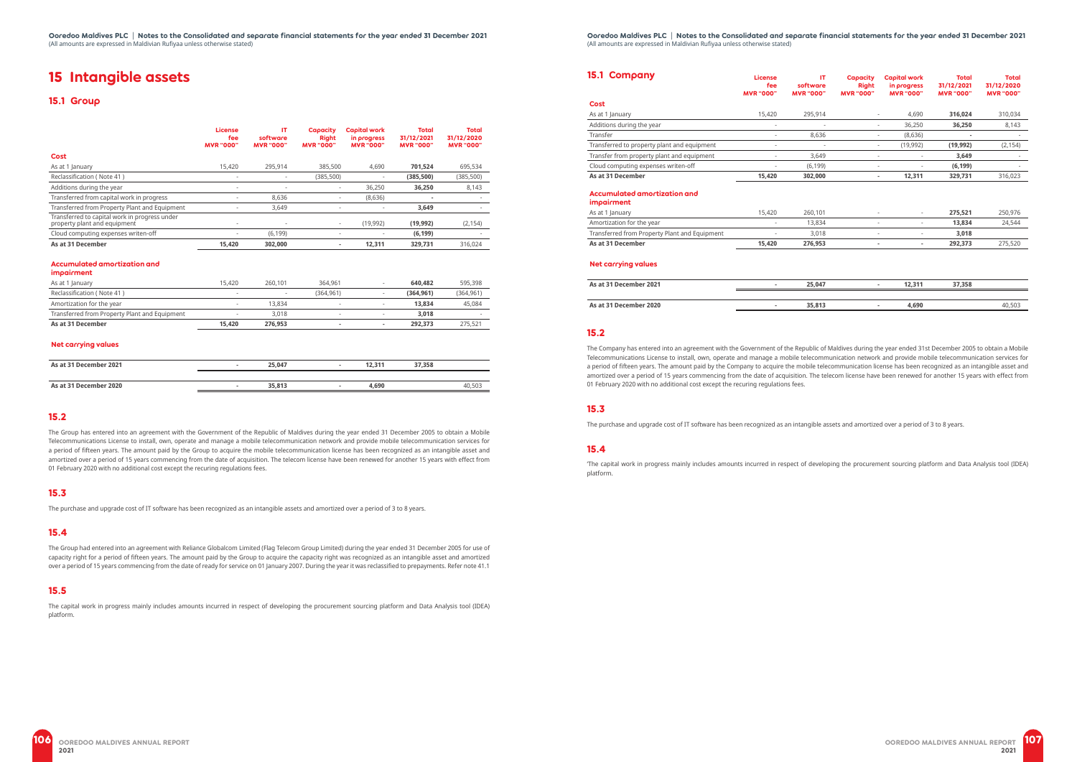



|                                                                               | License<br>fee<br><b>MVR "000"</b> | IT<br>software<br><b>MVR "000"</b> | Capacity<br><b>Right</b><br><b>MVR "000"</b> | <b>Capital work</b><br>in progress<br><b>MVR "000"</b> | <b>Total</b><br>31/12/2021<br><b>MVR "000"</b> | <b>Total</b><br>31/12/2020<br><b>MVR "000"</b> |
|-------------------------------------------------------------------------------|------------------------------------|------------------------------------|----------------------------------------------|--------------------------------------------------------|------------------------------------------------|------------------------------------------------|
| Cost                                                                          |                                    |                                    |                                              |                                                        |                                                |                                                |
| As at 1 January                                                               | 15.420                             | 295.914                            | 385,500                                      | 4.690                                                  | 701.524                                        | 695,534                                        |
| Reclassification (Note 41)                                                    | $\sim$                             | $\overline{\phantom{a}}$           | (385, 500)                                   | $\sim$                                                 | (385, 500)                                     | (385, 500)                                     |
| Additions during the year                                                     | $\overline{\phantom{a}}$           | $\sim$                             | ٠                                            | 36.250                                                 | 36.250                                         | 8,143                                          |
| Transferred from capital work in progress                                     |                                    | 8.636                              | ۰                                            | (8,636)                                                |                                                |                                                |
| Transferred from Property Plant and Equipment                                 |                                    | 3,649                              |                                              | ٠                                                      | 3.649                                          |                                                |
| Transferred to capital work in progress under<br>property plant and equipment | $\overline{\phantom{a}}$           | $\overline{\phantom{a}}$           | ۰                                            | (19,992)                                               | (19,992)                                       | (2, 154)                                       |
| Cloud computing expenses writen-off                                           |                                    | (6, 199)                           |                                              | ٠                                                      | (6, 199)                                       |                                                |
| As at 31 December                                                             | 15.420                             | 302.000                            | ٠                                            | 12.311                                                 | 329.731                                        | 316.024                                        |

#### Accumulated amortization and

| impairment                 |        |         |           |        |                             |             |
|----------------------------|--------|---------|-----------|--------|-----------------------------|-------------|
| As at 1 January            | 15.420 | 260.101 | 364.961   | $\sim$ | 640.482                     | 595.398     |
| Reclassification (Note 41) |        |         | (364.961) |        | (364.961)                   | (364, 961)  |
|                            |        | 10001   |           |        | $\sim$ $\sim$ $\sim$ $\sim$ | $1 - 0 - 1$ |

| As at 31 December                             | 15.420 | 276.953 |  | 292.373 | 275.521 |
|-----------------------------------------------|--------|---------|--|---------|---------|
| Transferred from Property Plant and Equipment |        | 3.018   |  | 3.018   |         |
| Amortization for the year                     |        | '3.834  |  | 13.834  | 45.084  |

#### Net carrying values

| As at 31 December 2021 | 25.047 | 24 <sub>1</sub> | 37.358 |        |
|------------------------|--------|-----------------|--------|--------|
|                        |        |                 |        |        |
| As at 31 December 2020 | 35,813 | 4,690           |        | 40,503 |

# 15 Intangible assets

## 15.1 Group

#### 15.2

The Group has entered into an agreement with the Government of the Republic of Maldives during the year ended 31 December 2005 to obtain a Mobile Telecommunications License to install, own, operate and manage a mobile telecommunication network and provide mobile telecommunication services for a period of fifteen years. The amount paid by the Group to acquire the mobile telecommunication license has been recognized as an intangible asset and amortized over a period of 15 years commencing from the date of acquisition. The telecom license have been renewed for another 15 years with effect from 01 February 2020 with no additional cost except the recuring regulations fees.

## 15.3

The purchase and upgrade cost of IT software has been recognized as an intangible assets and amortized over a period of 3 to 8 years.

#### 15.4

The Group had entered into an agreement with Reliance Globalcom Limited (Flag Telecom Group Limited) during the year ended 31 December 2005 for use of capacity right for a period of fifteen years. The amount paid by the Group to acquire the capacity right was recognized as an intangible asset and amortized over a period of 15 years commencing from the date of ready for service on 01 January 2007. During the year it was reclassified to prepayments. Refer note 41.1

#### 15.5

The capital work in progress mainly includes amounts incurred in respect of developing the procurement sourcing platform and Data Analysis tool (IDEA) platform.

| 15.1 Company                                             | <b>License</b><br>fee<br><b>MVR "000"</b> | IT.<br>software<br><b>MVR "000"</b> | Capacity<br><b>Right</b><br><b>MVR "000"</b> | <b>Capital work</b><br>in progress<br><b>MVR "000"</b> | <b>Total</b><br>31/12/2021<br><b>MVR "000"</b> | <b>Total</b><br>31/12/2020<br><b>MVR "000"</b> |
|----------------------------------------------------------|-------------------------------------------|-------------------------------------|----------------------------------------------|--------------------------------------------------------|------------------------------------------------|------------------------------------------------|
| <b>Cost</b>                                              |                                           |                                     |                                              |                                                        |                                                |                                                |
| As at 1 January                                          | 15.420                                    | 295,914                             | $\overline{\phantom{a}}$                     | 4.690                                                  | 316,024                                        | 310,034                                        |
| Additions during the year                                | ٠                                         |                                     |                                              | 36,250                                                 | 36,250                                         | 8,143                                          |
| Transfer                                                 | ٠                                         | 8,636                               | $\sim$                                       | (8,636)                                                | $\overline{\phantom{a}}$                       |                                                |
| Transferred to property plant and equipment              | ٠                                         | $\overline{a}$                      | $\overline{\phantom{a}}$                     | (19,992)                                               | (19,992)                                       | (2, 154)                                       |
| Transfer from property plant and equipment               | ٠                                         | 3,649                               | ×                                            | ä,                                                     | 3,649                                          |                                                |
| Cloud computing expenses writen-off                      |                                           | (6, 199)                            | $\sim$                                       |                                                        | (6, 199)                                       |                                                |
| As at 31 December                                        | 15,420                                    | 302,000                             | $\blacksquare$                               | 12.311                                                 | 329,731                                        | 316,023                                        |
| <b>Accumulated amortization and</b><br><i>impairment</i> |                                           |                                     |                                              |                                                        |                                                |                                                |
| As at 1 January                                          | 15,420                                    | 260,101                             | $\sim$                                       | $\overline{\phantom{a}}$                               | 275,521                                        | 250,976                                        |
| Amortization for the year                                |                                           | 13,834                              |                                              | ٠                                                      | 13,834                                         | 24,544                                         |
| Transferred from Property Plant and Equipment            |                                           | 3,018                               |                                              |                                                        | 3,018                                          |                                                |
| As at 31 December                                        | 15.420                                    | 276.953                             | $\blacksquare$                               | $\overline{\phantom{a}}$                               | 292,373                                        | 275,520                                        |
| <b>Net carrying values</b>                               |                                           |                                     |                                              |                                                        |                                                |                                                |
| As at 31 December 2021                                   |                                           | 25,047                              | $\overline{\phantom{a}}$                     | 12,311                                                 | 37,358                                         |                                                |
|                                                          |                                           |                                     |                                              |                                                        |                                                |                                                |

| 15.1 Company                                             | <b>License</b><br>fee<br><b>MVR "000"</b> | IT.<br>software<br><b>MVR "000"</b> | Capacity<br><b>Right</b><br><b>MVR "000"</b> | <b>Capital work</b><br>in progress<br><b>MVR "000"</b> | <b>Total</b><br>31/12/2021<br><b>MVR "000"</b> | <b>Total</b><br>31/12/2020<br><b>MVR "000"</b> |
|----------------------------------------------------------|-------------------------------------------|-------------------------------------|----------------------------------------------|--------------------------------------------------------|------------------------------------------------|------------------------------------------------|
| <b>Cost</b>                                              |                                           |                                     |                                              |                                                        |                                                |                                                |
| As at 1 January                                          | 15,420                                    | 295,914                             | ä,                                           | 4.690                                                  | 316,024                                        | 310,034                                        |
| Additions during the year                                |                                           |                                     | ä,                                           | 36,250                                                 | 36,250                                         | 8,143                                          |
| Transfer                                                 | $\sim$                                    | 8,636                               | ٠                                            | (8,636)                                                | $\overline{\phantom{a}}$                       |                                                |
| Transferred to property plant and equipment              | ٠                                         | ٠                                   | $\overline{\phantom{m}}$                     | (19,992)                                               | (19,992)                                       | (2, 154)                                       |
| Transfer from property plant and equipment               | ٠                                         | 3,649                               | ä,                                           |                                                        | 3,649                                          |                                                |
| Cloud computing expenses writen-off                      |                                           | (6, 199)                            | ä,                                           |                                                        | (6, 199)                                       |                                                |
| As at 31 December                                        | 15,420                                    | 302.000                             | $\overline{\phantom{a}}$                     | 12.311                                                 | 329,731                                        | 316,023                                        |
| <b>Accumulated amortization and</b><br><i>impairment</i> |                                           |                                     |                                              |                                                        |                                                |                                                |
| As at 1 January                                          | 15,420                                    | 260,101                             | ٠                                            | $\sim$                                                 | 275,521                                        | 250,976                                        |
| Amortization for the year                                |                                           | 13,834                              | $\sim$                                       |                                                        | 13,834                                         | 24,544                                         |
| Transferred from Property Plant and Equipment            |                                           | 3,018                               | ä,                                           |                                                        | 3,018                                          |                                                |
| As at 31 December                                        | 15.420                                    | 276.953                             | $\overline{\phantom{0}}$                     | $\overline{\phantom{a}}$                               | 292,373                                        | 275,520                                        |
| <b>Net carrying values</b>                               |                                           |                                     |                                              |                                                        |                                                |                                                |
| As at 31 December 2021                                   |                                           | 25,047                              | $\overline{\phantom{a}}$                     | 12,311                                                 | 37.358                                         |                                                |
|                                                          |                                           |                                     |                                              |                                                        |                                                |                                                |

| <b>15.1 Company</b>                                      | License<br>fee<br><b>MVR "000"</b> | <b>IT</b><br>software<br><b>MVR "000"</b> | Capacity<br><b>Right</b><br><b>MVR "000"</b> | <b>Capital work</b><br>in progress<br><b>MVR "000"</b> | <b>Total</b><br>31/12/2021<br><b>MVR "000"</b> | <b>Total</b><br>31/12/2020<br><b>MVR "000"</b> |
|----------------------------------------------------------|------------------------------------|-------------------------------------------|----------------------------------------------|--------------------------------------------------------|------------------------------------------------|------------------------------------------------|
| <b>Cost</b>                                              |                                    |                                           |                                              |                                                        |                                                |                                                |
| As at 1 January                                          | 15,420                             | 295,914                                   |                                              | 4,690                                                  | 316,024                                        | 310,034                                        |
| Additions during the year                                | ÷                                  |                                           | ٠                                            | 36,250                                                 | 36,250                                         | 8,143                                          |
| Transfer                                                 | ٠                                  | 8.636                                     | $\overline{\phantom{a}}$                     | (8,636)                                                | $\overline{\phantom{m}}$                       |                                                |
| Transferred to property plant and equipment              | ÷                                  | $\overline{\phantom{a}}$                  | $\overline{\phantom{a}}$                     | (19,992)                                               | (19, 992)                                      | (2, 154)                                       |
| Transfer from property plant and equipment               |                                    | 3,649                                     | ×,                                           |                                                        | 3.649                                          |                                                |
| Cloud computing expenses writen-off                      |                                    | (6, 199)                                  | ٠                                            |                                                        | (6, 199)                                       |                                                |
| As at 31 December                                        | 15,420                             | 302,000                                   | $\overline{\phantom{a}}$                     | 12,311                                                 | 329,731                                        | 316,023                                        |
| <b>Accumulated amortization and</b><br><i>impairment</i> |                                    |                                           |                                              |                                                        |                                                |                                                |
| As at 1 January                                          | 15,420                             | 260,101                                   |                                              |                                                        | 275,521                                        | 250,976                                        |
| Amortization for the year                                | ٠                                  | 13,834                                    | ×.                                           | ٠                                                      | 13,834                                         | 24,544                                         |
| Transferred from Property Plant and Equipment            |                                    | 3,018                                     | ٠                                            | ÷                                                      | 3,018                                          |                                                |
| As at 31 December                                        | 15,420                             | 276,953                                   | $\overline{\phantom{a}}$                     | $\overline{\phantom{a}}$                               | 292,373                                        | 275,520                                        |
| <b>Net carrying values</b>                               |                                    |                                           |                                              |                                                        |                                                |                                                |
| As at 31 December 2021                                   | $\overline{\phantom{a}}$           | 25,047                                    | $\overline{\phantom{a}}$                     | 12,311                                                 | 37,358                                         |                                                |
|                                                          |                                    |                                           |                                              |                                                        |                                                |                                                |
| As at 31 December 2020                                   |                                    | 35,813                                    |                                              | 4.690                                                  |                                                | 40.503                                         |
|                                                          |                                    |                                           |                                              |                                                        |                                                |                                                |

#### Ooredoo Maldives PLC | Notes to the Consolidated and separate financial statements for the year ended 31 December 2021

(All amounts are expressed in Maldivian Rufiyaa unless otherwise stated)

## 15.2

The Company has entered into an agreement with the Government of the Republic of Maldives during the year ended 31st December 2005 to obtain a Mobile Telecommunications License to install, own, operate and manage a mobile telecommunication network and provide mobile telecommunication services for a period of fifteen years. The amount paid by the Company to acquire the mobile telecommunication license has been recognized as an intangible asset and amortized over a period of 15 years commencing from the date of acquisition. The telecom license have been renewed for another 15 years with effect from 01 February 2020 with no additional cost except the recuring regulations fees.

## 15.3

The purchase and upgrade cost of IT software has been recognized as an intangible assets and amortized over a period of 3 to 8 years.

#### 15.4

'The capital work in progress mainly includes amounts incurred in respect of developing the procurement sourcing platform and Data Analysis tool (IDEA) platform.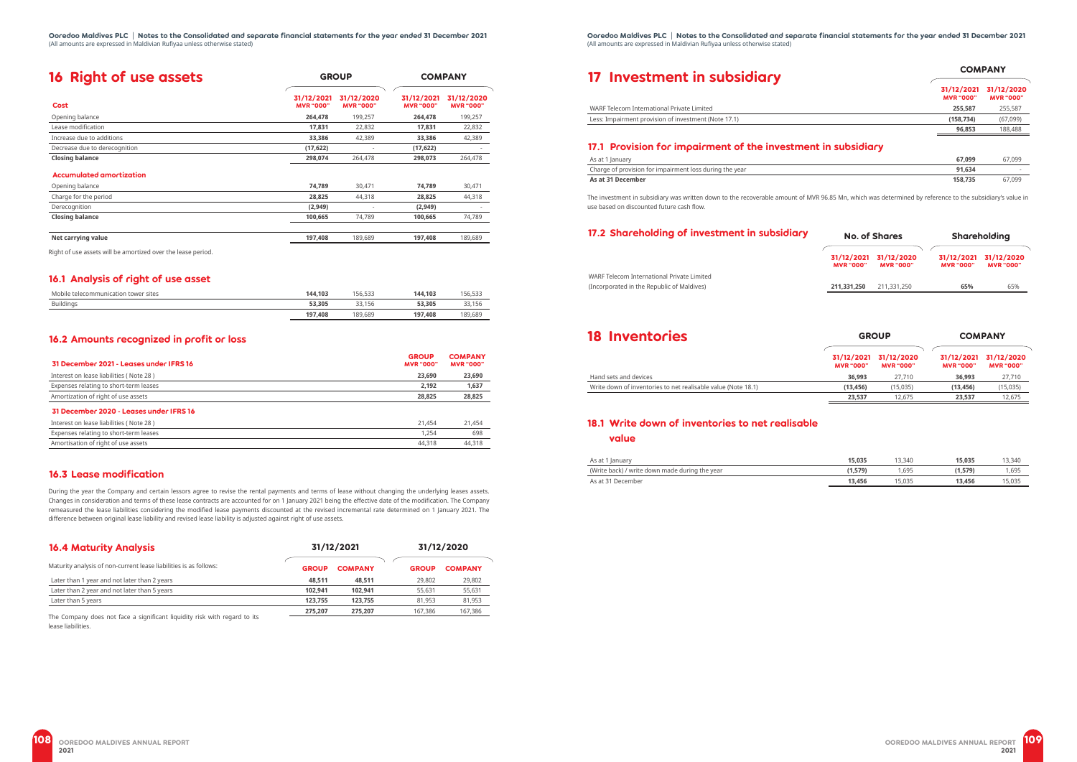

| 31 December 2021 - Leases under IFRS 16 | <b>GROUP</b><br><b>MVR "000"</b> | <b>COMPANY</b><br><b>MVR "000"</b> |
|-----------------------------------------|----------------------------------|------------------------------------|
| Interest on lease liabilities (Note 28) | 23.690                           | 23,690                             |
| Expenses relating to short-term leases  | 2.192                            | 1,637                              |
| Amortization of right of use assets     | 28.825                           | 28,825                             |
| 31 December 2020 - Leases under IFRS 16 |                                  |                                    |
| Interest on lease liabilities (Note 28) | 21.454                           | 21,454                             |
| Expenses relating to short-term leases  | 1.254                            | 698                                |
| Amortisation of right of use assets     | 44,318                           | 44,318                             |
|                                         |                                  |                                    |

| <b>16.4 Maturity Analysis</b>                                     |              | 31/12/2021     | 31/12/2020   |                |  |
|-------------------------------------------------------------------|--------------|----------------|--------------|----------------|--|
| Maturity analysis of non-current lease liabilities is as follows: | <b>GROUP</b> | <b>COMPANY</b> | <b>GROUP</b> | <b>COMPANY</b> |  |
| Later than 1 year and not later than 2 years                      | 48.511       | 48.511         | 29.802       | 29,802         |  |
| Later than 2 year and not later than 5 years                      | 102.941      | 102.941        | 55.631       | 55,631         |  |
| Later than 5 years                                                | 123.755      | 123.755        | 81,953       | 81,953         |  |
|                                                                   | 275.207      | 275.207        | 167.386      | 167,386        |  |

Ooredoo Maldives PLC | Notes to the Consolidated and separate financial statements for the year ended 31 December 2021 (All amounts are expressed in Maldivian Rufiyaa unless otherwise stated)

## 16.2 Amounts recognized in profit or loss

## 16.3 Lease modification

During the year the Company and certain lessors agree to revise the rental payments and terms of lease without changing the underlying leases assets. Changes in consideration and terms of these lease contracts are accounted for on 1 January 2021 being the effective date of the modification. The Company remeasured the lease liabilities considering the modified lease payments discounted at the revised incremental rate determined on 1 January 2021. The difference between original lease liability and revised lease liability is adjusted against right of use assets.

The Company does not face a significant liquidity risk with regard to its lease liabilities.

Hand sets and devices **36,993** 27,710 **36,993** 27,710 Write down of inventories to net realisable value (Note 18.1)

|                                | <b>COMPANY</b>                 |                                |                                |
|--------------------------------|--------------------------------|--------------------------------|--------------------------------|
| 31/12/2021<br><b>MVR "000"</b> | 31/12/2020<br><b>MVR "000"</b> | 31/12/2021<br><b>MVR "000"</b> | 31/12/2020<br><b>MVR "000"</b> |
| 264,478                        | 199,257                        | 264,478                        | 199,257                        |
| 17,831                         | 22,832                         | 17,831                         | 22,832                         |
| 33,386                         | 42,389                         | 33,386                         | 42,389                         |
| (17, 622)                      |                                | (17, 622)                      |                                |
| 298,074                        | 264,478                        | 298,073                        | 264,478                        |
|                                |                                |                                |                                |
| 74,789                         | 30,471                         | 74,789                         | 30,471                         |
| 28,825                         | 44,318                         | 28,825                         | 44,318                         |
| (2,949)                        |                                | (2,949)                        |                                |
| 100,665                        | 74,789                         | 100,665                        | 74,789                         |
|                                | 189,689                        | 197,408                        | 189,689                        |
|                                | 197,408                        | <b>GROUP</b>                   |                                |

| Mobile telecommunication tower sites | 144,103 | 156.533 | 144,103 | 156,533 |
|--------------------------------------|---------|---------|---------|---------|
| <b>Buildings</b>                     | 53,305  | 33,156  | 53,305  | 33,156  |
|                                      | 197,408 | 189.689 | 197,408 | 189,689 |

## 16.1 Analysis of right of use asset

|                                                                  | No. of Shares |                                | Shareholding                   |  |  |
|------------------------------------------------------------------|---------------|--------------------------------|--------------------------------|--|--|
| 31/12/2020<br>31/12/2021<br><b>MVR "000"</b><br><b>MVR "000"</b> |               | 31/12/2021<br><b>MVR "000"</b> | 31/12/2020<br><b>MVR "000"</b> |  |  |
| 211,331,250                                                      | 211,331,250   | 65%                            | 65%                            |  |  |

WARF Telecom International Private Limited (Incorporated in the Republic of Maldives) **211,331,250** 211,331,250 **65%** 65%

| <b>16 Right of use assets</b>   |                  | <b>GROUP</b>                              |                  | <b>COMPANY</b>                            | 17 Investment in subsidiary                                   |                             | <b>COMPANY</b>                                       |
|---------------------------------|------------------|-------------------------------------------|------------------|-------------------------------------------|---------------------------------------------------------------|-----------------------------|------------------------------------------------------|
| <b>Cost</b>                     | <b>MVR "000"</b> | 31/12/2021 31/12/2020<br><b>MVR "000"</b> | <b>MVR "000"</b> | 31/12/2021 31/12/2020<br><b>MVR "000"</b> | WARF Telecom International Private Limited                    | <b>MVR "000"</b><br>255,587 | 31/12/2021 31/12/2020<br><b>MVR "000"</b><br>255,587 |
| Opening balance                 | 264,478          | 199,257                                   | 264,478          | 199,257                                   | Less: Impairment provision of investment (Note 17.1)          | (158, 734)                  | (67, 099)                                            |
| Lease modification              | 17,831           | 22,832                                    | 17,831           | 22,832                                    |                                                               | 96,853                      | 188,488                                              |
| Increase due to additions       | 33,386           | 42,389                                    | 33,386           | 42,389                                    |                                                               |                             |                                                      |
| Decrease due to derecognition   | (17, 622)        |                                           | (17, 622)        |                                           | 17.1 Provision for impairment of the investment in subsidiary |                             |                                                      |
| <b>Closing balance</b>          | 298,074          | 264,478                                   | 298,073          | 264,478                                   | As at 1 January                                               | 67,099                      | 67,099                                               |
|                                 |                  |                                           |                  |                                           | Charge of provision for impairment loss during the year       | 91,634                      |                                                      |
| <b>Accumulated amortization</b> |                  |                                           |                  |                                           | As at 31 December                                             | 158,735                     | 67,099                                               |

| Ac at 21 December                                       |
|---------------------------------------------------------|
| Charge of provision for impairment loss during the year |
| As at 1 January                                         |

## 17.2 Shareholding of investment in subsidiary

## 18.1 Write down of inventories to net realisable value

The investment in subsidiary was written down to the recoverable amount of MVR 96.85 Mn, which was determined by reference to the subsidiary's value in use based on discounted future cash flow.

GROUP COMPANY

| 31/12/2021<br><b>MVR "000"</b> | 31/12/2020<br><b>MVR "000"</b> | 31/12/2021<br><b>MVR "000"</b> | 31/12/2020<br><b>MVR "000"</b> |
|--------------------------------|--------------------------------|--------------------------------|--------------------------------|
| 36.993                         | 27.710                         | 36.993                         | 27.710                         |
| (13, 456)                      | (15,035)                       | (13, 456)                      | (15,035)                       |
| 23,537                         | 12.675                         | 23,537                         | 12,675                         |

| As at 1 January                                | 15.035  | 13.340 | 15.035  | 3.340  |
|------------------------------------------------|---------|--------|---------|--------|
| (Write back) / write down made during the year | (1.579) | .695   | (1.579) | .695   |
| As at 31 December                              | 13.456  | 15,035 | 13.456  | 15,035 |

# 18 Inventories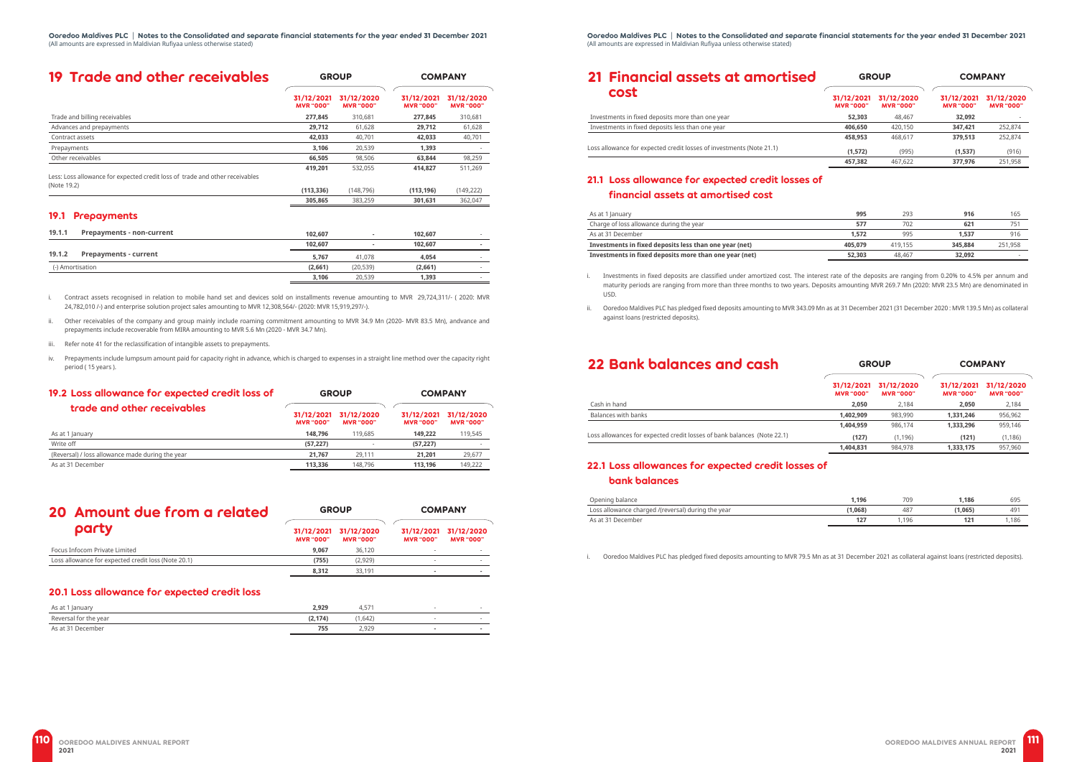

GROUP COMPANY

|                                                                              | 31/12/2021<br><b>MVR "000"</b> | 31/12/2020<br><b>MVR "000"</b> | 31/12/2021<br><b>MVR "000"</b> | 31/12/2020<br><b>MVR "000"</b> |  |
|------------------------------------------------------------------------------|--------------------------------|--------------------------------|--------------------------------|--------------------------------|--|
| Trade and billing receivables                                                | 277,845                        | 310,681                        | 277,845                        | 310,681                        |  |
| Advances and prepayments                                                     | 29,712                         | 61,628                         | 29,712                         | 61,628                         |  |
| Contract assets                                                              | 42,033                         | 40.701                         | 42,033                         | 40,701                         |  |
| Prepayments                                                                  | 3,106                          | 20,539                         | 1,393                          | ۰                              |  |
| Other receivables                                                            | 66.505                         | 98,506                         | 63.844                         | 98,259                         |  |
| Less: Loss allowance for expected credit loss of trade and other receivables | 419.201                        | 532.055                        | 414.827                        | 511,269                        |  |
| (Note 19.2)                                                                  | (113, 336)                     | (148, 796)                     | (113, 196)                     | (149, 222)                     |  |
|                                                                              | 305.865                        | 383.259                        | 301.631                        | 362.047                        |  |

| As at 1 January       | 2.929    | $- -$<br>4.5/ |  |
|-----------------------|----------|---------------|--|
| Reversal for the year | (2, 174) | (1.642)       |  |
| As at 31 December     | 755      | 2.929         |  |

| 19.2 Loss allowance for expected credit loss of  |                                | <b>GROUP</b>                   | <b>COMPANY</b>                 |                                |  |
|--------------------------------------------------|--------------------------------|--------------------------------|--------------------------------|--------------------------------|--|
| trade and other receivables                      | 31/12/2021<br><b>MVR "000"</b> | 31/12/2020<br><b>MVR "000"</b> | 31/12/2021<br><b>MVR "000"</b> | 31/12/2020<br><b>MVR "000"</b> |  |
| As at 1 January                                  | 148.796                        | 119.685                        | 149.222                        | 119,545                        |  |
| Write off                                        | (57, 227)                      |                                | (57, 227)                      |                                |  |
| (Reversal) / loss allowance made during the year | 21.767                         | 29.111                         | 21.201                         | 29,677                         |  |
| As at 31 December                                | 113.336                        | 148.796                        | 113.196                        | 149,222                        |  |

Investments in fixed deposits more than one year **52,303** 48,467 **32,092** - Investments in fixed deposits less than one year

| 19.1.1 | Prepayments - non-current | 102.607 |          | 102.607 |  |
|--------|---------------------------|---------|----------|---------|--|
|        |                           | 102.607 |          | 102.607 |  |
| 19.1.2 | Prepayments - current     | 5.767   | 41.078   | 4.054   |  |
|        | (-) Amortisation          | (2.661) | (20.539) | (2,661) |  |
|        |                           | 3.106   | 20.539   | 1.393   |  |

## 19.1 Prepayments

## 20.1 Loss allowance for expected credit loss

| 20 Amount due from a related                        |                                | <b>GROUP</b>                   | <b>COMPANY</b>                 |                                |
|-----------------------------------------------------|--------------------------------|--------------------------------|--------------------------------|--------------------------------|
| party                                               | 31/12/2021<br><b>MVR "000"</b> | 31/12/2020<br><b>MVR "000"</b> | 31/12/2021<br><b>MVR "000"</b> | 31/12/2020<br><b>MVR "000"</b> |
| Focus Infocom Private Limited                       | 9.067                          | 36.120                         | $\overline{\phantom{a}}$       |                                |
| Loss allowance for expected credit loss (Note 20.1) | (755)                          | (2.929)                        | $\overline{\phantom{a}}$       | $\sim$                         |
|                                                     | 8.312                          | 33.191                         | $\overline{\phantom{a}}$       |                                |

**Opening balance** Loss allowance charged /(reversal) during the year As at 31 December **127** 1,196 **121** 1,186

i. Contract assets recognised in relation to mobile hand set and devices sold on installments revenue amounting to MVR 29,724,311/- ( 2020: MVR 24,782,010 /-) and enterprise solution project sales amounting to MVR 12,308,564/- (2020: MVR 15,919,297/-).

ii. Other receivables of the company and group mainly include roaming commitment amounting to MVR 34.9 Mn (2020- MVR 83.5 Mn), andvance and prepayments include recoverable from MIRA amounting to MVR 5.6 Mn (2020 - MVR 34.7 Mn).

iii. Refer note 41 for the reclassification of intangible assets to prepayments.

iv. Prepayments include lumpsum amount paid for capacity right in advance, which is charged to expenses in a straight line method over the capacity right period ( 15 years ).

# 19 Trade and other receivables

Loss allowance for expected credit losses of investments (Note 21.1)

|                                | <b>GROUP</b>                   |                                | <b>COMPANY</b>                 |
|--------------------------------|--------------------------------|--------------------------------|--------------------------------|
| 31/12/2021<br><b>MVR "000"</b> | 31/12/2020<br><b>MVR "000"</b> | 31/12/2021<br><b>MVR "000"</b> | 31/12/2020<br><b>MVR "000"</b> |
| 52,303                         | 48.467                         | 32,092                         |                                |
| 406.650                        | 420,150                        | 347,421                        | 252,874                        |
| 458.953                        | 468.617                        | 379.513                        | 252.874                        |
| (1,572)                        | (995)                          | (1,537)                        | (916)                          |
| 457,382                        | 467,622                        | 377,976                        | 251.958                        |

| As at 1 January                                        | 995     | 293     | 916     | 165     |
|--------------------------------------------------------|---------|---------|---------|---------|
| Charge of loss allowance during the year               | 577     | 702     | 621     | 75'     |
| As at 31 December                                      | 1.572   | 995     | 1.537   | 916     |
| Investments in fixed deposits less than one year (net) | 405.079 | 419.155 | 345.884 | 251.958 |
| Investments in fixed deposits more than one year (net) | 52.303  | 48.467  | 32.092  |         |

| <b>22 Bank balances and cash</b>                                        |                                | <b>GROUP</b><br><b>COMPANY</b> |                                |                                |
|-------------------------------------------------------------------------|--------------------------------|--------------------------------|--------------------------------|--------------------------------|
|                                                                         | 31/12/2021<br><b>MVR "000"</b> | 31/12/2020<br><b>MVR "000"</b> | 31/12/2021<br><b>MVR "000"</b> | 31/12/2020<br><b>MVR "000"</b> |
| Cash in hand                                                            | 2.050                          | 2.184                          | 2.050                          | 2,184                          |
| Balances with banks                                                     | 1,402,909                      | 983,990                        | 1,331,246                      | 956,962                        |
|                                                                         | 1,404,959                      | 986.174                        | 1,333,296                      | 959,146                        |
| Loss allowances for expected credit losses of bank balances (Note 22.1) | (127)                          | (1, 196)                       | (121)                          | (1, 186)                       |
|                                                                         | 1,404,831                      | 984,978                        | 1,333,175                      | 957,960                        |
|                                                                         |                                |                                |                                |                                |

# 21.1 Loss allowance for expected credit losses of financial assets at amortised cost

# 22.1 Loss allowances for expected credit losses of bank balances

maturity periods are ranging from more than three months to two years. Deposits amounting MVR 269.7 Mn (2020: MVR 23.5 Mn) are denominated in

| 1.196   | 709   | 1,186   | 695   |
|---------|-------|---------|-------|
| (1,068) | 487   | (1,065) | 491   |
| 127     | 1.196 | 121     | 1,186 |

- i. Investments in fixed deposits are classified under amortized cost. The interest rate of the deposits are ranging from 0.20% to 4.5% per annum and USD.
- ii. Ooredoo Maldives PLC has pledged fixed deposits amounting to MVR 343.09 Mn as at 31 December 2021 (31 December 2020 : MVR 139.5 Mn) as collateral against loans (restricted deposits).

i. Ooredoo Maldives PLC has pledged fixed deposits amounting to MVR 79.5 Mn as at 31 December 2021 as collateral against loans (restricted deposits).

# 21 Financial assets at amortised cost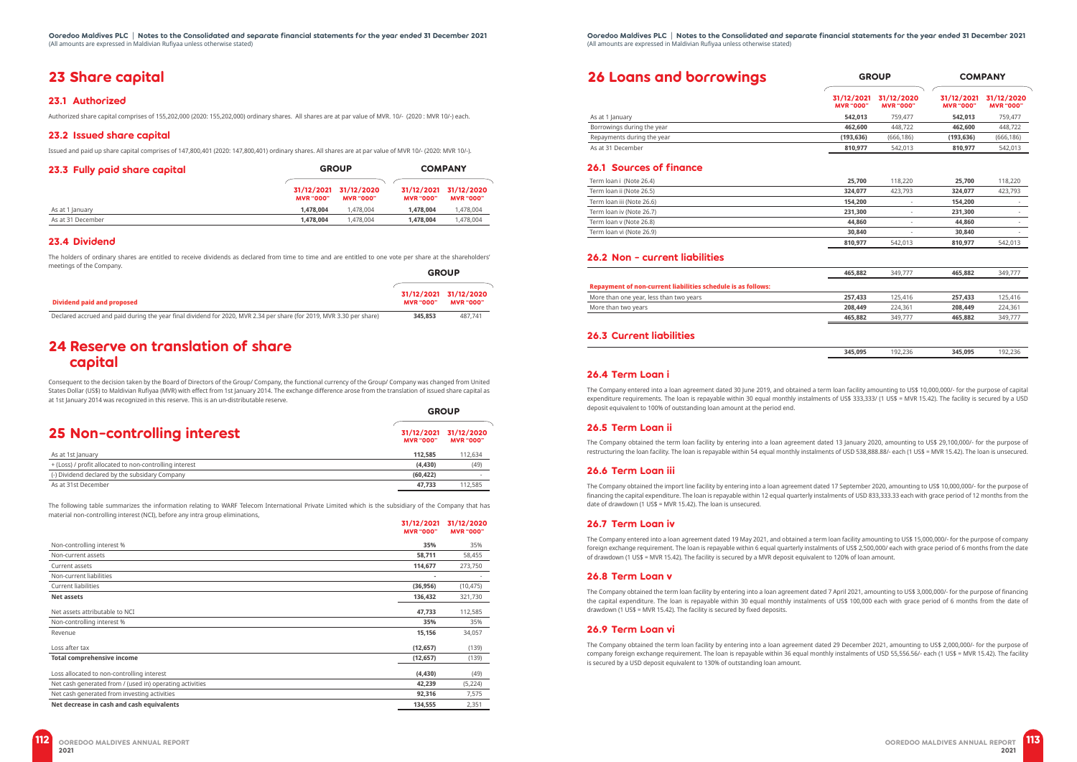

## 23.1 Authorized

Authorized share capital comprises of 155,202,000 (2020: 155,202,000) ordinary shares. All shares are at par value of MVR. 10/- (2020 : MVR 10/-) each.

The holders of ordinary shares are entitled to receive dividends as declared from time to time and are entitled to one vote per share at the shareholders' meetings of the Company. **GROUP** 

## 23.2 Issued share capital

Issued and paid up share capital comprises of 147,800,401 (2020: 147,800,401) ordinary shares. All shares are at par value of MVR 10/- (2020: MVR 10/-).

#### 23.4 Dividend

| 23.3 Fully paid share capital | <b>GROUP</b><br><b>COMPANY</b> |                                           |                  |                                           |
|-------------------------------|--------------------------------|-------------------------------------------|------------------|-------------------------------------------|
|                               | <b>MVR "000"</b>               | 31/12/2021 31/12/2020<br><b>MVR "000"</b> | <b>MVR "000"</b> | 31/12/2021 31/12/2020<br><b>MVR "000"</b> |
| As at 1 January               | 1.478.004                      | A78.004                                   | 1.478.004        | 1,478,004                                 |
| As at 31 December             | 1.478.004                      | A78.004                                   | 1.478.004        | 1,478,004                                 |

|                                                                                                                      | -----            |                                           |  |
|----------------------------------------------------------------------------------------------------------------------|------------------|-------------------------------------------|--|
|                                                                                                                      |                  |                                           |  |
| Dividend paid and proposed                                                                                           | <b>MVR "000"</b> | 31/12/2021 31/12/2020<br><b>MVR "000"</b> |  |
| Declared accrued and paid during the year final dividend for 2020, MVR 2.34 per share (for 2019, MVR 3.30 per share) | 345.853          | 487.741                                   |  |

|                                                          | 31/12/2021<br><b>MVR "000"</b> | 31/12/2020<br><b>MVR "000"</b> |
|----------------------------------------------------------|--------------------------------|--------------------------------|
| Non-controlling interest %                               | 35%                            | 35%                            |
| Non-current assets                                       | 58,711                         | 58,455                         |
| Current assets                                           | 114,677                        | 273,750                        |
| Non-current liabilities                                  |                                |                                |
| <b>Current liabilities</b>                               | (36, 956)                      | (10, 475)                      |
| <b>Net assets</b>                                        | 136,432                        | 321,730                        |
| Net assets attributable to NCI                           | 47,733                         | 112,585                        |
| Non-controlling interest %                               | 35%                            | 35%                            |
| Revenue                                                  | 15,156                         | 34,057                         |
| Loss after tax                                           | (12, 657)                      | (139)                          |
| <b>Total comprehensive income</b>                        | (12, 657)                      | (139)                          |
| Loss allocated to non-controlling interest               | (4, 430)                       | (49)                           |
| Net cash generated from / (used in) operating activities | 42,239                         | (5, 224)                       |
| Net cash generated from investing activities             | 92,316                         | 7,575                          |
| Net decrease in cash and cash equivalents                | 134,555                        | 2,351                          |

|                                                         |                  | <b>GROUP</b>                              |
|---------------------------------------------------------|------------------|-------------------------------------------|
| 25 Non-controlling interest                             | <b>MVR "000"</b> | 31/12/2021 31/12/2020<br><b>MVR "000"</b> |
| As at 1st January                                       | 112.585          | 112,634                                   |
| + (Loss) / profit allocated to non-controlling interest | (4, 430)         | (49)                                      |
| (-) Dividend declared by the subsidary Company          | (60, 422)        |                                           |
| As at 31st December                                     | 47.733           | 112.585                                   |

Consequent to the decision taken by the Board of Directors of the Group/ Company, the functional currency of the Group/ Company was changed from United States Dollar (US\$) to Maldivian Rufiyaa (MVR) with effect from 1st January 2014. The exchange difference arose from the translation of issued share capital as at 1st January 2014 was recognized in this reserve. This is an un-distributable reserve.

The following table summarizes the information relating to WARF Telecom International Private Limited which is the subsidiary of the Company that has material non-controlling interest (NCI), before any intra group eliminations,

# 23 Share capital

# 24 Reserve on translation of share capital

#### 26.4 Term Loan i

The Company entered into a loan agreement dated 30 June 2019, and obtained a term loan facility amounting to US\$ 10,000,000/- for the purpose of capital expenditure requirements. The loan is repayable within 30 equal monthly instalments of US\$ 333,333/ (1 US\$ = MVR 15.42). The facility is secured by a USD deposit equivalent to 100% of outstanding loan amount at the period end.

## 26.5 Term Loan ii

The Company obtained the term loan facility by entering into a loan agreement dated 13 January 2020, amounting to US\$ 29,100,000/- for the purpose of restructuring the loan facility. The loan is repayable within 54 equal monthly instalments of USD 538,888.88/- each (1 US\$ = MVR 15.42). The loan is unsecured.

#### 26.6 Term Loan iii

| <b>26 Loans and borrowings</b>                                      |                                | <b>GROUP</b><br><b>COMPANY</b> |                                |                                |
|---------------------------------------------------------------------|--------------------------------|--------------------------------|--------------------------------|--------------------------------|
|                                                                     | 31/12/2021<br><b>MVR "000"</b> | 31/12/2020<br><b>MVR "000"</b> | 31/12/2021<br><b>MVR "000"</b> | 31/12/2020<br><b>MVR "000"</b> |
| As at 1 January                                                     | 542,013                        | 759,477                        | 542,013                        | 759,477                        |
| Borrowings during the year                                          | 462.600                        | 448.722                        | 462.600                        | 448,722                        |
| Repayments during the year                                          | (193, 636)                     | (666, 186)                     | (193, 636)                     | (666, 186)                     |
| As at 31 December                                                   | 810,977                        | 542,013                        | 810,977                        | 542,013                        |
| <b>26.1 Sources of finance</b>                                      |                                |                                |                                |                                |
| Term loan i (Note 26.4)                                             | 25.700                         | 118,220                        | 25,700                         | 118,220                        |
| Term Ioan ii (Note 26.5)                                            | 324,077                        | 423,793                        | 324,077                        | 423,793                        |
| Term Ioan iii (Note 26.6)                                           | 154,200                        |                                | 154,200                        |                                |
| Term Ioan iv (Note 26.7)                                            | 231,300                        |                                | 231,300                        |                                |
| Term Ioan v (Note 26.8)                                             | 44,860                         |                                | 44,860                         |                                |
| Term Ioan vi (Note 26.9)                                            | 30.840                         |                                | 30.840                         |                                |
|                                                                     | 810,977                        | 542,013                        | 810,977                        | 542,013                        |
| 26.2 Non - current liabilities                                      |                                |                                |                                |                                |
|                                                                     | 465,882                        | 349,777                        | 465,882                        | 349,777                        |
| <b>Repayment of non-current liabilities schedule is as follows:</b> |                                |                                |                                |                                |
| More than one year, less than two years                             | 257,433                        | 125,416                        | 257,433                        | 125,416                        |
| More than two years                                                 | 208,449                        | 224,361                        | 208,449                        | 224,361                        |
|                                                                     | 465,882                        | 349,777                        | 465,882                        | 349,777                        |
| <b>26.3 Current liabilities</b>                                     |                                |                                |                                |                                |
|                                                                     | 345.095                        | 192,236                        | 345.095                        | 192,236                        |

| <b>26 Loans and borrowings</b>                                      |                                | <b>GROUP</b>                   | <b>COMPANY</b>                 |                                |
|---------------------------------------------------------------------|--------------------------------|--------------------------------|--------------------------------|--------------------------------|
|                                                                     | 31/12/2021<br><b>MVR "000"</b> | 31/12/2020<br><b>MVR "000"</b> | 31/12/2021<br><b>MVR "000"</b> | 31/12/2020<br><b>MVR "000"</b> |
| As at 1 January                                                     | 542,013                        | 759,477                        | 542,013                        | 759,477                        |
| Borrowings during the year                                          | 462,600                        | 448,722                        | 462,600                        | 448,722                        |
| Repayments during the year                                          | (193, 636)                     | (666, 186)                     | (193, 636)                     | (666, 186)                     |
| As at 31 December                                                   | 810,977                        | 542,013                        | 810,977                        | 542,013                        |
| <b>26.1 Sources of finance</b>                                      |                                |                                |                                |                                |
| Term loan i (Note 26.4)                                             | 25,700                         | 118,220                        | 25,700                         | 118,220                        |
| Term Ioan ii (Note 26.5)                                            | 324.077                        | 423,793                        | 324,077                        | 423,793                        |
| Term Ioan iii (Note 26.6)                                           | 154,200                        |                                | 154,200                        |                                |
| Term Ioan iv (Note 26.7)                                            | 231,300                        |                                | 231,300                        |                                |
| Term Ioan v (Note 26.8)                                             | 44,860                         |                                | 44,860                         |                                |
| Term Ioan vi (Note 26.9)                                            | 30,840                         |                                | 30,840                         |                                |
|                                                                     | 810,977                        | 542,013                        | 810,977                        | 542,013                        |
| 26.2 Non - current liabilities                                      |                                |                                |                                |                                |
|                                                                     | 465,882                        | 349,777                        | 465,882                        | 349,777                        |
| <b>Repayment of non-current liabilities schedule is as follows:</b> |                                |                                |                                |                                |
| More than one year, less than two years                             | 257,433                        | 125,416                        | 257,433                        | 125,416                        |
| More than two years                                                 | 208,449                        | 224,361                        | 208,449                        | 224,361                        |
|                                                                     | 465,882                        | 349,777                        | 465,882                        | 349,777                        |
| <b>26.3 Current liabilities</b>                                     |                                |                                |                                |                                |
|                                                                     | 345.095                        | 192,236                        | 345.095                        | 192,236                        |

| Repayment of non-current liabilities schedule is as follows: |
|--------------------------------------------------------------|
|--------------------------------------------------------------|

| More than one year, less than two years |  |
|-----------------------------------------|--|
| More than two years                     |  |

The Company obtained the import line facility by entering into a loan agreement dated 17 September 2020, amounting to US\$ 10,000,000/- for the purpose of financing the capital expenditure. The loan is repayable within 12 equal quarterly instalments of USD 833,333.33 each with grace period of 12 months from the date of drawdown (1 US\$ = MVR 15.42). The loan is unsecured.

## 26.7 Term Loan iv

The Company entered into a loan agreement dated 19 May 2021, and obtained a term loan facility amounting to US\$ 15,000,000/- for the purpose of company foreign exchange requirement. The loan is repayable within 6 equal quarterly instalments of US\$ 2,500,000/ each with grace period of 6 months from the date of drawdown (1 US\$ = MVR 15.42). The facility is secured by a MVR deposit equivalent to 120% of loan amount.

#### 26.8 Term Loan v

The Company obtained the term loan facility by entering into a loan agreement dated 7 April 2021, amounting to US\$ 3,000,000/- for the purpose of financing the capital expenditure. The loan is repayable within 30 equal monthly instalments of US\$ 100,000 each with grace period of 6 months from the date of drawdown (1 US\$ = MVR 15.42). The facility is secured by fixed deposits.

#### 26.9 Term Loan vi

The Company obtained the term loan facility by entering into a loan agreement dated 29 December 2021, amounting to US\$ 2,000,000/- for the purpose of company foreign exchange requirement. The loan is repayable within 36 equal monthly instalments of USD 55,556.56/- each (1 US\$ = MVR 15.42). The facility is secured by a USD deposit equivalent to 130% of outstanding loan amount.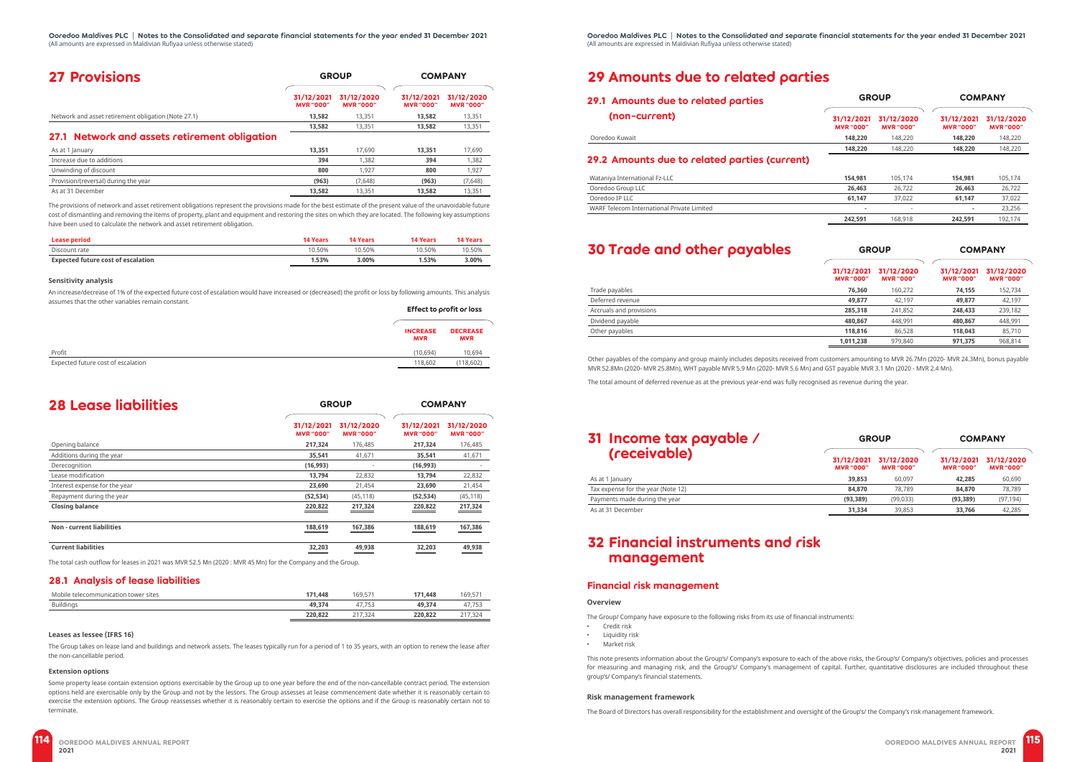

|                                    |                               | <b>Effect to profit or loss</b> |
|------------------------------------|-------------------------------|---------------------------------|
|                                    |                               |                                 |
|                                    | <b>INCREASE</b><br><b>MVR</b> | <b>DECREASE</b><br><b>MVR</b>   |
| Profit                             | (10, 694)                     | 10,694                          |
| Expected future cost of escalation | 118,602                       | (118, 602)                      |

| Mobile telecommunication tower sites | 171,448 | 169.571             | 171,448 | 169,571 |
|--------------------------------------|---------|---------------------|---------|---------|
| <b>Buildings</b>                     | 49.374  | 47.753              | 49.374  | 47,753  |
|                                      | 220.822 | <sup>2</sup> 17,324 | 220.822 | 217,324 |

| Lease period                              | <b>14 Years</b> | <b>14 Years</b> | <b>14 Years</b> | <b>14 Years</b> |
|-------------------------------------------|-----------------|-----------------|-----------------|-----------------|
| Discount rate                             | 10.50%          | 10.50%          | 10.50%          | 10.50%          |
| <b>Expected future cost of escalation</b> | .53%            | 3.00%           | .53%            | 3.00%           |

Ooredoo Maldives PLC | Notes to the Consolidated and separate financial statements for the year ended 31 December 2021 (All amounts are expressed in Maldivian Rufiyaa unless otherwise stated)

| <b>27 Provisions</b><br>Network and asset retirement obligation (Note 27.1) | <b>GROUP</b>                   |                                | <b>COMPANY</b>                 |                                |
|-----------------------------------------------------------------------------|--------------------------------|--------------------------------|--------------------------------|--------------------------------|
|                                                                             | 31/12/2021<br><b>MVR "000"</b> | 31/12/2020<br><b>MVR "000"</b> | 31/12/2021<br><b>MVR "000"</b> | 31/12/2020<br><b>MVR "000"</b> |
|                                                                             | 13.582                         | 13.351                         | 13.582                         | 13,351                         |
| 27.1 Network and assets retirement obligation                               | 13,582                         | 13.351                         | 13.582                         | 13,351                         |
| As at 1 January                                                             | 13.351                         | 17.690                         | 13.351                         | 17,690                         |
| Increase due to additions                                                   | 394                            | 1.382                          | 394                            | 1,382                          |
| Unwinding of discount                                                       | 800                            | 1.927                          | 800                            | 1,927                          |
| Provision/(reversal) during the year                                        | (963)                          | (7,648)                        | (963)                          | (7,648)                        |
| As at 31 December                                                           | 13,582                         | 13,351                         | 13,582                         | 13,351                         |

#### 28.1 Analysis of lease liabilities

| <b>28 Lease liabilities</b>      |                                | <b>GROUP</b>                   |                                | <b>COMPANY</b>                 |  |
|----------------------------------|--------------------------------|--------------------------------|--------------------------------|--------------------------------|--|
|                                  | 31/12/2021<br><b>MVR "000"</b> | 31/12/2020<br><b>MVR "000"</b> | 31/12/2021<br><b>MVR "000"</b> | 31/12/2020<br><b>MVR "000"</b> |  |
| Opening balance                  | 217,324                        | 176,485                        | 217,324                        | 176,485                        |  |
| Additions during the year        | 35,541                         | 41,671                         | 35,541                         | 41,671                         |  |
| Derecognition                    | (16, 993)                      |                                | (16, 993)                      |                                |  |
| Lease modification               | 13,794                         | 22,832                         | 13,794                         | 22,832                         |  |
| Interest expense for the year    | 23,690                         | 21,454                         | 23,690                         | 21,454                         |  |
| Repayment during the year        | (52, 534)                      | (45, 118)                      | (52, 534)                      | (45, 118)                      |  |
| <b>Closing balance</b>           | 220,822                        | 217,324                        | 220,822                        | 217,324                        |  |
| <b>Non - current liabilities</b> | 188,619                        | 167,386                        | 188,619                        | 167,386                        |  |
| <b>Current liabilities</b>       | 32,203                         | 49,938                         | 32,203                         | 49,938                         |  |

The provisions of network and asset retirement obligations represent the provisions made for the best estimate of the present value of the unavoidable future cost of dismantling and removing the items of property, plant and equipment and restoring the sites on which they are located. The following key assumptions have been used to calculate the network and asset retirement obligation.

#### **Sensitivity analysis**

An increase/decrease of 1% of the expected future cost of escalation would have increased or (decreased) the profit or loss by following amounts. This analysis assumes that the other variables remain constant.

#### **Leases as lessee (IFRS 16)**

The Group takes on lease land and buildings and network assets. The leases typically run for a period of 1 to 35 years, with an option to renew the lease after the non-cancellable period.

#### **Extension options**

Some property lease contain extension options exercisable by the Group up to one year before the end of the non-cancellable contract period. The extension options held are exercisable only by the Group and not by the lessors. The Group assesses at lease commencement date whether it is reasonably certain to exercise the extension options. The Group reassesses whether it is reasonably certain to exercise the options and if the Group is reasonably certain not to terminate.

The total cash outflow for leases in 2021 was MVR 52.5 Mn (2020 : MVR 45 Mn) for the Company and the Group.

| 29.1 Amounts due to related parties           | <b>GROUP</b>                   |                                | <b>COMPANY</b>                 |                                |
|-----------------------------------------------|--------------------------------|--------------------------------|--------------------------------|--------------------------------|
| (non-current)                                 | 31/12/2021<br><b>MVR "000"</b> | 31/12/2020<br><b>MVR "000"</b> | 31/12/2021<br><b>MVR "000"</b> | 31/12/2020<br><b>MVR "000"</b> |
| Ooredoo Kuwait                                | 148.220                        | 148.220                        | 148.220                        | 148,220                        |
|                                               | 148,220                        | 148,220                        | 148.220                        | 148,220                        |
| 29.2 Amounts due to related parties (current) |                                |                                |                                |                                |
| Wataniya International Fz-LLC                 | 154.981                        | 105.174                        | 154.981                        | 105,174                        |
| Ooredoo Group LLC                             | 26.463                         | 26.722                         | 26.463                         | 26,722                         |
| Ooredoo IP LLC                                | 61,147                         | 37.022                         | 61,147                         | 37,022                         |
| WARF Telecom International Private Limited    |                                | $\overline{\phantom{a}}$       |                                | 23.256                         |
|                                               | 242.591                        | 168.918                        | 242.591                        | 192.174                        |

GROUP COMPANY

| 30 Trade and other payables | <b>GROUP</b>                   |                                | <b>COMPANY</b>                 |                                |
|-----------------------------|--------------------------------|--------------------------------|--------------------------------|--------------------------------|
|                             | 31/12/2021<br><b>MVR "000"</b> | 31/12/2020<br><b>MVR "000"</b> | 31/12/2021<br><b>MVR "000"</b> | 31/12/2020<br><b>MVR "000"</b> |
| Trade payables              | 76.360                         | 160.272                        | 74,155                         | 152,734                        |
| Deferred revenue            | 49.877                         | 42.197                         | 49,877                         | 42,197                         |
| Accruals and provisions     | 285,318                        | 241,852                        | 248.433                        | 239,182                        |
| Dividend payable            | 480.867                        | 448,991                        | 480,867                        | 448,991                        |
| Other payables              | 118.816                        | 86.528                         | 118.043                        | 85,710                         |
|                             | 1,011,238                      | 979.840                        | 971.375                        | 968.814                        |

Other payables of the company and group mainly includes deposits received from customers amounting to MVR 26.7Mn (2020- MVR 24.3Mn), bonus payable MVR 52.8Mn (2020- MVR 25.8Mn), WHT payable MVR 5.9 Mn (2020- MVR 5.6 Mn) and GST payable MVR 3.1 Mn (2020 - MVR 2.4 Mn).

| (receivable)                       |                  |                                           |                  |                                           |
|------------------------------------|------------------|-------------------------------------------|------------------|-------------------------------------------|
|                                    | <b>MVR "000"</b> | 31/12/2021 31/12/2020<br><b>MVR "000"</b> | <b>MVR "000"</b> | 31/12/2021 31/12/2020<br><b>MVR "000"</b> |
| As at 1 January                    | 39.853           | 60.097                                    | 42.285           | 60,690                                    |
| Tax expense for the year (Note 12) | 84.870           | 78.789                                    | 84.870           | 78,789                                    |
| Payments made during the year      | (93, 389)        | (99, 033)                                 | (93, 389)        | (97, 194)                                 |
| As at 31 December                  | 31.334           | 39.853                                    | 33.766           | 42.285                                    |

The total amount of deferred revenue as at the previous year-end was fully recognised as revenue during the year.

#### Financial risk management

#### **Overview**

The Group/ Company have exposure to the following risks from its use of financial instruments:

- Credit risk
- Liquidity risk
- Market risk

This note presents information about the Group's/ Company's exposure to each of the above risks, the Group's/ Company's objectives, policies and processes for measuring and managing risk, and the Group's/ Company's management of capital. Further, quantitative disclosures are included throughout these group's/ Company's financial statements.

#### **Risk management framework**

The Board of Directors has overall responsibility for the establishment and oversight of the Group's/ the Company's risk management framework.

# 29 Amounts due to related parties

# 31 Income tax payable /

# 32 Financial instruments and risk management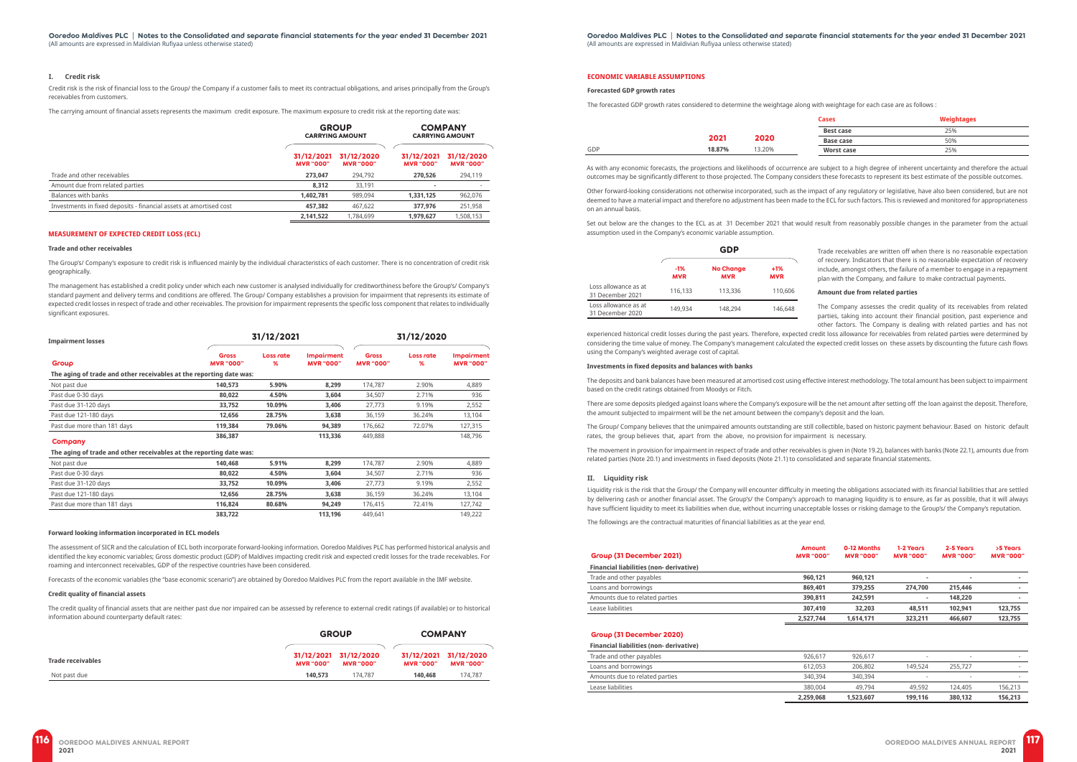

#### Not past due **140,468 5.91% 8,299** 174,787 2.90% 4,889 Past due 0-30 days **80,022 4.50% 3,604** 34,507 2.71% 936 Past due 31-120 days **33,752 10.09% 3,406** 27,773 9.19% 2,552 Past due 121-180 days **12,656 28.75% 3,638** 36,159 36.24% 13,104 Past due more than 181 days **116,824 80.68% 94,249** 176,415 72.41% 127,742 **383,722 113,196 449,641 149,222**

|                                                                    | <b>GROUP</b><br><b>CARRYING AMOUNT</b> |                                | <b>COMPANY</b><br><b>CARRYING AMOUNT</b> |                                |
|--------------------------------------------------------------------|----------------------------------------|--------------------------------|------------------------------------------|--------------------------------|
|                                                                    | 31/12/2021<br><b>MVR "000"</b>         | 31/12/2020<br><b>MVR "000"</b> | 31/12/2021<br><b>MVR "000"</b>           | 31/12/2020<br><b>MVR "000"</b> |
| Trade and other receivables                                        | 273,047                                | 294.792                        | 270.526                                  | 294,119                        |
| Amount due from related parties                                    | 8.312                                  | 33.191                         |                                          | ٠                              |
| Balances with banks                                                | 1,402,781                              | 989.094                        | 1,331,125                                | 962,076                        |
| Investments in fixed deposits - financial assets at amortised cost | 457.382                                | 467.622                        | 377.976                                  | 251,958                        |
|                                                                    | 2,141,522                              | 1,784,699                      | 1.979.627                                | 1,508,153                      |

#### **MEASUREMENT OF EXPECTED CREDIT LOSS (ECL)**

#### **Trade and other receivables**

The Group's/ Company's exposure to credit risk is influenced mainly by the individual characteristics of each customer. There is no concentration of credit risk geographically.

|                          | <b>GROUP</b>     |                                           | <b>COMPANY</b>   |                                           |
|--------------------------|------------------|-------------------------------------------|------------------|-------------------------------------------|
|                          |                  |                                           |                  |                                           |
| <b>Trade receivables</b> | <b>MVR "000"</b> | 31/12/2021 31/12/2020<br><b>MVR "000"</b> | <b>MVR "000"</b> | 31/12/2021 31/12/2020<br><b>MVR "000"</b> |
| Not past due             | 140.573          | 174.787                                   | 140.468          | 174.787                                   |

The management has established a credit policy under which each new customer is analysed individually for creditworthiness before the Group's/ Company's standard payment and delivery terms and conditions are offered. The Group/ Company establishes a provision for impairment that represents its estimate of expected credit losses in respect of trade and other receivables. The provision for impairment represents the specific loss component that relates to individually significant exposures.

| <b>Impairment losses</b>                                            |                           | 31/12/2021            |                                       |                                  | 31/12/2020            |                                       |  |  |
|---------------------------------------------------------------------|---------------------------|-----------------------|---------------------------------------|----------------------------------|-----------------------|---------------------------------------|--|--|
|                                                                     |                           |                       |                                       |                                  |                       |                                       |  |  |
| Group                                                               | Gross<br><b>MVR "000"</b> | <b>Loss rate</b><br>℅ | <b>Impairment</b><br><b>MVR "000"</b> | <b>Gross</b><br><b>MVR "000"</b> | <b>Loss rate</b><br>℅ | <b>Impairment</b><br><b>MVR "000"</b> |  |  |
| The aging of trade and other receivables at the reporting date was: |                           |                       |                                       |                                  |                       |                                       |  |  |
| Not past due                                                        | 140.573                   | 5.90%                 | 8.299                                 | 174.787                          | 2.90%                 | 4,889                                 |  |  |
| Past due 0-30 days                                                  | 80,022                    | 4.50%                 | 3.604                                 | 34,507                           | 2.71%                 | 936                                   |  |  |
| Past due 31-120 days                                                | 33,752                    | 10.09%                | 3.406                                 | 27,773                           | 9.19%                 | 2,552                                 |  |  |
| Past due 121-180 days                                               | 12.656                    | 28.75%                | 3,638                                 | 36,159                           | 36.24%                | 13,104                                |  |  |
| Past due more than 181 days                                         | 119.384                   | 79.06%                | 94.389                                | 176.662                          | 72.07%                | 127,315                               |  |  |
| <b>Company</b>                                                      | 386,387                   |                       | 113.336                               | 449.888                          |                       | 148.796                               |  |  |
| The aging of trade and other receivables at the reporting date was: |                           |                       |                                       |                                  |                       |                                       |  |  |

#### **Forward looking information incorporated in ECL models**

The assessment of SICR and the calculation of ECL both incorporate forward-looking information. Ooredoo Maldives PLC has performed historical analysis and identified the key economic variables; Gross domestic product (GDP) of Maldives impacting credit risk and expected credit losses for the trade receivables. For roaming and interconnect receivables, GDP of the respective countries have been considered.

Forecasts of the economic variables (the "base economic scenario") are obtained by Ooredoo Maldives PLC from the report available in the IMF website.

#### **Credit quality of financial assets**

The credit quality of financial assets that are neither past due nor impaired can be assessed by reference to external credit ratings (if available) or to historical information abound counterparty default rates:

#### **I. Credit risk**

Credit risk is the risk of financial loss to the Group/ the Company if a customer fails to meet its contractual obligations, and arises principally from the Group's receivables from customers.

The carrying amount of financial assets represents the maximum credit exposure. The maximum exposure to credit risk at the reporting date was:

Trade receivables are written off when there is no reasonable expectation of recovery. Indicators that there is no reasonable expectation of recovery include, amongst others, the failure of a member to engage in a repayment plan with the Company, and failure to make contractual payments.

#### **Amount due from related parties**

#### **Investments in fixed deposits and balances with banks**

The deposits and bank balances have been measured at amortised cost using effective interest methodology. The total amount has been subject to impairment based on the credit ratings obtained from Moodys or Fitch.

There are some deposits pledged against loans where the Company's exposure will be the net amount after setting off the loan against the deposit. Therefore, the amount subjected to impairment will be the net amount between the company's deposit and the loan.

The Group/ Company believes that the unimpaired amounts outstanding are still collectible, based on historic payment behaviour. Based on historic default rates, the group believes that, apart from the above, no provision for impairment is necessary.

The movement in provision for impairment in respect of trade and other receivables is given in (Note 19.2), balances with banks (Note 22.1), amounts due from related parties (Note 20.1) and investments in fixed deposits (Note 21.1) to consolidated and separate financial statements.

|     | 2021   | 2020   |  |
|-----|--------|--------|--|
| GDP | 18.87% | 13.20% |  |

#### **ECONOMIC VARIABLE ASSUMPTIONS**

#### **Forecasted GDP growth rates**

The forecasted GDP growth rates considered to determine the weightage along with weightage for each case are as follows :

#### **II. Liquidity risk**

The Company assesses the credit quality of its receivables from related parties, taking into account their financial position, past experience and other factors. The Company is dealing with related parties and has not experienced historical credit losses during the past years. Therefore, expected credit loss allowance for receivables from related parties were determined by considering the time value of money. The Company's management calculated the expected credit losses on these assets by discounting the future cash flows using the Company's weighted average cost of capital. Loss allowance as at 31 December 2020 149,934 148,294 146,648

Liquidity risk is the risk that the Group/ the Company will encounter difficulty in meeting the obligations associated with its financial liabilities that are settled by delivering cash or another financial asset. The Group's/ the Company's approach to managing liquidity is to ensure, as far as possible, that it will always have sufficient liquidity to meet its liabilities when due, without incurring unacceptable losses or risking damage to the Group's/ the Company's reputation.

The followings are the contractual maturities of financial liabilities as at the year end.

As with any economic forecasts, the projections and likelihoods of occurrence are subject to a high degree of inherent uncertainty and therefore the actual outcomes may be significantly different to those projected. The Company considers these forecasts to represent its best estimate of the possible outcomes.

|                                          |                     | <b>GDP</b>                     |                     |
|------------------------------------------|---------------------|--------------------------------|---------------------|
|                                          | $-1%$<br><b>MVR</b> | <b>No Change</b><br><b>MVR</b> | $+1%$<br><b>MVR</b> |
| Loss allowance as at<br>31 December 2021 | 116.133             | 113,336                        | 110,606             |
| Loss allowance as at<br>31 December 2020 | 149.934             | 148.294                        | 146,648             |

Other forward-looking considerations not otherwise incorporated, such as the impact of any regulatory or legislative, have also been considered, but are not deemed to have a material impact and therefore no adjustment has been made to the ECL for such factors. This is reviewed and monitored for appropriateness on an annual basis.

Set out below are the changes to the ECL as at 31 December 2021 that would result from reasonably possible changes in the parameter from the actual assumption used in the Company's economic variable assumption.

| <b>Cases</b>     | <b>Weightages</b> |
|------------------|-------------------|
| <b>Best case</b> | 25%               |
| Base case        | 50%               |
| Worst case       | 25%               |

| Group (31 December 2021)                       | <b>Amount</b><br><b>MVR "000"</b> | 0-12 Months<br><b>MVR "000"</b> | 1-2 Years<br><b>MVR "000"</b> | 2-5 Years<br><b>MVR "000"</b> | >5 Years<br><b>MVR "000"</b> |
|------------------------------------------------|-----------------------------------|---------------------------------|-------------------------------|-------------------------------|------------------------------|
| <b>Financial liabilities (non- derivative)</b> |                                   |                                 |                               |                               |                              |
| Trade and other payables                       | 960.121                           | 960.121                         |                               | $\overline{\phantom{a}}$      | $\overline{\phantom{a}}$     |
| Loans and borrowings                           | 869.401                           | 379.255                         | 274.700                       | 215.446                       | $\overline{\phantom{a}}$     |
| Amounts due to related parties                 | 390.811                           | 242.591                         | $\,$                          | 148.220                       |                              |
| Lease liabilities                              | 307.410                           | 32.203                          | 48.511                        | 102.941                       | 123.755                      |
|                                                | 2,527,744                         | 1.614.171                       | 323.211                       | 466.607                       | 123.755                      |
|                                                |                                   |                                 |                               |                               |                              |

| oup (31 December 2021)               | <b>Amount</b><br><b>MVR "000"</b> | 0-12 Months<br><b>MVR "000"</b> | 1-2 Years<br><b>MVR "000"</b> | 2-5 Years<br><b>MVR "000"</b> | >5 Years<br><b>MVR "000"</b> |
|--------------------------------------|-----------------------------------|---------------------------------|-------------------------------|-------------------------------|------------------------------|
| ancial liabilities (non- derivative) |                                   |                                 |                               |                               |                              |
| de and other payables                | 960.121                           | 960.121                         | $\overline{\phantom{a}}$      |                               | $\sim$                       |
| ans and borrowings                   | 869.401                           | 379.255                         | 274.700                       | 215.446                       | $\blacksquare$               |
| ounts due to related parties         | 390.811                           | 242.591                         | $\sim$                        | 148.220                       | $\overline{\phantom{a}}$     |
| ase liabilities                      | 307.410                           | 32.203                          | 48.511                        | 102.941                       | 123.755                      |
|                                      | 2,527,744                         | 1,614,171                       | 323.211                       | 466.607                       | 123,755                      |
|                                      |                                   |                                 |                               |                               |                              |

#### Group (31 December 2020)

#### **Financial liabilities (non- derivative)**

|                                | 2,259,068 | 1.523.607 | 199.116 | 380.132 | 156,213 |
|--------------------------------|-----------|-----------|---------|---------|---------|
| Lease liabilities              | 380.004   | 49.794    | 49.592  | 124,405 | 156,213 |
| Amounts due to related parties | 340.394   | 340.394   |         |         |         |
| Loans and borrowings           | 612.053   | 206.802   | 149.524 | 255.727 |         |
| Trade and other payables       | 926.617   | 926.617   | $\sim$  |         |         |
|                                |           |           |         |         |         |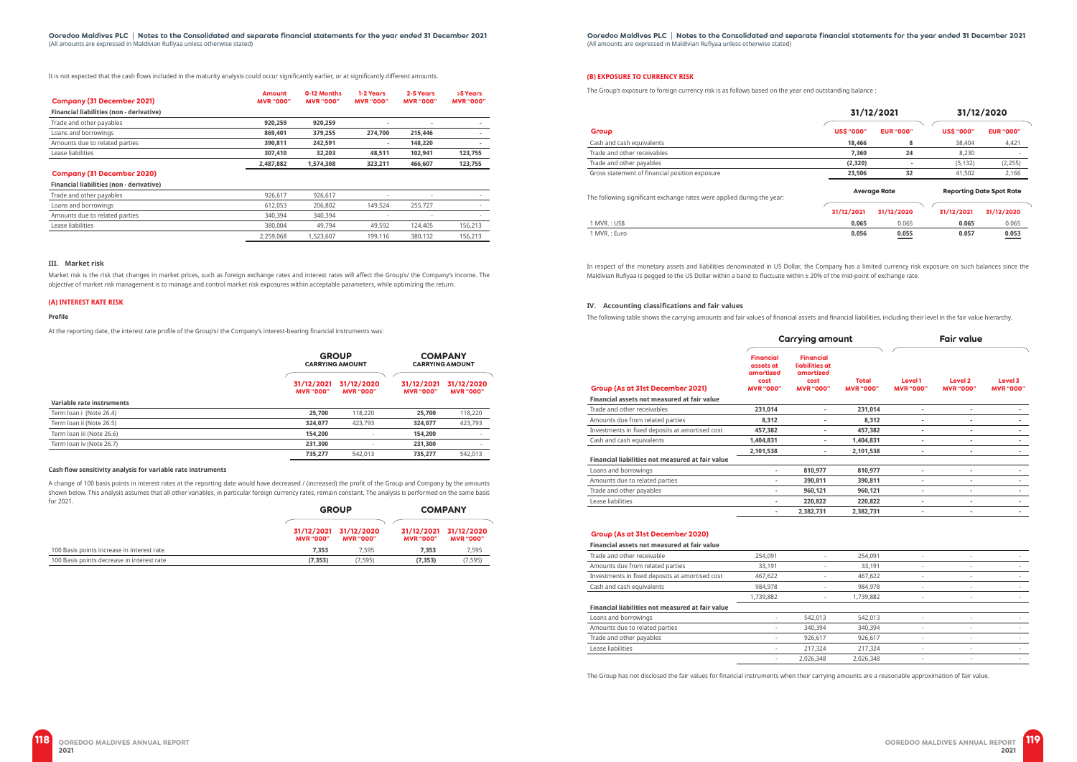

#### **Cash flow sensitivity analysis for variable rate instruments**

A change of 100 basis points in interest rates at the reporting date would have decreased / (increased) the profit of the Group and Company by the amounts shown below. This analysis assumes that all other variables, in particular foreign currency rates, remain constant. The analysis is performed on the same basis for 2021. GROUP COMPANY

#### Company (31 December 2020) **Financial liabilities (non - derivative)**

| Financial Habilities (non - derivative) |           |           |         |         |         |
|-----------------------------------------|-----------|-----------|---------|---------|---------|
| Trade and other payables                | 926.617   | 926.617   | $\sim$  |         |         |
| Loans and borrowings                    | 612.053   | 206.802   | 149.524 | 255.727 |         |
| Amounts due to related parties          | 340.394   | 340.394   |         | ۰       |         |
| Lease liabilities                       | 380.004   | 49.794    | 49.592  | 124.405 | 156.213 |
|                                         | 2.259.068 | 1.523.607 | 199.116 | 380.132 | 156.213 |

|                                            | urvur                          |                                | <b>UUMPANI</b>   |                                           |
|--------------------------------------------|--------------------------------|--------------------------------|------------------|-------------------------------------------|
|                                            |                                |                                |                  |                                           |
|                                            | 31/12/2021<br><b>MVR "000"</b> | 31/12/2020<br><b>MVR "000"</b> | <b>MVR "000"</b> | 31/12/2021 31/12/2020<br><b>MVR "000"</b> |
| 100 Basis points increase in interest rate | 7.353                          | 595.'                          | 7.353            | 7,595                                     |
| 100 Basis points decrease in interest rate | (7, 353)                       | 7.595                          | (7, 353)         | 7,595)                                    |

|                           |                                | <b>GROUP</b><br><b>CARRYING AMOUNT</b> | <b>COMPANY</b><br><b>CARRYING AMOUNT</b> |                                |
|---------------------------|--------------------------------|----------------------------------------|------------------------------------------|--------------------------------|
|                           | 31/12/2021<br><b>MVR "000"</b> | 31/12/2020<br><b>MVR "000"</b>         | 31/12/2021<br><b>MVR "000"</b>           | 31/12/2020<br><b>MVR "000"</b> |
| Variable rate instruments |                                |                                        |                                          |                                |
| Term Ioan i (Note 26.4)   | 25,700                         | 118,220                                | 25,700                                   | 118,220                        |
| Term Ioan ii (Note 26.5)  | 324,077                        | 423.793                                | 324,077                                  | 423,793                        |
| Term Joan iii (Note 26.6) | 154.200                        | $\blacksquare$                         | 154.200                                  | $\overline{\phantom{a}}$       |
| Term Ioan iv (Note 26.7)  | 231,300                        | $\blacksquare$                         | 231,300                                  | $\overline{\phantom{a}}$       |
|                           | 735,277                        | 542.013                                | 735.277                                  | 542.013                        |

It is not expected that the cash flows included in the maturity analysis could occur significantly earlier, or at significantly different amounts.

#### **III. Market risk**

Market risk is the risk that changes in market prices, such as foreign exchange rates and interest rates will affect the Group's/ the Company's income. The objective of market risk management is to manage and control market risk exposures within acceptable parameters, while optimizing the return.

#### **(A) INTEREST RATE RISK**

#### **Profile**

At the reporting date, the interest rate profile of the Group's/ the Company's interest-bearing financial instruments was:

| <b>Amount</b><br><b>MVR "000"</b> | 0-12 Months<br><b>MVR "000"</b> | 1-2 Years<br><b>MVR "000"</b> | 2-5 Years<br><b>MVR "000"</b> | >5 Years<br><b>MVR "000"</b> |
|-----------------------------------|---------------------------------|-------------------------------|-------------------------------|------------------------------|
|                                   |                                 |                               |                               |                              |
| 920.259                           | 920.259                         | $\overline{\phantom{a}}$      |                               |                              |
| 869.401                           | 379.255                         | 274.700                       | 215.446                       |                              |
| 390.811                           | 242.591                         | $\overline{\phantom{a}}$      | 148.220                       |                              |
| 307.410                           | 32.203                          | 48.511                        | 102.941                       | 123,755                      |
| 2.487.882                         | 1.574.308                       | 323.211                       | 466.607                       | 123,755                      |
|                                   |                                 |                               |                               |                              |

|                                                                        |                   | 31/12/2021          | 31/12/2020        |                                 |
|------------------------------------------------------------------------|-------------------|---------------------|-------------------|---------------------------------|
| Group                                                                  | <b>US\$ "000"</b> | <b>EUR "000"</b>    | <b>US\$ "000"</b> | <b>EUR "000"</b>                |
| Cash and cash equivalents                                              | 18.466            | 8                   | 38,404            | 4,421                           |
| Trade and other receivables                                            | 7.360             | 24                  | 8.230             |                                 |
| Trade and other payables                                               | (2,320)           |                     | (5, 132)          | (2, 255)                        |
| Gross statement of financial position exposure                         | 23,506            | 32                  | 41,502            | 2,166                           |
| The following significant exchange rates were applied during the year: |                   | <b>Average Rate</b> |                   | <b>Reporting Date Spot Rate</b> |
|                                                                        | 31/12/2021        | 31/12/2020          | 31/12/2021        | 31/12/2020                      |
| 1 MVR.: US\$                                                           | 0.065             | 0.065               | 0.065             | 0.065                           |
| 1 MVR.: Euro                                                           | 0.056             | 0.055               | 0.057             | 0.053                           |

|                                                                        |                     | 31/12/2021       | 31/12/2020                      |                  |
|------------------------------------------------------------------------|---------------------|------------------|---------------------------------|------------------|
| Group                                                                  | <b>US\$ "000"</b>   | <b>EUR "000"</b> | <b>US\$ "000"</b>               | <b>EUR "000"</b> |
| Cash and cash equivalents                                              | 18,466              | 8                | 38,404                          | 4,421            |
| Trade and other receivables                                            | 7.360               | 24               | 8.230                           |                  |
| Trade and other payables                                               | (2,320)             |                  | (5, 132)                        | (2, 255)         |
| Gross statement of financial position exposure                         | 23,506              | 32               | 41,502                          | 2,166            |
| The following significant exchange rates were applied during the year: | <b>Average Rate</b> |                  | <b>Reporting Date Spot Rate</b> |                  |
|                                                                        | 31/12/2021          | 31/12/2020       | 31/12/2021                      | 31/12/2020       |
| 1 MVR.: US\$                                                           | 0.065               | 0.065            | 0.065                           | 0.065            |
| 1 MVR.: Euro                                                           | 0.056               | 0.055            | 0.057                           | 0.053            |

#### **(B) EXPOSURE TO CURRENCY RISK**

The Group's exposure to foreign currency risk is as follows based on the year end outstanding balance :

In respect of the monetary assets and liabilities denominated in US Dollar, the Company has a limited currency risk exposure on such balances since the Maldivian Rufiyaa is pegged to the US Dollar within a band to fluctuate within ± 20% of the mid-point of exchange rate.

#### **IV. Accounting classifications and fair values**

|                                                                                 | <b>Carrying amount</b>                                                 |                                                                             |                           | <b>Fair value</b>           |                             |                             |  |
|---------------------------------------------------------------------------------|------------------------------------------------------------------------|-----------------------------------------------------------------------------|---------------------------|-----------------------------|-----------------------------|-----------------------------|--|
| Group (As at 31st December 2021)                                                | <b>Financial</b><br>assets at<br>amortized<br>cost<br><b>MVR "000"</b> | <b>Financial</b><br>liabilities at<br>amortized<br>cost<br><b>MVR "000"</b> | Total<br><b>MVR "000"</b> | Level 1<br><b>MVR "000"</b> | Level 2<br><b>MVR "000"</b> | Level 3<br><b>MVR "000"</b> |  |
| <b>Financial assets not measured at fair value</b>                              |                                                                        |                                                                             |                           |                             |                             |                             |  |
| Trade and other receivables                                                     | 231,014                                                                | $\overline{\phantom{a}}$                                                    | 231,014                   | $\overline{\phantom{a}}$    | $\overline{\phantom{a}}$    | $\blacksquare$              |  |
| Amounts due from related parties                                                | 8,312                                                                  |                                                                             | 8,312                     |                             |                             |                             |  |
| Investments in fixed deposits at amortised cost                                 | 457,382                                                                |                                                                             | 457,382                   |                             |                             |                             |  |
| Cash and cash equivalents                                                       | 1,404,831                                                              |                                                                             | 1,404,831                 | $\overline{\phantom{a}}$    |                             |                             |  |
|                                                                                 | 2,101,538                                                              |                                                                             | 2,101,538                 |                             |                             |                             |  |
| Financial liabilities not measured at fair value                                |                                                                        |                                                                             |                           |                             |                             |                             |  |
| Loans and borrowings                                                            |                                                                        | 810,977                                                                     | 810,977                   |                             |                             |                             |  |
| Amounts due to related parties                                                  |                                                                        | 390,811                                                                     | 390,811                   | ÷                           | ÷,                          |                             |  |
| Trade and other payables                                                        |                                                                        | 960,121                                                                     | 960,121                   | $\overline{a}$              |                             | $\overline{\phantom{a}}$    |  |
| Lease liabilities                                                               |                                                                        | 220,822                                                                     | 220,822                   |                             |                             |                             |  |
|                                                                                 |                                                                        | 2,382,731                                                                   | 2,382,731                 |                             |                             |                             |  |
| Group (As at 31st December 2020)<br>Financial assets not measured at fair value |                                                                        |                                                                             |                           |                             |                             |                             |  |
| Trade and other receivable                                                      | 254,091                                                                |                                                                             | 254,091                   |                             |                             |                             |  |
| Amounts due from related parties                                                | 33,191                                                                 |                                                                             | 33,191                    |                             |                             |                             |  |
| Investments in fixed deposits at amortised cost                                 | 467,622                                                                |                                                                             | 467,622                   |                             |                             |                             |  |
| Cash and cash equivalents                                                       | 984,978                                                                |                                                                             | 984,978                   |                             |                             |                             |  |
|                                                                                 | 1,739,882                                                              |                                                                             | 1,739,882                 |                             |                             |                             |  |
| Financial liabilities not measured at fair value                                |                                                                        |                                                                             |                           |                             |                             |                             |  |
| Loans and borrowings                                                            |                                                                        | 542,013                                                                     | 542,013                   |                             |                             |                             |  |
| Amounts due to related parties                                                  |                                                                        | 340,394                                                                     | 340,394                   |                             |                             |                             |  |
| Trade and other payables                                                        |                                                                        | 926,617                                                                     | 926,617                   | $\overline{\phantom{a}}$    |                             |                             |  |
| Lease liabilities                                                               |                                                                        | 217,324                                                                     | 217,324                   |                             |                             |                             |  |
|                                                                                 |                                                                        | 2,026,348                                                                   | 2,026,348                 |                             |                             |                             |  |

The following table shows the carrying amounts and fair values of financial assets and financial liabilities, including their level in the fair value hierarchy.

|                                                 | <b>Carrying amount</b>                                                 |                                                                             | <b>Fair value</b>                |                             |                             |                             |
|-------------------------------------------------|------------------------------------------------------------------------|-----------------------------------------------------------------------------|----------------------------------|-----------------------------|-----------------------------|-----------------------------|
| Group (As at 31st December 2021)                | <b>Financial</b><br>assets at<br>amortized<br>cost<br><b>MVR "000"</b> | <b>Financial</b><br>liabilities at<br>amortized<br>cost<br><b>MVR "000"</b> | <b>Total</b><br><b>MVR "000"</b> | Level 1<br><b>MVR "000"</b> | Level 2<br><b>MVR "000"</b> | Level 3<br><b>MVR "000"</b> |
| inancial assets not measured at fair value      |                                                                        |                                                                             |                                  |                             |                             |                             |
| rade and other receivables                      | 231,014                                                                |                                                                             | 231,014                          |                             |                             |                             |
| mounts due from related parties                 | 8,312                                                                  |                                                                             | 8,312                            | $\overline{\phantom{0}}$    |                             | $\overline{\phantom{a}}$    |
| nvestments in fixed deposits at amortised cost  | 457,382                                                                | $\overline{\phantom{0}}$                                                    | 457,382                          | $\overline{a}$              |                             | $\overline{\phantom{a}}$    |
| ash and cash equivalents                        | 1,404,831                                                              |                                                                             | 1,404,831                        | $\overline{\phantom{0}}$    |                             |                             |
|                                                 | 2,101,538                                                              |                                                                             | 2,101,538                        |                             |                             |                             |
| inancial liabilities not measured at fair value |                                                                        |                                                                             |                                  |                             |                             |                             |
| oans and borrowings                             |                                                                        | 810.977                                                                     | 810,977                          |                             |                             |                             |
| mounts due to related parties                   |                                                                        | 390,811                                                                     | 390,811                          | $\overline{a}$              |                             |                             |
| rade and other payables                         |                                                                        | 960,121                                                                     | 960,121                          |                             |                             |                             |
| ease liabilities                                |                                                                        | 220,822                                                                     | 220,822                          |                             |                             |                             |
|                                                 |                                                                        | 2,382,731                                                                   | 2,382,731                        | $\overline{\phantom{a}}$    |                             |                             |
| Group (As at 31st December 2020)                |                                                                        |                                                                             |                                  |                             |                             |                             |
| inancial assets not measured at fair value      |                                                                        |                                                                             |                                  |                             |                             |                             |
| rade and other receivable                       | 254.091                                                                |                                                                             | 254,091                          |                             |                             |                             |
| mounts due from related parties                 | 33,191                                                                 | ٠                                                                           | 33,191                           | ä,                          |                             |                             |
| nvestments in fixed deposits at amortised cost  | 467,622                                                                |                                                                             | 467,622                          |                             |                             |                             |
| ash and cash equivalents                        | 984,978                                                                |                                                                             | 984,978                          |                             |                             |                             |
|                                                 | 1,739,882                                                              |                                                                             | 1,739,882                        |                             |                             |                             |
| inancial liabilities not measured at fair value |                                                                        |                                                                             |                                  |                             |                             |                             |
| oans and borrowings                             | ÷.                                                                     | 542,013                                                                     | 542,013                          | ä,                          |                             |                             |
| mounts due to related parties                   |                                                                        | 340,394                                                                     | 340,394                          |                             |                             |                             |
| rade and other payables                         | ٠                                                                      | 926,617                                                                     | 926,617                          | $\overline{\phantom{m}}$    |                             |                             |
|                                                 |                                                                        |                                                                             |                                  |                             |                             |                             |

The Group has not disclosed the fair values for financial instruments when their carrying amounts are a reasonable approximation of fair value.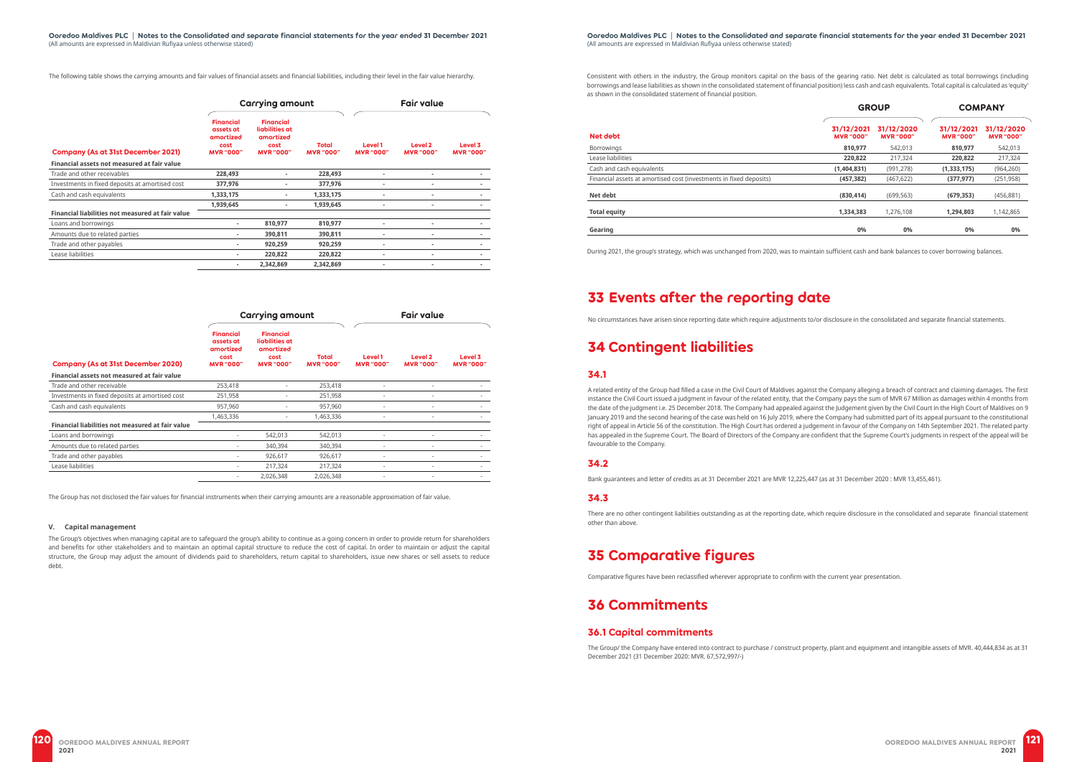

The Group has not disclosed the fair values for financial instruments when their carrying amounts are a reasonable approximation of fair value.

#### **V. Capital management**

|                                                  | <b>Carrying amount</b>                                                 |                                                                             |                                  | <b>Fair value</b>           |                             |                             |
|--------------------------------------------------|------------------------------------------------------------------------|-----------------------------------------------------------------------------|----------------------------------|-----------------------------|-----------------------------|-----------------------------|
| <b>Company (As at 31st December 2020)</b>        | <b>Financial</b><br>assets at<br>amortized<br>cost<br><b>MVR "000"</b> | <b>Financial</b><br>liabilities at<br>amortized<br>cost<br><b>MVR "000"</b> | <b>Total</b><br><b>MVR "000"</b> | Level 1<br><b>MVR "000"</b> | Level 2<br><b>MVR "000"</b> | Level 3<br><b>MVR "000"</b> |
| Financial assets not measured at fair value      |                                                                        |                                                                             |                                  |                             |                             |                             |
| Trade and other receivable                       | 253,418                                                                |                                                                             | 253,418                          |                             |                             |                             |
| Investments in fixed deposits at amortised cost  | 251,958                                                                |                                                                             | 251,958                          | $\overline{\phantom{a}}$    |                             |                             |
| Cash and cash equivalents                        | 957,960                                                                | ٠                                                                           | 957,960                          | ٠                           | $\sim$                      |                             |
|                                                  | 1,463,336                                                              |                                                                             | 1,463,336                        |                             |                             |                             |
| Financial liabilities not measured at fair value |                                                                        |                                                                             |                                  |                             |                             |                             |
| Loans and borrowings                             |                                                                        | 542,013                                                                     | 542,013                          |                             |                             |                             |
| Amounts due to related parties                   |                                                                        | 340,394                                                                     | 340,394                          | $\overline{\phantom{a}}$    | ٠                           |                             |
| Trade and other payables                         |                                                                        | 926,617                                                                     | 926,617                          | $\overline{\phantom{a}}$    | $\sim$                      |                             |
| Lease liabilities                                |                                                                        | 217,324                                                                     | 217,324                          | ٠                           |                             |                             |
|                                                  |                                                                        | 2,026,348                                                                   | 2,026,348                        |                             |                             |                             |

The Group's objectives when managing capital are to safeguard the group's ability to continue as a going concern in order to provide return for shareholders and benefits for other stakeholders and to maintain an optimal capital structure to reduce the cost of capital. In order to maintain or adjust the capital structure, the Group may adjust the amount of dividends paid to shareholders, return capital to shareholders, issue new shares or sell assets to reduce debt.

The following table shows the carrying amounts and fair values of financial assets and financial liabilities, including their level in the fair value hierarchy.

|                                                  | <b>Carrying amount</b>                                                 |                                                                             |                                  | <b>Fair value</b>           |                             |                             |
|--------------------------------------------------|------------------------------------------------------------------------|-----------------------------------------------------------------------------|----------------------------------|-----------------------------|-----------------------------|-----------------------------|
| <b>Company (As at 31st December 2021)</b>        | <b>Financial</b><br>assets at<br>amortized<br>cost<br><b>MVR "000"</b> | <b>Financial</b><br>liabilities at<br>amortized<br>cost<br><b>MVR "000"</b> | <b>Total</b><br><b>MVR "000"</b> | Level 1<br><b>MVR "000"</b> | Level 2<br><b>MVR "000"</b> | Level 3<br><b>MVR "000"</b> |
| Financial assets not measured at fair value      |                                                                        |                                                                             |                                  |                             |                             |                             |
| Trade and other receivables                      | 228,493                                                                | ٠                                                                           | 228,493                          | $\overline{\phantom{a}}$    | $\overline{\phantom{a}}$    |                             |
| Investments in fixed deposits at amortised cost  | 377,976                                                                | ۰.                                                                          | 377,976                          | $\blacksquare$              | $\blacksquare$              |                             |
| Cash and cash equivalents                        | 1,333,175                                                              | $\overline{\phantom{0}}$                                                    | 1,333,175                        | $\blacksquare$              | $\blacksquare$              |                             |
|                                                  | 1,939,645                                                              |                                                                             | 1,939,645                        |                             | ٠                           |                             |
| Financial liabilities not measured at fair value |                                                                        |                                                                             |                                  |                             |                             |                             |
| Loans and borrowings                             | $\overline{\phantom{a}}$                                               | 810,977                                                                     | 810,977                          | $\blacksquare$              | ٠                           |                             |
| Amounts due to related parties                   | ٠                                                                      | 390,811                                                                     | 390,811                          | $\blacksquare$              | ٠                           |                             |
| Trade and other payables                         | ٠                                                                      | 920,259                                                                     | 920,259                          | $\blacksquare$              | ٠                           | ٠                           |
| Lease liabilities                                |                                                                        | 220,822                                                                     | 220,822                          | $\blacksquare$              | ٠                           |                             |
|                                                  |                                                                        | 2,342,869                                                                   | 2,342,869                        |                             | ٠                           |                             |

Consistent with others in the industry, the Group monitors capital on the basis of the gearing ratio. Net debt is calculated as total borrowings (including borrowings and lease liabilities as shown in the consolidated statement of financial position) less cash and cash equivalents. Total capital is calculated as 'equity' as shown in the consolidated statement of financial position.

During 2021, the group's strategy, which was unchanged from 2020, was to maintain sufficient cash and bank balances to cover borrowing balances.

|                                                                    |                                | <b>GROUP</b>                   | <b>COMPANY</b>                 |                                |
|--------------------------------------------------------------------|--------------------------------|--------------------------------|--------------------------------|--------------------------------|
| Net debt                                                           | 31/12/2021<br><b>MVR "000"</b> | 31/12/2020<br><b>MVR "000"</b> | 31/12/2021<br><b>MVR "000"</b> | 31/12/2020<br><b>MVR "000"</b> |
| <b>Borrowings</b>                                                  | 810,977                        | 542,013                        | 810,977                        | 542,013                        |
| Lease liabilities                                                  | 220,822                        | 217,324                        | 220,822                        | 217,324                        |
| Cash and cash equivalents                                          | (1,404,831)                    | (991, 278)                     | (1,333,175)                    | (964, 260)                     |
| Financial assets at amortised cost (investments in fixed deposits) | (457, 382)                     | (467, 622)                     | (377, 977)                     | (251, 958)                     |
| Net debt                                                           | (830, 414)                     | (699, 563)                     | (679, 353)                     | (456, 881)                     |
| <b>Total equity</b>                                                | 1,334,383                      | 1,276,108                      | 1,294,803                      | 1,142,865                      |
| Gearing                                                            | 0%                             | 0%                             | 0%                             | 0%                             |

# 33 Events after the reporting date

No circumstances have arisen since reporting date which require adjustments to/or disclosure in the consolidated and separate financial statements.

# 34 Contingent liabilities

#### 34.1

A related entity of the Group had filled a case in the Civil Court of Maldives against the Company alleging a breach of contract and claiming damages. The first instance the Civil Court issued a judgment in favour of the related entity, that the Company pays the sum of MVR 67 Million as damages within 4 months from the date of the judgment i.e. 25 December 2018. The Company had appealed against the Judgement given by the Civil Court in the High Court of Maldives on 9 January 2019 and the second hearing of the case was held on 16 July 2019, where the Company had submitted part of its appeal pursuant to the constitutional right of appeal in Article 56 of the constitution. The High Court has ordered a judgement in favour of the Company on 14th September 2021. The related party has appealed in the Supreme Court. The Board of Directors of the Company are confident that the Supreme Court's judgments in respect of the appeal will be favourable to the Company.

#### 34.2

Bank guarantees and letter of credits as at 31 December 2021 are MVR 12,225,447 (as at 31 December 2020 : MVR 13,455,461).

#### 34.3

There are no other contingent liabilities outstanding as at the reporting date, which require disclosure in the consolidated and separate financial statement other than above.

# 35 Comparative figures

Comparative figures have been reclassified wherever appropriate to confirm with the current year presentation.

# 36 Commitments

#### 36.1 Capital commitments

The Group/ the Company have entered into contract to purchase / construct property, plant and equipment and intangible assets of MVR. 40,444,834 as at 31 December 2021 (31 December 2020: MVR. 67,572,997/-)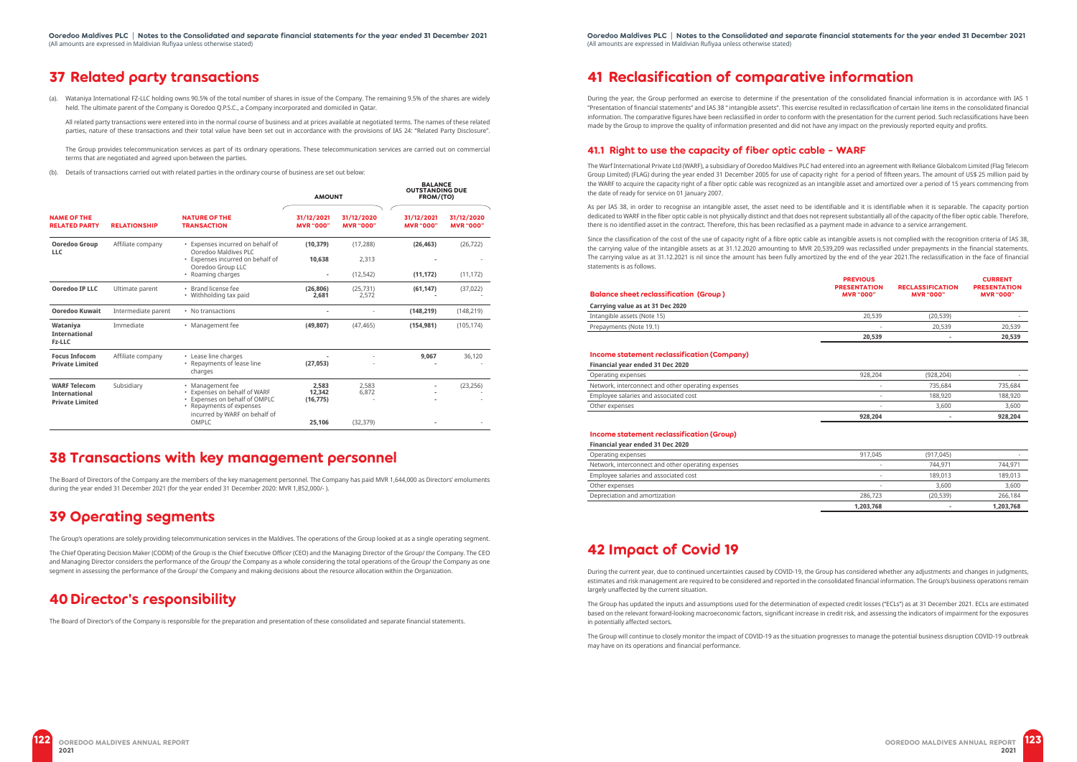

# 37 Related party transactions

(a). Wataniya International FZ-LLC holding owns 90.5% of the total number of shares in issue of the Company. The remaining 9.5% of the shares are widely held. The ultimate parent of the Company is Ooredoo Q.P.S.C., a Company incorporated and domiciled in Qatar.

All related party transactions were entered into in the normal course of business and at prices available at negotiated terms. The names of these related parties, nature of these transactions and their total value have been set out in accordance with the provisions of IAS 24: "Related Party Disclosure".

The Group provides telecommunication services as part of its ordinary operations. These telecommunication services are carried out on commercial terms that are negotiated and agreed upon between the parties.

(b). Details of transactions carried out with related parties in the ordinary course of business are set out below:

# 38 Transactions with key management personnel

The Board of Directors of the Company are the members of the key management personnel. The Company has paid MVR 1,644,000 as Directors' emoluments during the year ended 31 December 2021 (for the year ended 31 December 2020: MVR 1,852,000/- ).

# 39 Operating segments

The Group's operations are solely providing telecommunication services in the Maldives. The operations of the Group looked at as a single operating segment.

The Chief Operating Decision Maker (CODM) of the Group is the Chief Executive Officer (CEO) and the Managing Director of the Group/ the Company. The CEO and Managing Director considers the performance of the Group/ the Company as a whole considering the total operations of the Group/ the Company as one segment in assessing the performance of the Group/ the Company and making decisions about the resource allocation within the Organization.

# 40Director's responsibility

The Board of Director's of the Company is responsible for the preparation and presentation of these consolidated and separate financial statements.

As per IAS 38, in order to recognise an intangible asset, the asset need to be identifiable and it is identifiable when it is separable. The capacity portion dedicated to WARF in the fiber optic cable is not physically distinct and that does not represent substantially all of the capacity of the fiber optic cable. Therefore, there is no identified asset in the contract. Therefore, this has been reclasified as a payment made in advance to a service arrangement.

|                                                                       |                     |                                                                                                                                            | <b>AMOUNT</b>                  |                                | <b>BALANCE</b><br><b>OUTSTANDING DUE</b><br>FROM/(TO) |                                |
|-----------------------------------------------------------------------|---------------------|--------------------------------------------------------------------------------------------------------------------------------------------|--------------------------------|--------------------------------|-------------------------------------------------------|--------------------------------|
| <b>NAME OF THE</b><br><b>RELATED PARTY</b>                            | <b>RELATIONSHIP</b> | <b>NATURE OF THE</b><br><b>TRANSACTION</b>                                                                                                 | 31/12/2021<br><b>MVR "000"</b> | 31/12/2020<br><b>MVR "000"</b> | 31/12/2021<br><b>MVR "000"</b>                        | 31/12/2020<br><b>MVR "000"</b> |
| <b>Ooredoo Group</b><br><b>LLC</b>                                    | Affiliate company   | • Expenses incurred on behalf of<br>Ooredoo Maldives PLC                                                                                   | (10, 379)                      | (17, 288)                      | (26, 463)                                             | (26, 722)                      |
|                                                                       |                     | • Expenses incurred on behalf of<br>Ooredoo Group LLC                                                                                      | 10,638                         | 2,313                          |                                                       |                                |
|                                                                       |                     | • Roaming charges                                                                                                                          | $\blacksquare$                 | (12, 542)                      | (11, 172)                                             | (11, 172)                      |
| <b>Ooredoo IP LLC</b>                                                 | Ultimate parent     | · Brand license fee<br>• Withholding tax paid                                                                                              | (26, 806)<br>2,681             | (25, 731)<br>2,572             | (61, 147)                                             | (37, 022)                      |
| <b>Ooredoo Kuwait</b>                                                 | Intermediate parent | • No transactions                                                                                                                          |                                |                                | (148, 219)                                            | (148, 219)                     |
| Wataniya<br><b>International</b><br>Fz-LLC                            | Immediate           | • Management fee                                                                                                                           | (49, 807)                      | (47.465)                       | (154, 981)                                            | (105, 174)                     |
| <b>Focus Infocom</b><br><b>Private Limited</b>                        | Affiliate company   | • Lease line charges<br>• Repayments of lease line<br>charges                                                                              | (27, 053)                      |                                | 9,067                                                 | 36,120                         |
| <b>WARF Telecom</b><br><b>International</b><br><b>Private Limited</b> | Subsidiary          | • Management fee<br>Expenses on behalf of WARF<br>Expenses on behalf of OMPLC<br>• Repayments of expenses<br>incurred by WARF on behalf of | 2,583<br>12,342<br>(16, 775)   | 2,583<br>6,872                 |                                                       | (23, 256)                      |
|                                                                       |                     | OMPLC                                                                                                                                      | 25,106                         | (32, 379)                      |                                                       |                                |

# 41 Reclasification of comparative information

During the year, the Group performed an exercise to determine if the presentation of the consolidated financial information is in accordance with IAS 1 "Presentation of financial statements" and IAS 38 " intangible assets". This exercise resulted in reclassification of certain line items in the consolidated financial information. The comparative figures have been reclassified in order to conform with the presentation for the current period. Such reclassifications have been made by the Group to improve the quality of information presented and did not have any impact on the previously reported equity and profits.

## 41.1 Right to use the capacity of fiber optic cable - WARF

The Warf International Private Ltd (WARF), a subsidiary of Ooredoo Maldives PLC had entered into an agreement with Reliance Globalcom Limited (Flag Telecom Group Limited) (FLAG) during the year ended 31 December 2005 for use of capacity right for a period of fifteen years. The amount of US\$ 25 million paid by the WARF to acquire the capacity right of a fiber optic cable was recognized as an intangible asset and amortized over a period of 15 years commencing from the date of ready for service on 01 January 2007.

Since the classification of the cost of the use of capacity right of a fibre optic cable as intangible assets is not complied with the recognition criteria of IAS 38, the carrying value of the intangible assets as at 31.12.2020 amounting to MVR 20,539,209 was reclassified under prepayments in the financial statements. The carrying value as at 31.12.2021 is nil since the amount has been fully amortized by the end of the year 2021.The reclassification in the face of financial statements is as follows.

# 42 Impact of Covid 19

During the current year, due to continued uncertainties caused by COVID-19, the Group has considered whether any adjustments and changes in judgments, estimates and risk management are required to be considered and reported in the consolidated financial information. The Group's business operations remain largely unaffected by the current situation.

The Group has updated the inputs and assumptions used for the determination of expected credit losses ("ECLs") as at 31 December 2021. ECLs are estimated based on the relevant forward-looking macroeconomic factors, significant increase in credit risk, and assessing the indicators of impairment for the exposures in potentially affected sectors.

The Group will continue to closely monitor the impact of COVID-19 as the situation progresses to manage the potential business disruption COVID-19 outbreak may have on its operations and financial performance.

| <b>Balance sheet reclassification (Group)</b>      | <b>PREVIOUS</b><br><b>PRESENTATION</b><br><b>MVR "000"</b> | <b>RECLASSIFICATION</b><br><b>MVR "000"</b> | <b>CURRENT</b><br><b>PRESENTATION</b><br><b>MVR "000"</b> |
|----------------------------------------------------|------------------------------------------------------------|---------------------------------------------|-----------------------------------------------------------|
| Carrying value as at 31 Dec 2020                   |                                                            |                                             |                                                           |
| Intangible assets (Note 15)                        | 20,539                                                     | (20, 539)                                   |                                                           |
| Prepayments (Note 19.1)                            |                                                            | 20.539                                      | 20,539                                                    |
|                                                    | 20,539                                                     |                                             | 20,539                                                    |
| Income statement reclassification (Company)        |                                                            |                                             |                                                           |
| Financial year ended 31 Dec 2020                   |                                                            |                                             |                                                           |
| Operating expenses                                 | 928.204                                                    | (928, 204)                                  |                                                           |
| Network, interconnect and other operating expenses | ×                                                          | 735,684                                     | 735,684                                                   |
| Employee salaries and associated cost              |                                                            | 188,920                                     | 188,920                                                   |
| Other expenses                                     |                                                            | 3,600                                       | 3,600                                                     |
|                                                    | 928,204                                                    |                                             | 928,204                                                   |
| Income statement reclassification (Group)          |                                                            |                                             |                                                           |
| Financial year ended 31 Dec 2020                   |                                                            |                                             |                                                           |
| Operating expenses                                 | 917,045                                                    | (917, 045)                                  |                                                           |
| Network, interconnect and other operating expenses | ٠                                                          | 744,971                                     | 744,971                                                   |
| Employee salaries and associated cost              | ٠                                                          | 189,013                                     | 189,013                                                   |
| Other expenses                                     |                                                            | 3,600                                       | 3,600                                                     |
| Depreciation and amortization                      | 286,723                                                    | (20, 539)                                   | 266,184                                                   |
|                                                    | 1.203.768                                                  |                                             | 1.203.768                                                 |

| <b>Balance sheet reclassification (Group)</b>      | <b>PREVIOUS</b><br><b>PRESENTATION</b><br><b>MVR "000"</b> | <b>RECLASSIFICATION</b><br><b>MVR "000"</b> | <b>CURRENT</b><br><b>PRESENTATION</b><br><b>MVR "000"</b> |
|----------------------------------------------------|------------------------------------------------------------|---------------------------------------------|-----------------------------------------------------------|
| Carrying value as at 31 Dec 2020                   |                                                            |                                             |                                                           |
| Intangible assets (Note 15)                        | 20,539                                                     | (20, 539)                                   |                                                           |
| Prepayments (Note 19.1)                            |                                                            | 20,539                                      | 20,539                                                    |
|                                                    | 20,539                                                     |                                             | 20,539                                                    |
| <b>Income statement reclassification (Company)</b> |                                                            |                                             |                                                           |
| Financial year ended 31 Dec 2020                   |                                                            |                                             |                                                           |
| Operating expenses                                 | 928,204                                                    | (928, 204)                                  |                                                           |
| Network, interconnect and other operating expenses |                                                            | 735,684                                     | 735,684                                                   |
| Employee salaries and associated cost              |                                                            | 188,920                                     | 188,920                                                   |
| Other expenses                                     |                                                            | 3,600                                       | 3,600                                                     |
|                                                    | 928,204                                                    |                                             | 928,204                                                   |
| Income statement reclassification (Group)          |                                                            |                                             |                                                           |
| Financial year ended 31 Dec 2020                   |                                                            |                                             |                                                           |
| Operating expenses                                 | 917,045                                                    | (917, 045)                                  |                                                           |
| Network, interconnect and other operating expenses |                                                            | 744,971                                     | 744,971                                                   |
| Employee salaries and associated cost              |                                                            | 189,013                                     | 189,013                                                   |
| Other expenses                                     |                                                            | 3,600                                       | 3,600                                                     |
| Depreciation and amortization                      | 286,723                                                    | (20, 539)                                   | 266,184                                                   |
|                                                    | 1.0000000                                                  |                                             | 1.00000000                                                |

| <b>Balance sheet reclassification (Group)</b>      | <b>PREVIOUS</b><br><b>PRESENTATION</b><br><b>MVR "000"</b> | <b>RECLASSIFICATION</b><br><b>MVR "000"</b> | <b>CURRENT</b><br><b>PRESENTATION</b><br><b>MVR "000"</b> |
|----------------------------------------------------|------------------------------------------------------------|---------------------------------------------|-----------------------------------------------------------|
| Carrying value as at 31 Dec 2020                   |                                                            |                                             |                                                           |
| Intangible assets (Note 15)                        | 20,539                                                     | (20, 539)                                   |                                                           |
| Prepayments (Note 19.1)                            |                                                            | 20,539                                      | 20,539                                                    |
|                                                    | 20,539                                                     |                                             | 20,539                                                    |
| <b>Income statement reclassification (Company)</b> |                                                            |                                             |                                                           |
| Financial year ended 31 Dec 2020                   |                                                            |                                             |                                                           |
| Operating expenses                                 | 928,204                                                    | (928, 204)                                  |                                                           |
| Network, interconnect and other operating expenses |                                                            | 735,684                                     | 735,684                                                   |
| Employee salaries and associated cost              |                                                            | 188,920                                     | 188,920                                                   |
| Other expenses                                     |                                                            | 3,600                                       | 3,600                                                     |
|                                                    | 928,204                                                    |                                             | 928,204                                                   |
| Income statement reclassification (Group)          |                                                            |                                             |                                                           |
| Financial year ended 31 Dec 2020                   |                                                            |                                             |                                                           |
| Operating expenses                                 | 917,045                                                    | (917, 045)                                  |                                                           |
| Network, interconnect and other operating expenses |                                                            | 744,971                                     | 744,971                                                   |
| Employee salaries and associated cost              |                                                            | 189,013                                     | 189,013                                                   |
| Other expenses                                     |                                                            | 3,600                                       | 3,600                                                     |
| Depreciation and amortization                      | 286,723<br>$\cdots$                                        | (20, 539)                                   | 266,184<br>$1.000$ man                                    |